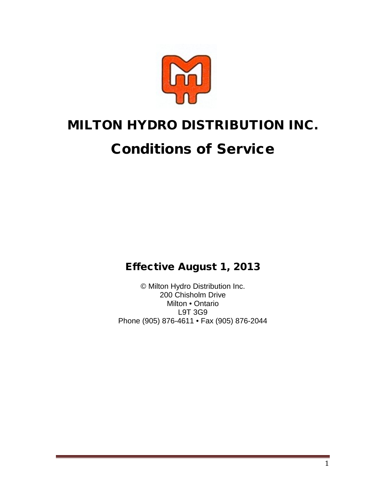

# MILTON HYDRO DISTRIBUTION INC.

# Conditions of Service

Effective August 1, 2013

© Milton Hydro Distribution Inc. 200 Chisholm Drive Milton • Ontario L9T 3G9 Phone (905) 876-4611 • Fax (905) 876-2044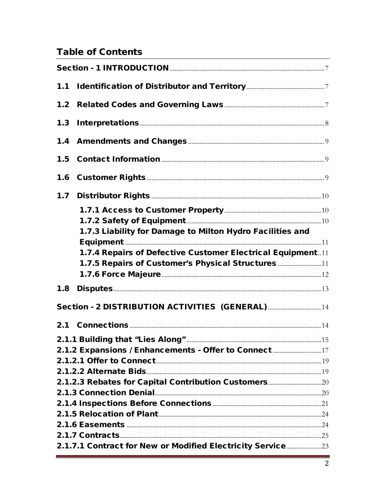# **Table of Contents**

| 1.1                                                        |  |
|------------------------------------------------------------|--|
|                                                            |  |
| 1.3                                                        |  |
|                                                            |  |
|                                                            |  |
|                                                            |  |
| 1.7                                                        |  |
|                                                            |  |
|                                                            |  |
| 1.7.3 Liability for Damage to Milton Hydro Facilities and  |  |
| 1.7.4 Repairs of Defective Customer Electrical Equipment11 |  |
| 1.7.5 Repairs of Customer's Physical Structures 11         |  |
|                                                            |  |
| 1.8                                                        |  |
|                                                            |  |
| Section - 2 DISTRIBUTION ACTIVITIES (GENERAL) 14           |  |
|                                                            |  |
|                                                            |  |
| 2.1.2 Expansions / Enhancements - Offer to Connect 17      |  |
|                                                            |  |
|                                                            |  |
| 2.1.2.3 Rebates for Capital Contribution Customers         |  |
|                                                            |  |
|                                                            |  |
|                                                            |  |
|                                                            |  |
| 2.1.7.1 Contract for New or Modified Electricity Service23 |  |
|                                                            |  |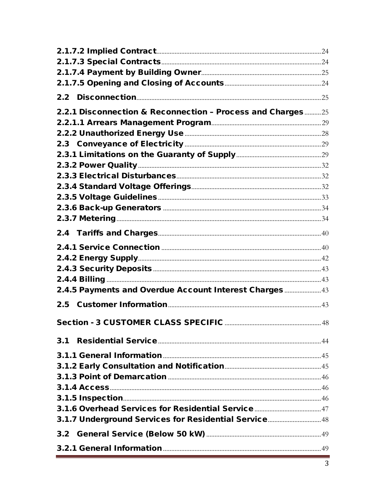| 2.2.1 Disconnection & Reconnection - Process and Charges25 |  |
|------------------------------------------------------------|--|
|                                                            |  |
|                                                            |  |
|                                                            |  |
|                                                            |  |
|                                                            |  |
|                                                            |  |
|                                                            |  |
|                                                            |  |
|                                                            |  |
|                                                            |  |
|                                                            |  |
|                                                            |  |
|                                                            |  |
|                                                            |  |
|                                                            |  |
| 2.4.5 Payments and Overdue Account Interest Charges 43     |  |
| 2.5                                                        |  |
|                                                            |  |
|                                                            |  |
|                                                            |  |
|                                                            |  |
|                                                            |  |
|                                                            |  |
|                                                            |  |
|                                                            |  |
|                                                            |  |
| 3.1.7 Underground Services for Residential Service 48      |  |
|                                                            |  |
|                                                            |  |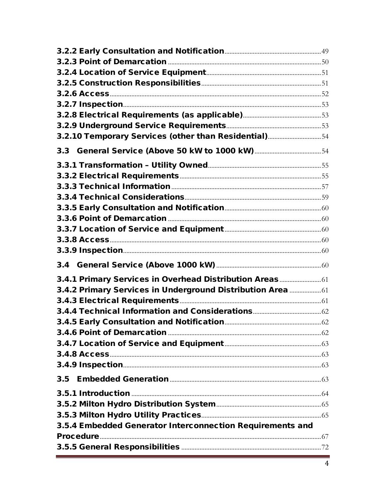| 3.2.10 Temporary Services (other than Residential)54      |  |
|-----------------------------------------------------------|--|
|                                                           |  |
|                                                           |  |
|                                                           |  |
|                                                           |  |
|                                                           |  |
|                                                           |  |
|                                                           |  |
|                                                           |  |
|                                                           |  |
|                                                           |  |
|                                                           |  |
| 3.4.1 Primary Services in Overhead Distribution Areas     |  |
| 3.4.2 Primary Services in Underground Distribution Area   |  |
|                                                           |  |
|                                                           |  |
|                                                           |  |
|                                                           |  |
|                                                           |  |
|                                                           |  |
|                                                           |  |
| 3.5                                                       |  |
|                                                           |  |
|                                                           |  |
|                                                           |  |
| 3.5.4 Embedded Generator Interconnection Requirements and |  |
|                                                           |  |
|                                                           |  |
|                                                           |  |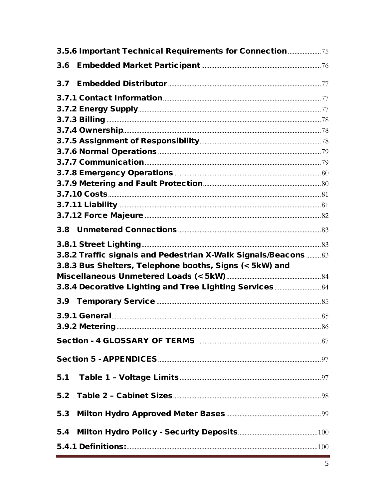| 3.5.6 Important Technical Requirements for Connection 75                                                                                                                                                                            |  |
|-------------------------------------------------------------------------------------------------------------------------------------------------------------------------------------------------------------------------------------|--|
| 3.6                                                                                                                                                                                                                                 |  |
| 3.7                                                                                                                                                                                                                                 |  |
|                                                                                                                                                                                                                                     |  |
|                                                                                                                                                                                                                                     |  |
|                                                                                                                                                                                                                                     |  |
|                                                                                                                                                                                                                                     |  |
|                                                                                                                                                                                                                                     |  |
|                                                                                                                                                                                                                                     |  |
|                                                                                                                                                                                                                                     |  |
|                                                                                                                                                                                                                                     |  |
|                                                                                                                                                                                                                                     |  |
|                                                                                                                                                                                                                                     |  |
|                                                                                                                                                                                                                                     |  |
|                                                                                                                                                                                                                                     |  |
| 3.8                                                                                                                                                                                                                                 |  |
|                                                                                                                                                                                                                                     |  |
| 3.8.2 Traffic signals and Pedestrian X-Walk Signals/Beacons  83                                                                                                                                                                     |  |
| 3.8.3 Bus Shelters, Telephone booths, Signs (< 5kW) and                                                                                                                                                                             |  |
|                                                                                                                                                                                                                                     |  |
| 3.8.4 Decorative Lighting and Tree Lighting Services 84                                                                                                                                                                             |  |
|                                                                                                                                                                                                                                     |  |
| <b>3.9.1 General</b> 2.0 and 25 and 25 and 25 and 25 and 25 and 25 and 26 and 26 and 26 and 26 and 26 and 26 and 26 and 26 and 26 and 26 and 26 and 26 and 26 and 26 and 26 and 26 and 26 and 26 and 26 and 26 and 26 and 26 and 26 |  |
| <b>3.9.2 Metering</b>                                                                                                                                                                                                               |  |
|                                                                                                                                                                                                                                     |  |
|                                                                                                                                                                                                                                     |  |
|                                                                                                                                                                                                                                     |  |
|                                                                                                                                                                                                                                     |  |
|                                                                                                                                                                                                                                     |  |
|                                                                                                                                                                                                                                     |  |
|                                                                                                                                                                                                                                     |  |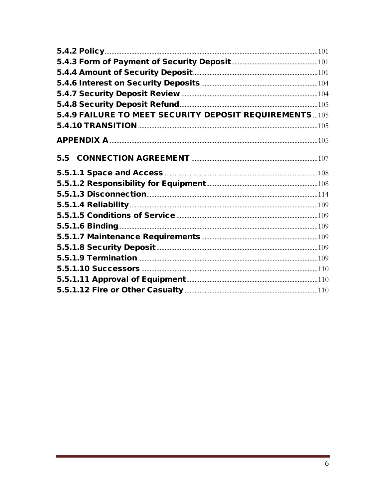| 5.4.9 FAILURE TO MEET SECURITY DEPOSIT REQUIREMENTS105 |  |
|--------------------------------------------------------|--|
|                                                        |  |
|                                                        |  |
| 5.5                                                    |  |
|                                                        |  |
|                                                        |  |
|                                                        |  |
|                                                        |  |
|                                                        |  |
|                                                        |  |
|                                                        |  |
|                                                        |  |
|                                                        |  |
|                                                        |  |
|                                                        |  |
|                                                        |  |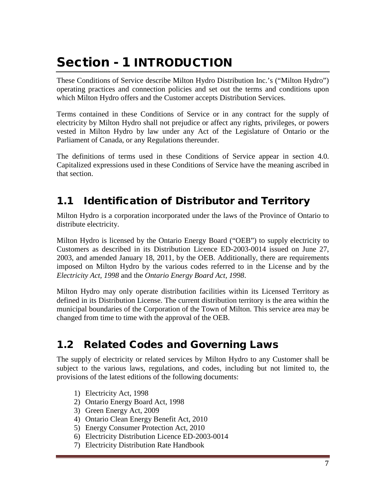# <span id="page-6-0"></span>Section - 1 INTRODUCTION

These Conditions of Service describe Milton Hydro Distribution Inc.'s ("Milton Hydro") operating practices and connection policies and set out the terms and conditions upon which Milton Hydro offers and the Customer accepts Distribution Services.

Terms contained in these Conditions of Service or in any contract for the supply of electricity by Milton Hydro shall not prejudice or affect any rights, privileges, or powers vested in Milton Hydro by law under any Act of the Legislature of Ontario or the Parliament of Canada, or any Regulations thereunder.

The definitions of terms used in these Conditions of Service appear in section 4.0. Capitalized expressions used in these Conditions of Service have the meaning ascribed in that section.

# <span id="page-6-1"></span>1.1 Identification of Distributor and Territory

Milton Hydro is a corporation incorporated under the laws of the Province of Ontario to distribute electricity.

Milton Hydro is licensed by the Ontario Energy Board ("OEB") to supply electricity to Customers as described in its Distribution Licence ED-2003-0014 issued on June 27, 2003, and amended January 18, 2011, by the OEB. Additionally, there are requirements imposed on Milton Hydro by the various codes referred to in the License and by the *Electricity Act, 1998* and the *Ontario Energy Board Act, 1998*.

Milton Hydro may only operate distribution facilities within its Licensed Territory as defined in its Distribution License. The current distribution territory is the area within the municipal boundaries of the Corporation of the Town of Milton. This service area may be changed from time to time with the approval of the OEB.

# <span id="page-6-2"></span>1.2 Related Codes and Governing Laws

The supply of electricity or related services by Milton Hydro to any Customer shall be subject to the various laws, regulations, and codes, including but not limited to, the provisions of the latest editions of the following documents:

- 1) Electricity Act, 1998
- 2) Ontario Energy Board Act, 1998
- 3) Green Energy Act, 2009
- 4) Ontario Clean Energy Benefit Act, 2010
- 5) Energy Consumer Protection Act, 2010
- 6) Electricity Distribution Licence ED-2003-0014
- 7) Electricity Distribution Rate Handbook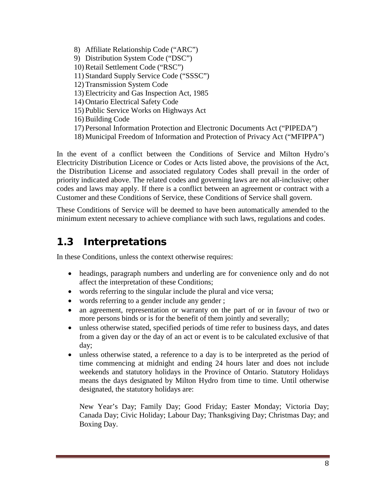8) Affiliate Relationship Code ("ARC") 9) Distribution System Code ("DSC") 10) Retail Settlement Code ("RSC") 11) Standard Supply Service Code ("SSSC") 12) Transmission System Code 13) Electricity and Gas Inspection Act, 1985 14) Ontario Electrical Safety Code 15) Public Service Works on Highways Act 16) Building Code 17) Personal Information Protection and Electronic Documents Act ("PIPEDA") 18) Municipal Freedom of Information and Protection of Privacy Act ("MFIPPA")

In the event of a conflict between the Conditions of Service and Milton Hydro's Electricity Distribution Licence or Codes or Acts listed above, the provisions of the Act, the Distribution License and associated regulatory Codes shall prevail in the order of priority indicated above. The related codes and governing laws are not all-inclusive; other codes and laws may apply. If there is a conflict between an agreement or contract with a Customer and these Conditions of Service, these Conditions of Service shall govern.

These Conditions of Service will be deemed to have been automatically amended to the minimum extent necessary to achieve compliance with such laws, regulations and codes.

# <span id="page-7-0"></span>1.3 Interpretations

In these Conditions, unless the context otherwise requires:

- headings, paragraph numbers and underling are for convenience only and do not affect the interpretation of these Conditions;
- words referring to the singular include the plural and vice versa;
- words referring to a gender include any gender;
- an agreement, representation or warranty on the part of or in favour of two or more persons binds or is for the benefit of them jointly and severally;
- unless otherwise stated, specified periods of time refer to business days, and dates from a given day or the day of an act or event is to be calculated exclusive of that day;
- unless otherwise stated, a reference to a day is to be interpreted as the period of time commencing at midnight and ending 24 hours later and does not include weekends and statutory holidays in the Province of Ontario. Statutory Holidays means the days designated by Milton Hydro from time to time. Until otherwise designated, the statutory holidays are:

New Year's Day; Family Day; Good Friday; Easter Monday; Victoria Day; Canada Day; Civic Holiday; Labour Day; Thanksgiving Day; Christmas Day; and Boxing Day.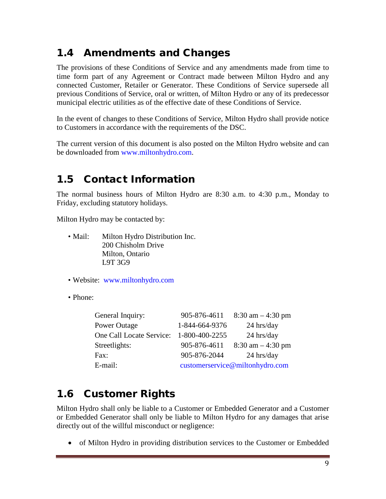# <span id="page-8-0"></span>1.4 Amendments and Changes

The provisions of these Conditions of Service and any amendments made from time to time form part of any Agreement or Contract made between Milton Hydro and any connected Customer, Retailer or Generator. These Conditions of Service supersede all previous Conditions of Service, oral or written, of Milton Hydro or any of its predecessor municipal electric utilities as of the effective date of these Conditions of Service.

In the event of changes to these Conditions of Service, Milton Hydro shall provide notice to Customers in accordance with the requirements of the DSC.

The current version of this document is also posted on the Milton Hydro website and can be downloaded from [www.miltonhydro.com.](http://www.miltonhydro.com/)

# <span id="page-8-1"></span>1.5 Contact Information

The normal business hours of Milton Hydro are 8:30 a.m. to 4:30 p.m., Monday to Friday, excluding statutory holidays.

Milton Hydro may be contacted by:

- Mail: Milton Hydro Distribution Inc. 200 Chisholm Drive Milton, Ontario L9T 3G9
- Website: [www.miltonhydro.com](http://www.miltonhydro.com/)
- Phone:

| General Inquiry:         | 905-876-4611                    | $8:30$ am $-4:30$ pm |
|--------------------------|---------------------------------|----------------------|
| Power Outage             | 1-844-664-9376                  | $24$ hrs/day         |
| One Call Locate Service: | 1-800-400-2255                  | $24$ hrs/day         |
| Streetlights:            | 905-876-4611                    | $8:30$ am $-4:30$ pm |
| Fax:                     | 905-876-2044                    | $24$ hrs/day         |
| E-mail:                  | customerservice@miltonhydro.com |                      |

# <span id="page-8-2"></span>1.6 Customer Rights

Milton Hydro shall only be liable to a Customer or Embedded Generator and a Customer or Embedded Generator shall only be liable to Milton Hydro for any damages that arise directly out of the willful misconduct or negligence:

• of Milton Hydro in providing distribution services to the Customer or Embedded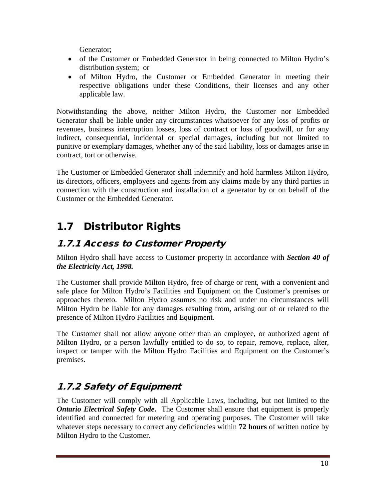Generator;

- of the Customer or Embedded Generator in being connected to Milton Hydro's distribution system; or
- of Milton Hydro, the Customer or Embedded Generator in meeting their respective obligations under these Conditions, their licenses and any other applicable law.

Notwithstanding the above, neither Milton Hydro, the Customer nor Embedded Generator shall be liable under any circumstances whatsoever for any loss of profits or revenues, business interruption losses, loss of contract or loss of goodwill, or for any indirect, consequential, incidental or special damages, including but not limited to punitive or exemplary damages, whether any of the said liability, loss or damages arise in contract, tort or otherwise.

The Customer or Embedded Generator shall indemnify and hold harmless Milton Hydro, its directors, officers, employees and agents from any claims made by any third parties in connection with the construction and installation of a generator by or on behalf of the Customer or the Embedded Generator.

# <span id="page-9-0"></span>1.7 Distributor Rights

# <span id="page-9-1"></span>1.7.1 Access to Customer Property

Milton Hydro shall have access to Customer property in accordance with *Section 40 of the Electricity Act, 1998.* 

The Customer shall provide Milton Hydro, free of charge or rent, with a convenient and safe place for Milton Hydro's Facilities and Equipment on the Customer's premises or approaches thereto. Milton Hydro assumes no risk and under no circumstances will Milton Hydro be liable for any damages resulting from, arising out of or related to the presence of Milton Hydro Facilities and Equipment.

The Customer shall not allow anyone other than an employee, or authorized agent of Milton Hydro, or a person lawfully entitled to do so, to repair, remove, replace, alter, inspect or tamper with the Milton Hydro Facilities and Equipment on the Customer's premises.

# <span id="page-9-2"></span>1.7.2 Safety of Equipment

The Customer will comply with all Applicable Laws, including, but not limited to the *Ontario Electrical Safety Code.* The Customer shall ensure that equipment is properly identified and connected for metering and operating purposes. The Customer will take whatever steps necessary to correct any deficiencies within **72 hours** of written notice by Milton Hydro to the Customer.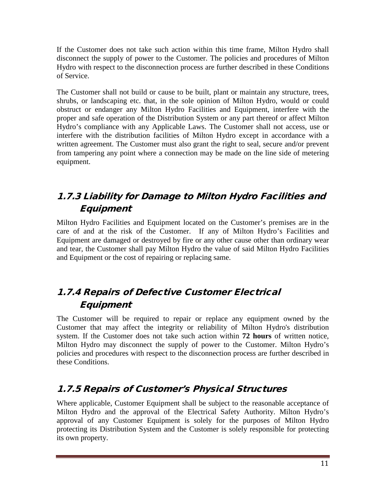If the Customer does not take such action within this time frame, Milton Hydro shall disconnect the supply of power to the Customer. The policies and procedures of Milton Hydro with respect to the disconnection process are further described in these Conditions of Service.

The Customer shall not build or cause to be built, plant or maintain any structure, trees, shrubs, or landscaping etc. that, in the sole opinion of Milton Hydro, would or could obstruct or endanger any Milton Hydro Facilities and Equipment, interfere with the proper and safe operation of the Distribution System or any part thereof or affect Milton Hydro's compliance with any Applicable Laws. The Customer shall not access, use or interfere with the distribution facilities of Milton Hydro except in accordance with a written agreement. The Customer must also grant the right to seal, secure and/or prevent from tampering any point where a connection may be made on the line side of metering equipment.

# <span id="page-10-0"></span>1.7.3 Liability for Damage to Milton Hydro Facilities and **Equipment**

Milton Hydro Facilities and Equipment located on the Customer's premises are in the care of and at the risk of the Customer. If any of Milton Hydro's Facilities and Equipment are damaged or destroyed by fire or any other cause other than ordinary wear and tear, the Customer shall pay Milton Hydro the value of said Milton Hydro Facilities and Equipment or the cost of repairing or replacing same.

# <span id="page-10-1"></span>1.7.4 Repairs of Defective Customer Electrical **Equipment**

The Customer will be required to repair or replace any equipment owned by the Customer that may affect the integrity or reliability of Milton Hydro's distribution system. If the Customer does not take such action within **72 hours** of written notice, Milton Hydro may disconnect the supply of power to the Customer. Milton Hydro's policies and procedures with respect to the disconnection process are further described in these Conditions.

## <span id="page-10-2"></span>1.7.5 Repairs of Customer's Physical Structures

Where applicable, Customer Equipment shall be subject to the reasonable acceptance of Milton Hydro and the approval of the Electrical Safety Authority. Milton Hydro's approval of any Customer Equipment is solely for the purposes of Milton Hydro protecting its Distribution System and the Customer is solely responsible for protecting its own property.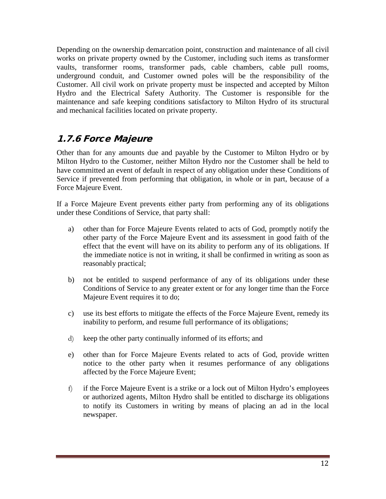Depending on the ownership demarcation point, construction and maintenance of all civil works on private property owned by the Customer, including such items as transformer vaults, transformer rooms, transformer pads, cable chambers, cable pull rooms, underground conduit, and Customer owned poles will be the responsibility of the Customer. All civil work on private property must be inspected and accepted by Milton Hydro and the Electrical Safety Authority. The Customer is responsible for the maintenance and safe keeping conditions satisfactory to Milton Hydro of its structural and mechanical facilities located on private property.

#### <span id="page-11-0"></span>1.7.6 Force Majeure

Other than for any amounts due and payable by the Customer to Milton Hydro or by Milton Hydro to the Customer, neither Milton Hydro nor the Customer shall be held to have committed an event of default in respect of any obligation under these Conditions of Service if prevented from performing that obligation, in whole or in part, because of a Force Majeure Event.

If a Force Majeure Event prevents either party from performing any of its obligations under these Conditions of Service, that party shall:

- a) other than for Force Majeure Events related to acts of God, promptly notify the other party of the Force Majeure Event and its assessment in good faith of the effect that the event will have on its ability to perform any of its obligations. If the immediate notice is not in writing, it shall be confirmed in writing as soon as reasonably practical;
- b) not be entitled to suspend performance of any of its obligations under these Conditions of Service to any greater extent or for any longer time than the Force Majeure Event requires it to do;
- c) use its best efforts to mitigate the effects of the Force Majeure Event, remedy its inability to perform, and resume full performance of its obligations;
- d) keep the other party continually informed of its efforts; and
- e) other than for Force Majeure Events related to acts of God, provide written notice to the other party when it resumes performance of any obligations affected by the Force Majeure Event;
- f) if the Force Majeure Event is a strike or a lock out of Milton Hydro's employees or authorized agents, Milton Hydro shall be entitled to discharge its obligations to notify its Customers in writing by means of placing an ad in the local newspaper.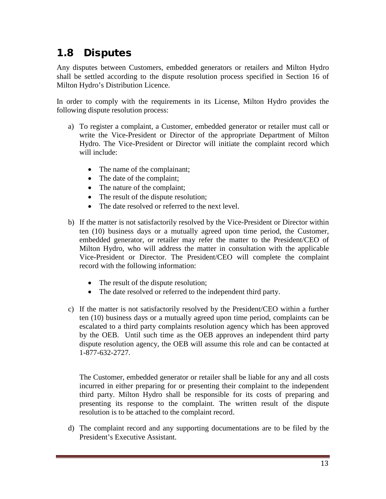# <span id="page-12-0"></span>1.8 Disputes

Any disputes between Customers, embedded generators or retailers and Milton Hydro shall be settled according to the dispute resolution process specified in Section 16 of Milton Hydro's Distribution Licence.

In order to comply with the requirements in its License, Milton Hydro provides the following dispute resolution process:

- a) To register a complaint, a Customer, embedded generator or retailer must call or write the Vice-President or Director of the appropriate Department of Milton Hydro. The Vice-President or Director will initiate the complaint record which will include:
	- The name of the complainant;
	- The date of the complaint;
	- The nature of the complaint;
	- The result of the dispute resolution;
	- The date resolved or referred to the next level.
- b) If the matter is not satisfactorily resolved by the Vice-President or Director within ten (10) business days or a mutually agreed upon time period, the Customer, embedded generator, or retailer may refer the matter to the President/CEO of Milton Hydro, who will address the matter in consultation with the applicable Vice-President or Director. The President/CEO will complete the complaint record with the following information:
	- The result of the dispute resolution;
	- The date resolved or referred to the independent third party.
- c) If the matter is not satisfactorily resolved by the President/CEO within a further ten (10) business days or a mutually agreed upon time period, complaints can be escalated to a third party complaints resolution agency which has been approved by the OEB. Until such time as the OEB approves an independent third party dispute resolution agency, the OEB will assume this role and can be contacted at 1-877-632-2727.

The Customer, embedded generator or retailer shall be liable for any and all costs incurred in either preparing for or presenting their complaint to the independent third party. Milton Hydro shall be responsible for its costs of preparing and presenting its response to the complaint. The written result of the dispute resolution is to be attached to the complaint record.

d) The complaint record and any supporting documentations are to be filed by the President's Executive Assistant.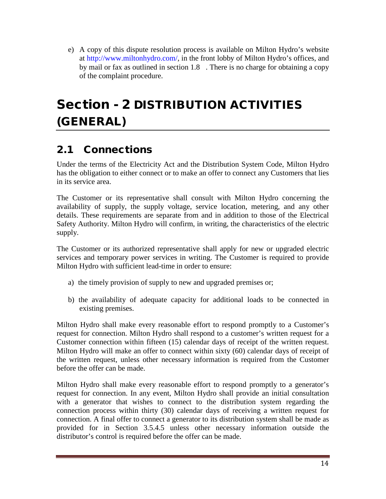e) A copy of this dispute resolution process is available on Milton Hydro's website at [http://www.miltonhydro.com/,](http://www.miltonhydro.com/) in the front lobby of Milton Hydro's offices, and by mail or fax as outlined in section 1.8 . There is no charge for obtaining a copy of the complaint procedure.

# <span id="page-13-0"></span>Section - 2 DISTRIBUTION ACTIVITIES (GENERAL)

# <span id="page-13-1"></span>2.1 Connections

Under the terms of the Electricity Act and the Distribution System Code, Milton Hydro has the obligation to either connect or to make an offer to connect any Customers that lies in its service area.

The Customer or its representative shall consult with Milton Hydro concerning the availability of supply, the supply voltage, service location, metering, and any other details. These requirements are separate from and in addition to those of the Electrical Safety Authority. Milton Hydro will confirm, in writing, the characteristics of the electric supply.

The Customer or its authorized representative shall apply for new or upgraded electric services and temporary power services in writing. The Customer is required to provide Milton Hydro with sufficient lead-time in order to ensure:

- a) the timely provision of supply to new and upgraded premises or;
- b) the availability of adequate capacity for additional loads to be connected in existing premises.

Milton Hydro shall make every reasonable effort to respond promptly to a Customer's request for connection. Milton Hydro shall respond to a customer's written request for a Customer connection within fifteen (15) calendar days of receipt of the written request. Milton Hydro will make an offer to connect within sixty (60) calendar days of receipt of the written request, unless other necessary information is required from the Customer before the offer can be made.

Milton Hydro shall make every reasonable effort to respond promptly to a generator's request for connection. In any event, Milton Hydro shall provide an initial consultation with a generator that wishes to connect to the distribution system regarding the connection process within thirty (30) calendar days of receiving a written request for connection. A final offer to connect a generator to its distribution system shall be made as provided for in Section 3.5.4.5 unless other necessary information outside the distributor's control is required before the offer can be made.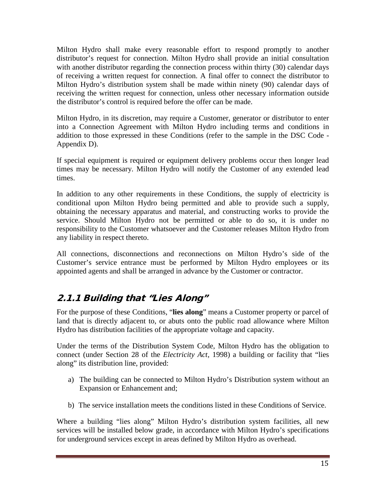Milton Hydro shall make every reasonable effort to respond promptly to another distributor's request for connection. Milton Hydro shall provide an initial consultation with another distributor regarding the connection process within thirty (30) calendar days of receiving a written request for connection. A final offer to connect the distributor to Milton Hydro's distribution system shall be made within ninety (90) calendar days of receiving the written request for connection, unless other necessary information outside the distributor's control is required before the offer can be made.

Milton Hydro, in its discretion, may require a Customer, generator or distributor to enter into a Connection Agreement with Milton Hydro including terms and conditions in addition to those expressed in these Conditions (refer to the sample in the DSC Code - Appendix D).

If special equipment is required or equipment delivery problems occur then longer lead times may be necessary. Milton Hydro will notify the Customer of any extended lead times.

In addition to any other requirements in these Conditions, the supply of electricity is conditional upon Milton Hydro being permitted and able to provide such a supply, obtaining the necessary apparatus and material, and constructing works to provide the service. Should Milton Hydro not be permitted or able to do so, it is under no responsibility to the Customer whatsoever and the Customer releases Milton Hydro from any liability in respect thereto.

All connections, disconnections and reconnections on Milton Hydro's side of the Customer's service entrance must be performed by Milton Hydro employees or its appointed agents and shall be arranged in advance by the Customer or contractor.

# <span id="page-14-0"></span>2.1.1 Building that "Lies Along"

For the purpose of these Conditions, "**lies along**" means a Customer property or parcel of land that is directly adjacent to, or abuts onto the public road allowance where Milton Hydro has distribution facilities of the appropriate voltage and capacity.

Under the terms of the Distribution System Code, Milton Hydro has the obligation to connect (under Section 28 of the *Electricity Act*, 1998) a building or facility that "lies along" its distribution line, provided:

- a) The building can be connected to Milton Hydro's Distribution system without an Expansion or Enhancement and;
- b) The service installation meets the conditions listed in these Conditions of Service.

Where a building "lies along" Milton Hydro's distribution system facilities, all new services will be installed below grade, in accordance with Milton Hydro's specifications for underground services except in areas defined by Milton Hydro as overhead.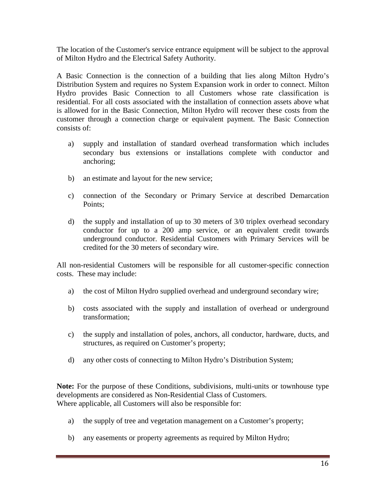The location of the Customer's service entrance equipment will be subject to the approval of Milton Hydro and the Electrical Safety Authority.

A Basic Connection is the connection of a building that lies along Milton Hydro's Distribution System and requires no System Expansion work in order to connect. Milton Hydro provides Basic Connection to all Customers whose rate classification is residential. For all costs associated with the installation of connection assets above what is allowed for in the Basic Connection, Milton Hydro will recover these costs from the customer through a connection charge or equivalent payment. The Basic Connection consists of:

- a) supply and installation of standard overhead transformation which includes secondary bus extensions or installations complete with conductor and anchoring;
- b) an estimate and layout for the new service;
- c) connection of the Secondary or Primary Service at described Demarcation Points;
- d) the supply and installation of up to 30 meters of 3/0 triplex overhead secondary conductor for up to a 200 amp service, or an equivalent credit towards underground conductor. Residential Customers with Primary Services will be credited for the 30 meters of secondary wire.

All non-residential Customers will be responsible for all customer-specific connection costs. These may include:

- a) the cost of Milton Hydro supplied overhead and underground secondary wire;
- b) costs associated with the supply and installation of overhead or underground transformation;
- c) the supply and installation of poles, anchors, all conductor, hardware, ducts, and structures, as required on Customer's property;
- d) any other costs of connecting to Milton Hydro's Distribution System;

**Note:** For the purpose of these Conditions, subdivisions, multi-units or townhouse type developments are considered as Non-Residential Class of Customers. Where applicable, all Customers will also be responsible for:

- a) the supply of tree and vegetation management on a Customer's property;
- b) any easements or property agreements as required by Milton Hydro;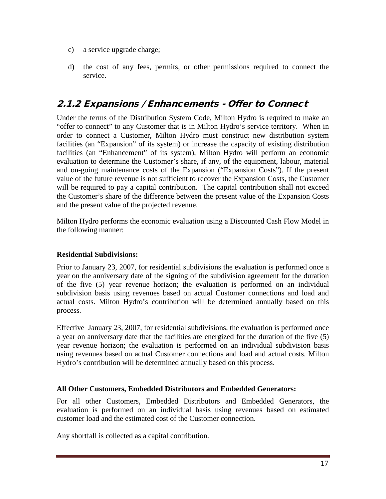- c) a service upgrade charge;
- d) the cost of any fees, permits, or other permissions required to connect the service.

#### <span id="page-16-0"></span>2.1.2 Expansions / Enhancements - Offer to Connect

Under the terms of the Distribution System Code, Milton Hydro is required to make an "offer to connect" to any Customer that is in Milton Hydro's service territory. When in order to connect a Customer, Milton Hydro must construct new distribution system facilities (an "Expansion" of its system) or increase the capacity of existing distribution facilities (an "Enhancement" of its system), Milton Hydro will perform an economic evaluation to determine the Customer's share, if any, of the equipment, labour, material and on-going maintenance costs of the Expansion ("Expansion Costs"). If the present value of the future revenue is not sufficient to recover the Expansion Costs, the Customer will be required to pay a capital contribution. The capital contribution shall not exceed the Customer's share of the difference between the present value of the Expansion Costs and the present value of the projected revenue.

Milton Hydro performs the economic evaluation using a Discounted Cash Flow Model in the following manner:

#### **Residential Subdivisions:**

Prior to January 23, 2007, for residential subdivisions the evaluation is performed once a year on the anniversary date of the signing of the subdivision agreement for the duration of the five (5) year revenue horizon; the evaluation is performed on an individual subdivision basis using revenues based on actual Customer connections and load and actual costs. Milton Hydro's contribution will be determined annually based on this process.

Effective January 23, 2007, for residential subdivisions, the evaluation is performed once a year on anniversary date that the facilities are energized for the duration of the five (5) year revenue horizon; the evaluation is performed on an individual subdivision basis using revenues based on actual Customer connections and load and actual costs. Milton Hydro's contribution will be determined annually based on this process.

#### **All Other Customers, Embedded Distributors and Embedded Generators:**

For all other Customers, Embedded Distributors and Embedded Generators, the evaluation is performed on an individual basis using revenues based on estimated customer load and the estimated cost of the Customer connection.

Any shortfall is collected as a capital contribution.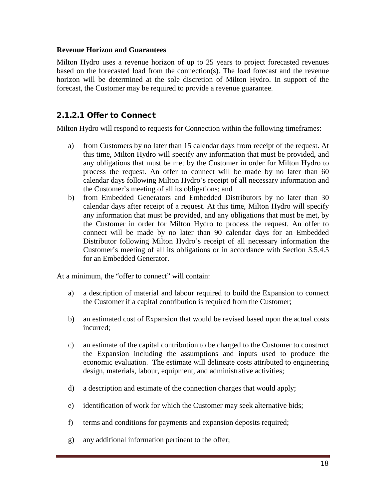#### **Revenue Horizon and Guarantees**

Milton Hydro uses a revenue horizon of up to 25 years to project forecasted revenues based on the forecasted load from the connection(s). The load forecast and the revenue horizon will be determined at the sole discretion of Milton Hydro. In support of the forecast, the Customer may be required to provide a revenue guarantee.

#### 2.1.2.1 Offer to Connect

Milton Hydro will respond to requests for Connection within the following timeframes:

- a) from Customers by no later than 15 calendar days from receipt of the request. At this time, Milton Hydro will specify any information that must be provided, and any obligations that must be met by the Customer in order for Milton Hydro to process the request. An offer to connect will be made by no later than 60 calendar days following Milton Hydro's receipt of all necessary information and the Customer's meeting of all its obligations; and
- b) from Embedded Generators and Embedded Distributors by no later than 30 calendar days after receipt of a request. At this time, Milton Hydro will specify any information that must be provided, and any obligations that must be met, by the Customer in order for Milton Hydro to process the request. An offer to connect will be made by no later than 90 calendar days for an Embedded Distributor following Milton Hydro's receipt of all necessary information the Customer's meeting of all its obligations or in accordance with Section 3.5.4.5 for an Embedded Generator.

At a minimum, the "offer to connect" will contain:

- a) a description of material and labour required to build the Expansion to connect the Customer if a capital contribution is required from the Customer;
- b) an estimated cost of Expansion that would be revised based upon the actual costs incurred;
- c) an estimate of the capital contribution to be charged to the Customer to construct the Expansion including the assumptions and inputs used to produce the economic evaluation. The estimate will delineate costs attributed to engineering design, materials, labour, equipment, and administrative activities;
- d) a description and estimate of the connection charges that would apply;
- e) identification of work for which the Customer may seek alternative bids;
- f) terms and conditions for payments and expansion deposits required;
- g) any additional information pertinent to the offer;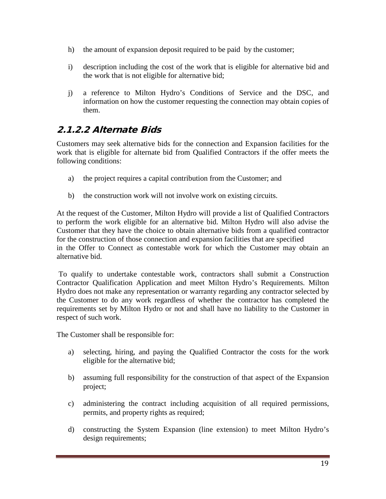- h) the amount of expansion deposit required to be paid by the customer;
- i) description including the cost of the work that is eligible for alternative bid and the work that is not eligible for alternative bid;
- j) a reference to Milton Hydro's Conditions of Service and the DSC, and information on how the customer requesting the connection may obtain copies of them.

#### <span id="page-18-0"></span>2.1.2.2 Alternate Bids

Customers may seek alternative bids for the connection and Expansion facilities for the work that is eligible for alternate bid from Qualified Contractors if the offer meets the following conditions:

- a) the project requires a capital contribution from the Customer; and
- b) the construction work will not involve work on existing circuits.

At the request of the Customer, Milton Hydro will provide a list of Qualified Contractors to perform the work eligible for an alternative bid. Milton Hydro will also advise the Customer that they have the choice to obtain alternative bids from a qualified contractor for the construction of those connection and expansion facilities that are specified in the Offer to Connect as contestable work for which the Customer may obtain an alternative bid.

To qualify to undertake contestable work, contractors shall submit a Construction Contractor Qualification Application and meet Milton Hydro's Requirements. Milton Hydro does not make any representation or warranty regarding any contractor selected by the Customer to do any work regardless of whether the contractor has completed the requirements set by Milton Hydro or not and shall have no liability to the Customer in respect of such work.

The Customer shall be responsible for:

- a) selecting, hiring, and paying the Qualified Contractor the costs for the work eligible for the alternative bid;
- b) assuming full responsibility for the construction of that aspect of the Expansion project;
- c) administering the contract including acquisition of all required permissions, permits, and property rights as required;
- d) constructing the System Expansion (line extension) to meet Milton Hydro's design requirements;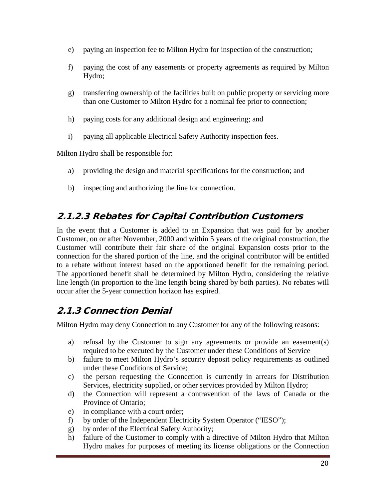- e) paying an inspection fee to Milton Hydro for inspection of the construction;
- f) paying the cost of any easements or property agreements as required by Milton Hydro;
- g) transferring ownership of the facilities built on public property or servicing more than one Customer to Milton Hydro for a nominal fee prior to connection;
- h) paying costs for any additional design and engineering; and
- i) paying all applicable Electrical Safety Authority inspection fees.

Milton Hydro shall be responsible for:

- a) providing the design and material specifications for the construction; and
- b) inspecting and authorizing the line for connection.

## <span id="page-19-0"></span>2.1.2.3 Rebates for Capital Contribution Customers

In the event that a Customer is added to an Expansion that was paid for by another Customer, on or after November, 2000 and within 5 years of the original construction, the Customer will contribute their fair share of the original Expansion costs prior to the connection for the shared portion of the line, and the original contributor will be entitled to a rebate without interest based on the apportioned benefit for the remaining period. The apportioned benefit shall be determined by Milton Hydro, considering the relative line length (in proportion to the line length being shared by both parties). No rebates will occur after the 5-year connection horizon has expired.

# <span id="page-19-1"></span>2.1.3 Connection Denial

Milton Hydro may deny Connection to any Customer for any of the following reasons:

- a) refusal by the Customer to sign any agreements or provide an easement(s) required to be executed by the Customer under these Conditions of Service
- b) failure to meet Milton Hydro's security deposit policy requirements as outlined under these Conditions of Service;
- c) the person requesting the Connection is currently in arrears for Distribution Services, electricity supplied, or other services provided by Milton Hydro;
- d) the Connection will represent a contravention of the laws of Canada or the Province of Ontario;
- e) in compliance with a court order;
- f) by order of the Independent Electricity System Operator ("IESO");
- g) by order of the Electrical Safety Authority;
- h) failure of the Customer to comply with a directive of Milton Hydro that Milton Hydro makes for purposes of meeting its license obligations or the Connection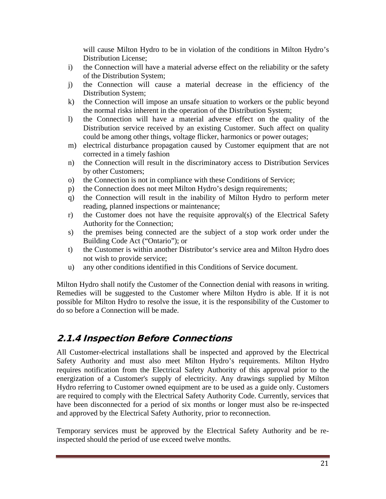will cause Milton Hydro to be in violation of the conditions in Milton Hydro's Distribution License;

- i) the Connection will have a material adverse effect on the reliability or the safety of the Distribution System;
- j) the Connection will cause a material decrease in the efficiency of the Distribution System;
- k) the Connection will impose an unsafe situation to workers or the public beyond the normal risks inherent in the operation of the Distribution System;
- l) the Connection will have a material adverse effect on the quality of the Distribution service received by an existing Customer. Such affect on quality could be among other things, voltage flicker, harmonics or power outages;
- m) electrical disturbance propagation caused by Customer equipment that are not corrected in a timely fashion
- n) the Connection will result in the discriminatory access to Distribution Services by other Customers;
- o) the Connection is not in compliance with these Conditions of Service;
- p) the Connection does not meet Milton Hydro's design requirements;
- q) the Connection will result in the inability of Milton Hydro to perform meter reading, planned inspections or maintenance;
- r) the Customer does not have the requisite approval(s) of the Electrical Safety Authority for the Connection;
- s) the premises being connected are the subject of a stop work order under the Building Code Act ("Ontario"); or
- t) the Customer is within another Distributor's service area and Milton Hydro does not wish to provide service;
- u) any other conditions identified in this Conditions of Service document.

Milton Hydro shall notify the Customer of the Connection denial with reasons in writing. Remedies will be suggested to the Customer where Milton Hydro is able. If it is not possible for Milton Hydro to resolve the issue, it is the responsibility of the Customer to do so before a Connection will be made.

#### <span id="page-20-0"></span>2.1.4 Inspection Before Connections

All Customer-electrical installations shall be inspected and approved by the Electrical Safety Authority and must also meet Milton Hydro's requirements. Milton Hydro requires notification from the Electrical Safety Authority of this approval prior to the energization of a Customer's supply of electricity. Any drawings supplied by Milton Hydro referring to Customer owned equipment are to be used as a guide only. Customers are required to comply with the Electrical Safety Authority Code. Currently, services that have been disconnected for a period of six months or longer must also be re-inspected and approved by the Electrical Safety Authority, prior to reconnection.

Temporary services must be approved by the Electrical Safety Authority and be reinspected should the period of use exceed twelve months.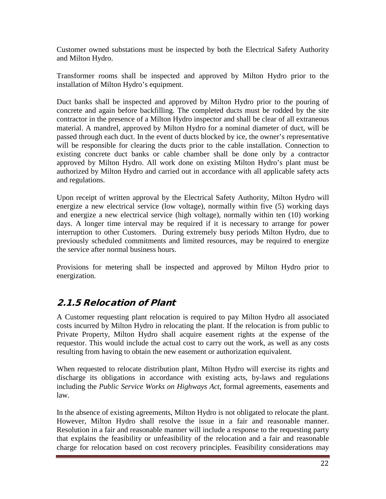Customer owned substations must be inspected by both the Electrical Safety Authority and Milton Hydro.

Transformer rooms shall be inspected and approved by Milton Hydro prior to the installation of Milton Hydro's equipment.

Duct banks shall be inspected and approved by Milton Hydro prior to the pouring of concrete and again before backfilling. The completed ducts must be rodded by the site contractor in the presence of a Milton Hydro inspector and shall be clear of all extraneous material. A mandrel, approved by Milton Hydro for a nominal diameter of duct, will be passed through each duct. In the event of ducts blocked by ice, the owner's representative will be responsible for clearing the ducts prior to the cable installation. Connection to existing concrete duct banks or cable chamber shall be done only by a contractor approved by Milton Hydro. All work done on existing Milton Hydro's plant must be authorized by Milton Hydro and carried out in accordance with all applicable safety acts and regulations.

Upon receipt of written approval by the Electrical Safety Authority, Milton Hydro will energize a new electrical service (low voltage), normally within five (5) working days and energize a new electrical service (high voltage), normally within ten (10) working days. A longer time interval may be required if it is necessary to arrange for power interruption to other Customers. During extremely busy periods Milton Hydro, due to previously scheduled commitments and limited resources, may be required to energize the service after normal business hours.

Provisions for metering shall be inspected and approved by Milton Hydro prior to energization.

## <span id="page-21-0"></span>2.1.5 Relocation of Plant

A Customer requesting plant relocation is required to pay Milton Hydro all associated costs incurred by Milton Hydro in relocating the plant. If the relocation is from public to Private Property, Milton Hydro shall acquire easement rights at the expense of the requestor. This would include the actual cost to carry out the work, as well as any costs resulting from having to obtain the new easement or authorization equivalent.

When requested to relocate distribution plant, Milton Hydro will exercise its rights and discharge its obligations in accordance with existing acts, by-laws and regulations including the *Public Service Works on Highways Act*, formal agreements, easements and law.

In the absence of existing agreements, Milton Hydro is not obligated to relocate the plant. However, Milton Hydro shall resolve the issue in a fair and reasonable manner. Resolution in a fair and reasonable manner will include a response to the requesting party that explains the feasibility or unfeasibility of the relocation and a fair and reasonable charge for relocation based on cost recovery principles. Feasibility considerations may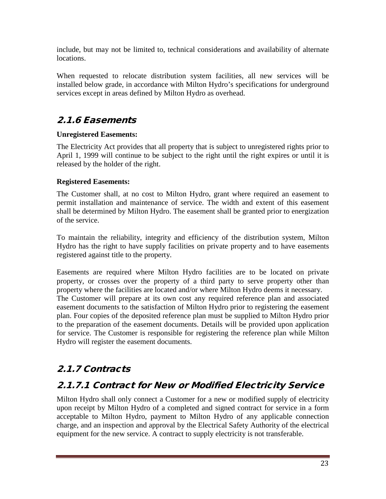include, but may not be limited to, technical considerations and availability of alternate locations.

When requested to relocate distribution system facilities, all new services will be installed below grade, in accordance with Milton Hydro's specifications for underground services except in areas defined by Milton Hydro as overhead.

#### <span id="page-22-0"></span>2.1.6 Easements

#### **Unregistered Easements:**

The Electricity Act provides that all property that is subject to unregistered rights prior to April 1, 1999 will continue to be subject to the right until the right expires or until it is released by the holder of the right.

#### **Registered Easements:**

The Customer shall, at no cost to Milton Hydro, grant where required an easement to permit installation and maintenance of service. The width and extent of this easement shall be determined by Milton Hydro. The easement shall be granted prior to energization of the service.

To maintain the reliability, integrity and efficiency of the distribution system, Milton Hydro has the right to have supply facilities on private property and to have easements registered against title to the property.

Easements are required where Milton Hydro facilities are to be located on private property, or crosses over the property of a third party to serve property other than property where the facilities are located and/or where Milton Hydro deems it necessary. The Customer will prepare at its own cost any required reference plan and associated easement documents to the satisfaction of Milton Hydro prior to registering the easement plan. Four copies of the deposited reference plan must be supplied to Milton Hydro prior to the preparation of the easement documents. Details will be provided upon application for service. The Customer is responsible for registering the reference plan while Milton Hydro will register the easement documents.

## <span id="page-22-1"></span>2.1.7 Contracts

# <span id="page-22-2"></span>2.1.7.1 Contract for New or Modified Electricity Service

Milton Hydro shall only connect a Customer for a new or modified supply of electricity upon receipt by Milton Hydro of a completed and signed contract for service in a form acceptable to Milton Hydro, payment to Milton Hydro of any applicable connection charge, and an inspection and approval by the Electrical Safety Authority of the electrical equipment for the new service. A contract to supply electricity is not transferable.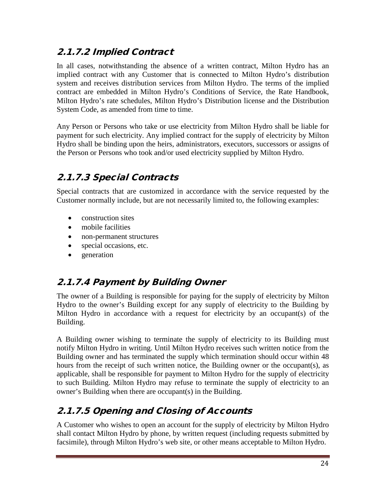# <span id="page-23-0"></span>2.1.7.2 Implied Contract

In all cases, notwithstanding the absence of a written contract, Milton Hydro has an implied contract with any Customer that is connected to Milton Hydro's distribution system and receives distribution services from Milton Hydro. The terms of the implied contract are embedded in Milton Hydro's Conditions of Service, the Rate Handbook, Milton Hydro's rate schedules, Milton Hydro's Distribution license and the Distribution System Code, as amended from time to time.

Any Person or Persons who take or use electricity from Milton Hydro shall be liable for payment for such electricity. Any implied contract for the supply of electricity by Milton Hydro shall be binding upon the heirs, administrators, executors, successors or assigns of the Person or Persons who took and/or used electricity supplied by Milton Hydro.

# <span id="page-23-1"></span>2.1.7.3 Special Contracts

Special contracts that are customized in accordance with the service requested by the Customer normally include, but are not necessarily limited to, the following examples:

- construction sites
- mobile facilities
- non-permanent structures
- special occasions, etc.
- generation

## <span id="page-23-2"></span>2.1.7.4 Payment by Building Owner

The owner of a Building is responsible for paying for the supply of electricity by Milton Hydro to the owner's Building except for any supply of electricity to the Building by Milton Hydro in accordance with a request for electricity by an occupant(s) of the Building.

A Building owner wishing to terminate the supply of electricity to its Building must notify Milton Hydro in writing. Until Milton Hydro receives such written notice from the Building owner and has terminated the supply which termination should occur within 48 hours from the receipt of such written notice, the Building owner or the occupant(s), as applicable, shall be responsible for payment to Milton Hydro for the supply of electricity to such Building. Milton Hydro may refuse to terminate the supply of electricity to an owner's Building when there are occupant(s) in the Building.

# <span id="page-23-3"></span>2.1.7.5 Opening and Closing of Accounts

A Customer who wishes to open an account for the supply of electricity by Milton Hydro shall contact Milton Hydro by phone, by written request (including requests submitted by facsimile), through Milton Hydro's web site, or other means acceptable to Milton Hydro.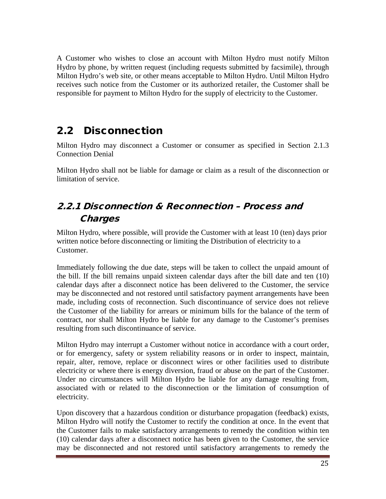A Customer who wishes to close an account with Milton Hydro must notify Milton Hydro by phone, by written request (including requests submitted by facsimile), through Milton Hydro's web site, or other means acceptable to Milton Hydro. Until Milton Hydro receives such notice from the Customer or its authorized retailer, the Customer shall be responsible for payment to Milton Hydro for the supply of electricity to the Customer.

# <span id="page-24-0"></span>2.2 Disconnection

Milton Hydro may disconnect a Customer or consumer as specified in Section 2.1.3 Connection Denial

Milton Hydro shall not be liable for damage or claim as a result of the disconnection or limitation of service.

# <span id="page-24-1"></span>2.2.1 Disconnection & Reconnection – Process and **Charges**

Milton Hydro, where possible, will provide the Customer with at least 10 (ten) days prior written notice before disconnecting or limiting the Distribution of electricity to a Customer.

Immediately following the due date, steps will be taken to collect the unpaid amount of the bill. If the bill remains unpaid sixteen calendar days after the bill date and ten (10) calendar days after a disconnect notice has been delivered to the Customer, the service may be disconnected and not restored until satisfactory payment arrangements have been made, including costs of reconnection. Such discontinuance of service does not relieve the Customer of the liability for arrears or minimum bills for the balance of the term of contract, nor shall Milton Hydro be liable for any damage to the Customer's premises resulting from such discontinuance of service.

Milton Hydro may interrupt a Customer without notice in accordance with a court order, or for emergency, safety or system reliability reasons or in order to inspect, maintain, repair, alter, remove, replace or disconnect wires or other facilities used to distribute electricity or where there is energy diversion, fraud or abuse on the part of the Customer. Under no circumstances will Milton Hydro be liable for any damage resulting from, associated with or related to the disconnection or the limitation of consumption of electricity.

Upon discovery that a hazardous condition or disturbance propagation (feedback) exists, Milton Hydro will notify the Customer to rectify the condition at once. In the event that the Customer fails to make satisfactory arrangements to remedy the condition within ten (10) calendar days after a disconnect notice has been given to the Customer, the service may be disconnected and not restored until satisfactory arrangements to remedy the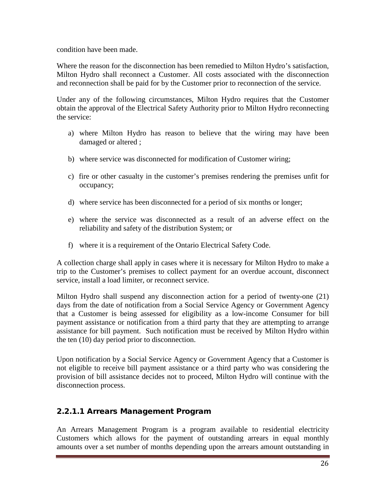condition have been made.

Where the reason for the disconnection has been remedied to Milton Hydro's satisfaction, Milton Hydro shall reconnect a Customer. All costs associated with the disconnection and reconnection shall be paid for by the Customer prior to reconnection of the service.

Under any of the following circumstances, Milton Hydro requires that the Customer obtain the approval of the Electrical Safety Authority prior to Milton Hydro reconnecting the service:

- a) where Milton Hydro has reason to believe that the wiring may have been damaged or altered ;
- b) where service was disconnected for modification of Customer wiring;
- c) fire or other casualty in the customer's premises rendering the premises unfit for occupancy;
- d) where service has been disconnected for a period of six months or longer;
- e) where the service was disconnected as a result of an adverse effect on the reliability and safety of the distribution System; or
- f) where it is a requirement of the Ontario Electrical Safety Code.

A collection charge shall apply in cases where it is necessary for Milton Hydro to make a trip to the Customer's premises to collect payment for an overdue account, disconnect service, install a load limiter, or reconnect service.

Milton Hydro shall suspend any disconnection action for a period of twenty-one (21) days from the date of notification from a Social Service Agency or Government Agency that a Customer is being assessed for eligibility as a low-income Consumer for bill payment assistance or notification from a third party that they are attempting to arrange assistance for bill payment. Such notification must be received by Milton Hydro within the ten (10) day period prior to disconnection.

Upon notification by a Social Service Agency or Government Agency that a Customer is not eligible to receive bill payment assistance or a third party who was considering the provision of bill assistance decides not to proceed, Milton Hydro will continue with the disconnection process.

#### 2.2.1.1 Arrears Management Program

An Arrears Management Program is a program available to residential electricity Customers which allows for the payment of outstanding arrears in equal monthly amounts over a set number of months depending upon the arrears amount outstanding in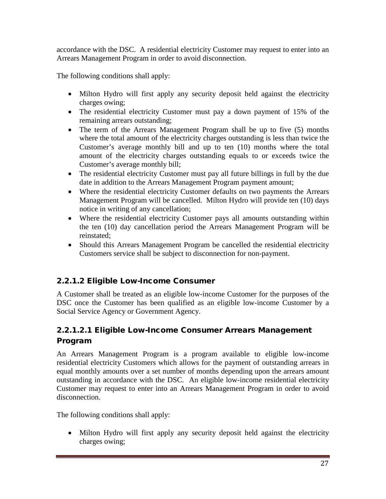accordance with the DSC. A residential electricity Customer may request to enter into an Arrears Management Program in order to avoid disconnection.

The following conditions shall apply:

- Milton Hydro will first apply any security deposit held against the electricity charges owing;
- The residential electricity Customer must pay a down payment of 15% of the remaining arrears outstanding;
- The term of the Arrears Management Program shall be up to five (5) months where the total amount of the electricity charges outstanding is less than twice the Customer's average monthly bill and up to ten (10) months where the total amount of the electricity charges outstanding equals to or exceeds twice the Customer's average monthly bill;
- The residential electricity Customer must pay all future billings in full by the due date in addition to the Arrears Management Program payment amount;
- Where the residential electricity Customer defaults on two payments the Arrears Management Program will be cancelled. Milton Hydro will provide ten (10) days notice in writing of any cancellation;
- Where the residential electricity Customer pays all amounts outstanding within the ten (10) day cancellation period the Arrears Management Program will be reinstated;
- Should this Arrears Management Program be cancelled the residential electricity Customers service shall be subject to disconnection for non-payment.

#### 2.2.1.2 Eligible Low-Income Consumer

A Customer shall be treated as an eligible low-income Customer for the purposes of the DSC once the Customer has been qualified as an eligible low-income Customer by a Social Service Agency or Government Agency.

#### 2.2.1.2.1 Eligible Low-Income Consumer Arrears Management Program

An Arrears Management Program is a program available to eligible low-income residential electricity Customers which allows for the payment of outstanding arrears in equal monthly amounts over a set number of months depending upon the arrears amount outstanding in accordance with the DSC. An eligible low-income residential electricity Customer may request to enter into an Arrears Management Program in order to avoid disconnection.

The following conditions shall apply:

• Milton Hydro will first apply any security deposit held against the electricity charges owing;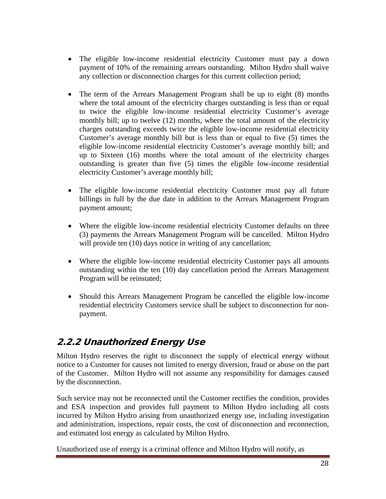- The eligible low-income residential electricity Customer must pay a down payment of 10% of the remaining arrears outstanding. Milton Hydro shall waive any collection or disconnection charges for this current collection period;
- The term of the Arrears Management Program shall be up to eight (8) months where the total amount of the electricity charges outstanding is less than or equal to twice the eligible low-income residential electricity Customer's average monthly bill; up to twelve (12) months, where the total amount of the electricity charges outstanding exceeds twice the eligible low-income residential electricity Customer's average monthly bill but is less than or equal to five (5) times the eligible low-income residential electricity Customer's average monthly bill; and up to Sixteen (16) months where the total amount of the electricity charges outstanding is greater than five (5) times the eligible low-income residential electricity Customer's average monthly bill;
- The eligible low-income residential electricity Customer must pay all future billings in full by the due date in addition to the Arrears Management Program payment amount;
- Where the eligible low-income residential electricity Customer defaults on three (3) payments the Arrears Management Program will be cancelled. Milton Hydro will provide ten (10) days notice in writing of any cancellation;
- Where the eligible low-income residential electricity Customer pays all amounts outstanding within the ten (10) day cancellation period the Arrears Management Program will be reinstated;
- Should this Arrears Management Program be cancelled the eligible low-income residential electricity Customers service shall be subject to disconnection for nonpayment.

# <span id="page-27-0"></span>2.2.2 Unauthorized Energy Use

Milton Hydro reserves the right to disconnect the supply of electrical energy without notice to a Customer for causes not limited to energy diversion, fraud or abuse on the part of the Customer. Milton Hydro will not assume any responsibility for damages caused by the disconnection.

Such service may not be reconnected until the Customer rectifies the condition, provides and ESA inspection and provides full payment to Milton Hydro including all costs incurred by Milton Hydro arising from unauthorized energy use, including investigation and administration, inspections, repair costs, the cost of disconnection and reconnection, and estimated lost energy as calculated by Milton Hydro.

Unauthorized use of energy is a criminal offence and Milton Hydro will notify, as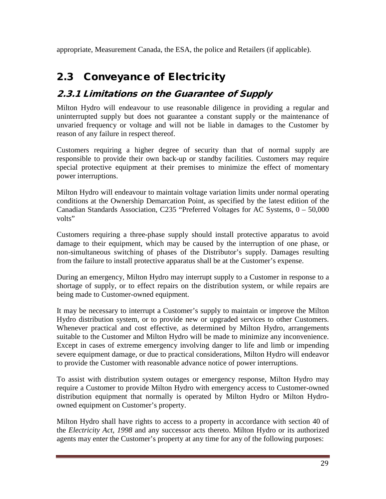appropriate, Measurement Canada, the ESA, the police and Retailers (if applicable).

# <span id="page-28-0"></span>2.3 Conveyance of Electricity

# <span id="page-28-1"></span>2.3.1 Limitations on the Guarantee of Supply

Milton Hydro will endeavour to use reasonable diligence in providing a regular and uninterrupted supply but does not guarantee a constant supply or the maintenance of unvaried frequency or voltage and will not be liable in damages to the Customer by reason of any failure in respect thereof.

Customers requiring a higher degree of security than that of normal supply are responsible to provide their own back-up or standby facilities. Customers may require special protective equipment at their premises to minimize the effect of momentary power interruptions.

Milton Hydro will endeavour to maintain voltage variation limits under normal operating conditions at the Ownership Demarcation Point, as specified by the latest edition of the Canadian Standards Association, C235 "Preferred Voltages for AC Systems, 0 – 50,000 volts"

Customers requiring a three-phase supply should install protective apparatus to avoid damage to their equipment, which may be caused by the interruption of one phase, or non-simultaneous switching of phases of the Distributor's supply. Damages resulting from the failure to install protective apparatus shall be at the Customer's expense.

During an emergency, Milton Hydro may interrupt supply to a Customer in response to a shortage of supply, or to effect repairs on the distribution system, or while repairs are being made to Customer-owned equipment.

It may be necessary to interrupt a Customer's supply to maintain or improve the Milton Hydro distribution system, or to provide new or upgraded services to other Customers. Whenever practical and cost effective, as determined by Milton Hydro, arrangements suitable to the Customer and Milton Hydro will be made to minimize any inconvenience. Except in cases of extreme emergency involving danger to life and limb or impending severe equipment damage, or due to practical considerations, Milton Hydro will endeavor to provide the Customer with reasonable advance notice of power interruptions.

To assist with distribution system outages or emergency response, Milton Hydro may require a Customer to provide Milton Hydro with emergency access to Customer-owned distribution equipment that normally is operated by Milton Hydro or Milton Hydroowned equipment on Customer's property.

Milton Hydro shall have rights to access to a property in accordance with section 40 of the *Electricity Act, 1998* and any successor acts thereto. Milton Hydro or its authorized agents may enter the Customer's property at any time for any of the following purposes: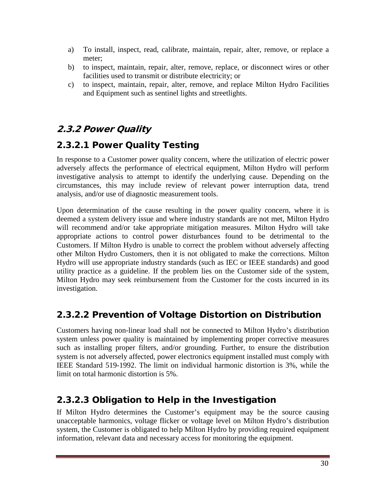- a) To install, inspect, read, calibrate, maintain, repair, alter, remove, or replace a meter;
- b) to inspect, maintain, repair, alter, remove, replace, or disconnect wires or other facilities used to transmit or distribute electricity; or
- c) to inspect, maintain, repair, alter, remove, and replace Milton Hydro Facilities and Equipment such as sentinel lights and streetlights.

# <span id="page-29-0"></span>2.3.2 Power Quality

## 2.3.2.1 Power Quality Testing

In response to a Customer power quality concern, where the utilization of electric power adversely affects the performance of electrical equipment, Milton Hydro will perform investigative analysis to attempt to identify the underlying cause. Depending on the circumstances, this may include review of relevant power interruption data, trend analysis, and/or use of diagnostic measurement tools.

Upon determination of the cause resulting in the power quality concern, where it is deemed a system delivery issue and where industry standards are not met, Milton Hydro will recommend and/or take appropriate mitigation measures. Milton Hydro will take appropriate actions to control power disturbances found to be detrimental to the Customers. If Milton Hydro is unable to correct the problem without adversely affecting other Milton Hydro Customers, then it is not obligated to make the corrections. Milton Hydro will use appropriate industry standards (such as IEC or IEEE standards) and good utility practice as a guideline. If the problem lies on the Customer side of the system, Milton Hydro may seek reimbursement from the Customer for the costs incurred in its investigation.

## 2.3.2.2 Prevention of Voltage Distortion on Distribution

Customers having non-linear load shall not be connected to Milton Hydro's distribution system unless power quality is maintained by implementing proper corrective measures such as installing proper filters, and/or grounding. Further, to ensure the distribution system is not adversely affected, power electronics equipment installed must comply with IEEE Standard 519-1992. The limit on individual harmonic distortion is 3%, while the limit on total harmonic distortion is 5%.

## 2.3.2.3 Obligation to Help in the Investigation

If Milton Hydro determines the Customer's equipment may be the source causing unacceptable harmonics, voltage flicker or voltage level on Milton Hydro's distribution system, the Customer is obligated to help Milton Hydro by providing required equipment information, relevant data and necessary access for monitoring the equipment.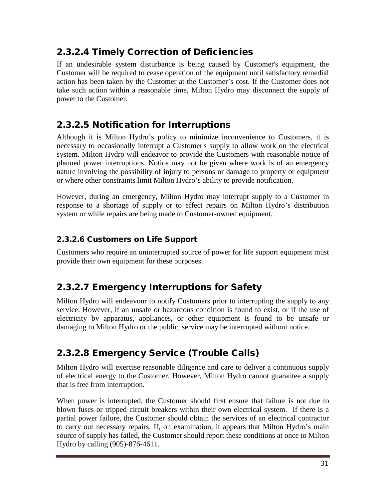## 2.3.2.4 Timely Correction of Deficiencies

If an undesirable system disturbance is being caused by Customer's equipment, the Customer will be required to cease operation of the equipment until satisfactory remedial action has been taken by the Customer at the Customer's cost. If the Customer does not take such action within a reasonable time, Milton Hydro may disconnect the supply of power to the Customer.

## 2.3.2.5 Notification for Interruptions

Although it is Milton Hydro's policy to minimize inconvenience to Customers, it is necessary to occasionally interrupt a Customer's supply to allow work on the electrical system. Milton Hydro will endeavor to provide the Customers with reasonable notice of planned power interruptions. Notice may not be given where work is of an emergency nature involving the possibility of injury to persons or damage to property or equipment or where other constraints limit Milton Hydro's ability to provide notification.

However, during an emergency, Milton Hydro may interrupt supply to a Customer in response to a shortage of supply or to effect repairs on Milton Hydro's distribution system or while repairs are being made to Customer-owned equipment.

#### 2.3.2.6 Customers on Life Support

Customers who require an uninterrupted source of power for life support equipment must provide their own equipment for these purposes.

## 2.3.2.7 Emergency Interruptions for Safety

Milton Hydro will endeavour to notify Customers prior to interrupting the supply to any service. However, if an unsafe or hazardous condition is found to exist, or if the use of electricity by apparatus, appliances, or other equipment is found to be unsafe or damaging to Milton Hydro or the public, service may be interrupted without notice.

# 2.3.2.8 Emergency Service (Trouble Calls)

Milton Hydro will exercise reasonable diligence and care to deliver a continuous supply of electrical energy to the Customer. However, Milton Hydro cannot guarantee a supply that is free from interruption.

When power is interrupted, the Customer should first ensure that failure is not due to blown fuses or tripped circuit breakers within their own electrical system. If there is a partial power failure, the Customer should obtain the services of an electrical contractor to carry out necessary repairs. If, on examination, it appears that Milton Hydro's main source of supply has failed, the Customer should report these conditions at once to Milton Hydro by calling (905)-876-4611.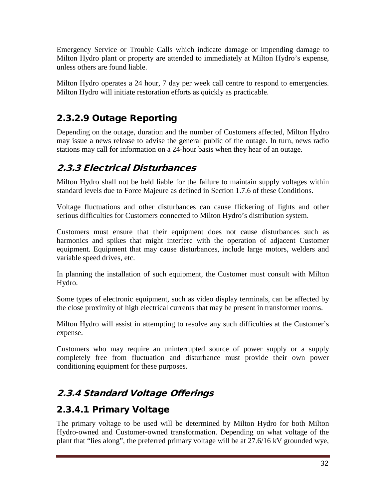Emergency Service or Trouble Calls which indicate damage or impending damage to Milton Hydro plant or property are attended to immediately at Milton Hydro's expense, unless others are found liable.

Milton Hydro operates a 24 hour, 7 day per week call centre to respond to emergencies. Milton Hydro will initiate restoration efforts as quickly as practicable.

# 2.3.2.9 Outage Reporting

Depending on the outage, duration and the number of Customers affected, Milton Hydro may issue a news release to advise the general public of the outage. In turn, news radio stations may call for information on a 24-hour basis when they hear of an outage.

#### <span id="page-31-0"></span>2.3.3 Electrical Disturbances

Milton Hydro shall not be held liable for the failure to maintain supply voltages within standard levels due to Force Majeure as defined in Section 1.7.6 of these Conditions.

Voltage fluctuations and other disturbances can cause flickering of lights and other serious difficulties for Customers connected to Milton Hydro's distribution system.

Customers must ensure that their equipment does not cause disturbances such as harmonics and spikes that might interfere with the operation of adjacent Customer equipment. Equipment that may cause disturbances, include large motors, welders and variable speed drives, etc.

In planning the installation of such equipment, the Customer must consult with Milton Hydro.

Some types of electronic equipment, such as video display terminals, can be affected by the close proximity of high electrical currents that may be present in transformer rooms.

Milton Hydro will assist in attempting to resolve any such difficulties at the Customer's expense.

Customers who may require an uninterrupted source of power supply or a supply completely free from fluctuation and disturbance must provide their own power conditioning equipment for these purposes.

# <span id="page-31-1"></span>2.3.4 Standard Voltage Offerings

## 2.3.4.1 Primary Voltage

The primary voltage to be used will be determined by Milton Hydro for both Milton Hydro-owned and Customer-owned transformation. Depending on what voltage of the plant that "lies along", the preferred primary voltage will be at 27.6/16 kV grounded wye,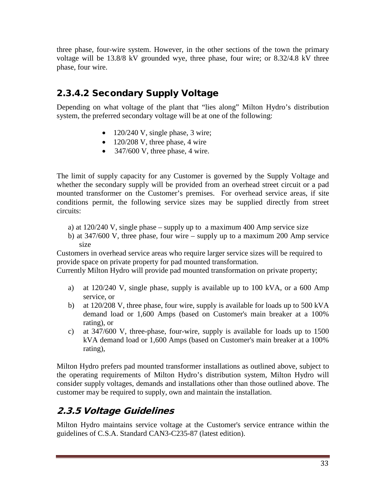three phase, four-wire system. However, in the other sections of the town the primary voltage will be 13.8/8 kV grounded wye, three phase, four wire; or 8.32/4.8 kV three phase, four wire.

# 2.3.4.2 Secondary Supply Voltage

Depending on what voltage of the plant that "lies along" Milton Hydro's distribution system, the preferred secondary voltage will be at one of the following:

- 120/240 V, single phase, 3 wire;
- $120/208$  V, three phase, 4 wire
- $347/600$  V, three phase, 4 wire.

The limit of supply capacity for any Customer is governed by the Supply Voltage and whether the secondary supply will be provided from an overhead street circuit or a pad mounted transformer on the Customer's premises. For overhead service areas, if site conditions permit, the following service sizes may be supplied directly from street circuits:

- a) at  $120/240$  V, single phase supply up to a maximum 400 Amp service size
- b) at 347/600 V, three phase, four wire supply up to a maximum 200 Amp service size

Customers in overhead service areas who require larger service sizes will be required to provide space on private property for pad mounted transformation.

Currently Milton Hydro will provide pad mounted transformation on private property;

- a) at 120/240 V, single phase, supply is available up to 100 kVA, or a 600 Amp service, or
- b) at 120/208 V, three phase, four wire, supply is available for loads up to 500 kVA demand load or 1,600 Amps (based on Customer's main breaker at a 100% rating), or
- c) at 347/600 V, three-phase, four-wire, supply is available for loads up to 1500 kVA demand load or 1,600 Amps (based on Customer's main breaker at a 100% rating),

Milton Hydro prefers pad mounted transformer installations as outlined above, subject to the operating requirements of Milton Hydro's distribution system, Milton Hydro will consider supply voltages, demands and installations other than those outlined above. The customer may be required to supply, own and maintain the installation.

## <span id="page-32-0"></span>2.3.5 Voltage Guidelines

Milton Hydro maintains service voltage at the Customer's service entrance within the guidelines of C.S.A. Standard CAN3-C235-87 (latest edition).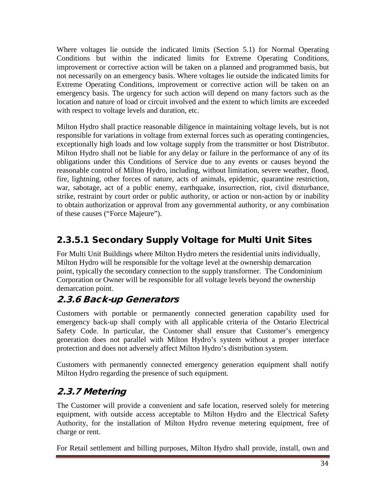Where voltages lie outside the indicated limits (Section 5.1) for Normal Operating Conditions but within the indicated limits for Extreme Operating Conditions, improvement or corrective action will be taken on a planned and programmed basis, but not necessarily on an emergency basis. Where voltages lie outside the indicated limits for Extreme Operating Conditions, improvement or corrective action will be taken on an emergency basis. The urgency for such action will depend on many factors such as the location and nature of load or circuit involved and the extent to which limits are exceeded with respect to voltage levels and duration, etc.

Milton Hydro shall practice reasonable diligence in maintaining voltage levels, but is not responsible for variations in voltage from external forces such as operating contingencies, exceptionally high loads and low voltage supply from the transmitter or host Distributor. Milton Hydro shall not be liable for any delay or failure in the performance of any of its obligations under this Conditions of Service due to any events or causes beyond the reasonable control of Milton Hydro, including, without limitation, severe weather, flood, fire, lightning, other forces of nature, acts of animals, epidemic, quarantine restriction, war, sabotage, act of a public enemy, earthquake, insurrection, riot, civil disturbance, strike, restraint by court order or public authority, or action or non-action by or inability to obtain authorization or approval from any governmental authority, or any combination of these causes ("Force Majeure").

# 2.3.5.1 Secondary Supply Voltage for Multi Unit Sites

For Multi Unit Buildings where Milton Hydro meters the residential units individually, Milton Hydro will be responsible for the voltage level at the ownership demarcation point, typically the secondary connection to the supply transformer. The Condominium Corporation or Owner will be responsible for all voltage levels beyond the ownership demarcation point.

## <span id="page-33-0"></span>2.3.6 Back-up Generators

Customers with portable or permanently connected generation capability used for emergency back-up shall comply with all applicable criteria of the Ontario Electrical Safety Code. In particular, the Customer shall ensure that Customer's emergency generation does not parallel with Milton Hydro's system without a proper interface protection and does not adversely affect Milton Hydro's distribution system.

Customers with permanently connected emergency generation equipment shall notify Milton Hydro regarding the presence of such equipment.

# <span id="page-33-1"></span>2.3.7 Metering

The Customer will provide a convenient and safe location, reserved solely for metering equipment, with outside access acceptable to Milton Hydro and the Electrical Safety Authority, for the installation of Milton Hydro revenue metering equipment, free of charge or rent.

For Retail settlement and billing purposes, Milton Hydro shall provide, install, own and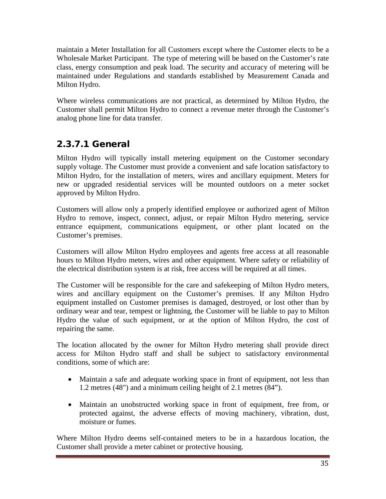maintain a Meter Installation for all Customers except where the Customer elects to be a Wholesale Market Participant. The type of metering will be based on the Customer's rate class, energy consumption and peak load. The security and accuracy of metering will be maintained under Regulations and standards established by Measurement Canada and Milton Hydro.

Where wireless communications are not practical, as determined by Milton Hydro, the Customer shall permit Milton Hydro to connect a revenue meter through the Customer's analog phone line for data transfer.

# 2.3.7.1 General

Milton Hydro will typically install metering equipment on the Customer secondary supply voltage. The Customer must provide a convenient and safe location satisfactory to Milton Hydro, for the installation of meters, wires and ancillary equipment. Meters for new or upgraded residential services will be mounted outdoors on a meter socket approved by Milton Hydro.

Customers will allow only a properly identified employee or authorized agent of Milton Hydro to remove, inspect, connect, adjust, or repair Milton Hydro metering, service entrance equipment, communications equipment, or other plant located on the Customer's premises.

Customers will allow Milton Hydro employees and agents free access at all reasonable hours to Milton Hydro meters, wires and other equipment. Where safety or reliability of the electrical distribution system is at risk, free access will be required at all times.

The Customer will be responsible for the care and safekeeping of Milton Hydro meters, wires and ancillary equipment on the Customer's premises. If any Milton Hydro equipment installed on Customer premises is damaged, destroyed, or lost other than by ordinary wear and tear, tempest or lightning, the Customer will be liable to pay to Milton Hydro the value of such equipment, or at the option of Milton Hydro, the cost of repairing the same.

The location allocated by the owner for Milton Hydro metering shall provide direct access for Milton Hydro staff and shall be subject to satisfactory environmental conditions, some of which are:

- Maintain a safe and adequate working space in front of equipment, not less than 1.2 metres (48") and a minimum ceiling height of 2.1 metres (84").
- Maintain an unobstructed working space in front of equipment, free from, or protected against, the adverse effects of moving machinery, vibration, dust, moisture or fumes.

Where Milton Hydro deems self-contained meters to be in a hazardous location, the Customer shall provide a meter cabinet or protective housing.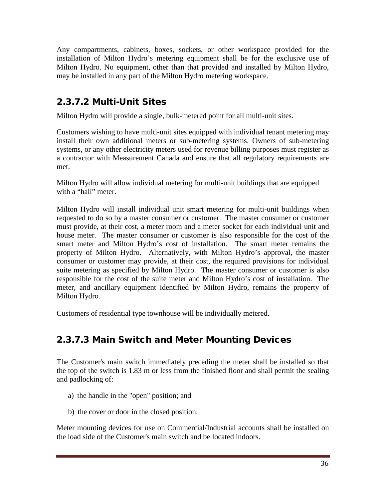Any compartments, cabinets, boxes, sockets, or other workspace provided for the installation of Milton Hydro's metering equipment shall be for the exclusive use of Milton Hydro. No equipment, other than that provided and installed by Milton Hydro, may be installed in any part of the Milton Hydro metering workspace.

## 2.3.7.2 Multi-Unit Sites

Milton Hydro will provide a single, bulk-metered point for all multi-unit sites.

Customers wishing to have multi-unit sites equipped with individual tenant metering may install their own additional meters or sub-metering systems. Owners of sub-metering systems, or any other electricity meters used for revenue billing purposes must register as a contractor with Measurement Canada and ensure that all regulatory requirements are met.

Milton Hydro will allow individual metering for multi-unit buildings that are equipped with a "hall" meter.

Milton Hydro will install individual unit smart metering for multi-unit buildings when requested to do so by a master consumer or customer. The master consumer or customer must provide, at their cost, a meter room and a meter socket for each individual unit and house meter. The master consumer or customer is also responsible for the cost of the smart meter and Milton Hydro's cost of installation. The smart meter remains the property of Milton Hydro. Alternatively, with Milton Hydro's approval, the master consumer or customer may provide, at their cost, the required provisions for individual suite metering as specified by Milton Hydro. The master consumer or customer is also responsible for the cost of the suite meter and Milton Hydro's cost of installation. The meter, and ancillary equipment identified by Milton Hydro, remains the property of Milton Hydro.

Customers of residential type townhouse will be individually metered.

# 2.3.7.3 Main Switch and Meter Mounting Devices

The Customer's main switch immediately preceding the meter shall be installed so that the top of the switch is 1.83 m or less from the finished floor and shall permit the sealing and padlocking of:

- a) the handle in the "open" position; and
- b) the cover or door in the closed position.

Meter mounting devices for use on Commercial/Industrial accounts shall be installed on the load side of the Customer's main switch and be located indoors.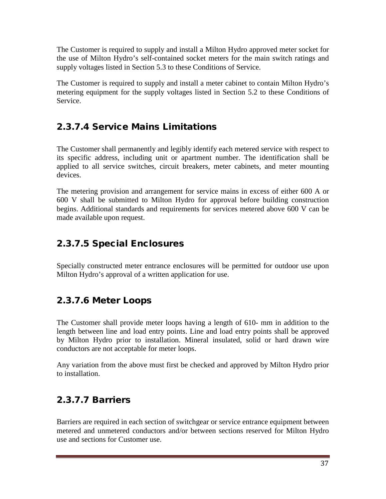The Customer is required to supply and install a Milton Hydro approved meter socket for the use of Milton Hydro's self-contained socket meters for the main switch ratings and supply voltages listed in Section 5.3 to these Conditions of Service.

The Customer is required to supply and install a meter cabinet to contain Milton Hydro's metering equipment for the supply voltages listed in Section 5.2 to these Conditions of Service.

# 2.3.7.4 Service Mains Limitations

The Customer shall permanently and legibly identify each metered service with respect to its specific address, including unit or apartment number. The identification shall be applied to all service switches, circuit breakers, meter cabinets, and meter mounting devices.

The metering provision and arrangement for service mains in excess of either 600 A or 600 V shall be submitted to Milton Hydro for approval before building construction begins. Additional standards and requirements for services metered above 600 V can be made available upon request.

# 2.3.7.5 Special Enclosures

Specially constructed meter entrance enclosures will be permitted for outdoor use upon Milton Hydro's approval of a written application for use.

# 2.3.7.6 Meter Loops

The Customer shall provide meter loops having a length of 610- mm in addition to the length between line and load entry points. Line and load entry points shall be approved by Milton Hydro prior to installation. Mineral insulated, solid or hard drawn wire conductors are not acceptable for meter loops.

Any variation from the above must first be checked and approved by Milton Hydro prior to installation.

# 2.3.7.7 Barriers

Barriers are required in each section of switchgear or service entrance equipment between metered and unmetered conductors and/or between sections reserved for Milton Hydro use and sections for Customer use.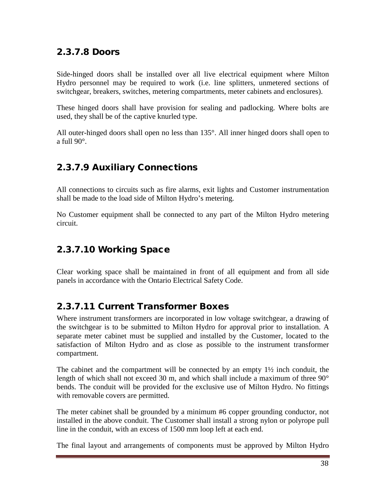#### 2.3.7.8 Doors

Side-hinged doors shall be installed over all live electrical equipment where Milton Hydro personnel may be required to work (i.e. line splitters, unmetered sections of switchgear, breakers, switches, metering compartments, meter cabinets and enclosures).

These hinged doors shall have provision for sealing and padlocking. Where bolts are used, they shall be of the captive knurled type.

All outer-hinged doors shall open no less than 135°. All inner hinged doors shall open to a full 90°.

#### 2.3.7.9 Auxiliary Connections

All connections to circuits such as fire alarms, exit lights and Customer instrumentation shall be made to the load side of Milton Hydro's metering.

No Customer equipment shall be connected to any part of the Milton Hydro metering circuit.

#### 2.3.7.10 Working Space

Clear working space shall be maintained in front of all equipment and from all side panels in accordance with the Ontario Electrical Safety Code.

#### 2.3.7.11 Current Transformer Boxes

Where instrument transformers are incorporated in low voltage switchgear, a drawing of the switchgear is to be submitted to Milton Hydro for approval prior to installation. A separate meter cabinet must be supplied and installed by the Customer, located to the satisfaction of Milton Hydro and as close as possible to the instrument transformer compartment.

The cabinet and the compartment will be connected by an empty  $1\frac{1}{2}$  inch conduit, the length of which shall not exceed 30 m, and which shall include a maximum of three 90° bends. The conduit will be provided for the exclusive use of Milton Hydro. No fittings with removable covers are permitted.

The meter cabinet shall be grounded by a minimum #6 copper grounding conductor, not installed in the above conduit. The Customer shall install a strong nylon or polyrope pull line in the conduit, with an excess of 1500 mm loop left at each end.

The final layout and arrangements of components must be approved by Milton Hydro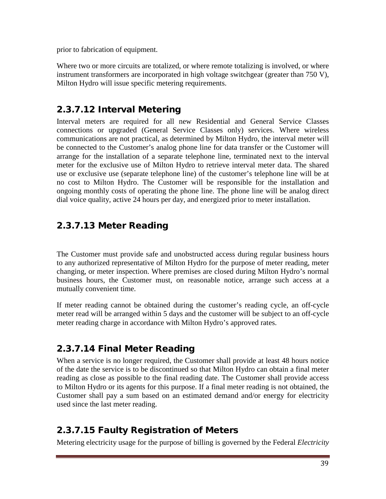prior to fabrication of equipment.

Where two or more circuits are totalized, or where remote totalizing is involved, or where instrument transformers are incorporated in high voltage switchgear (greater than 750 V), Milton Hydro will issue specific metering requirements.

#### 2.3.7.12 Interval Metering

Interval meters are required for all new Residential and General Service Classes connections or upgraded (General Service Classes only) services. Where wireless communications are not practical, as determined by Milton Hydro, the interval meter will be connected to the Customer's analog phone line for data transfer or the Customer will arrange for the installation of a separate telephone line, terminated next to the interval meter for the exclusive use of Milton Hydro to retrieve interval meter data. The shared use or exclusive use (separate telephone line) of the customer's telephone line will be at no cost to Milton Hydro. The Customer will be responsible for the installation and ongoing monthly costs of operating the phone line. The phone line will be analog direct dial voice quality, active 24 hours per day, and energized prior to meter installation.

# 2.3.7.13 Meter Reading

The Customer must provide safe and unobstructed access during regular business hours to any authorized representative of Milton Hydro for the purpose of meter reading, meter changing, or meter inspection. Where premises are closed during Milton Hydro's normal business hours, the Customer must, on reasonable notice, arrange such access at a mutually convenient time.

If meter reading cannot be obtained during the customer's reading cycle, an off-cycle meter read will be arranged within 5 days and the customer will be subject to an off-cycle meter reading charge in accordance with Milton Hydro's approved rates.

# 2.3.7.14 Final Meter Reading

When a service is no longer required, the Customer shall provide at least 48 hours notice of the date the service is to be discontinued so that Milton Hydro can obtain a final meter reading as close as possible to the final reading date. The Customer shall provide access to Milton Hydro or its agents for this purpose. If a final meter reading is not obtained, the Customer shall pay a sum based on an estimated demand and/or energy for electricity used since the last meter reading.

# 2.3.7.15 Faulty Registration of Meters

Metering electricity usage for the purpose of billing is governed by the Federal *Electricity*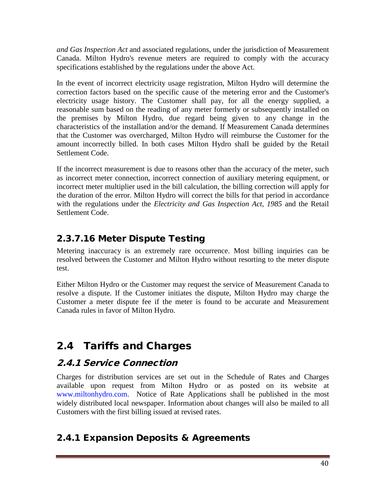*and Gas Inspection Act* and associated regulations, under the jurisdiction of Measurement Canada. Milton Hydro's revenue meters are required to comply with the accuracy specifications established by the regulations under the above Act.

In the event of incorrect electricity usage registration, Milton Hydro will determine the correction factors based on the specific cause of the metering error and the Customer's electricity usage history. The Customer shall pay, for all the energy supplied, a reasonable sum based on the reading of any meter formerly or subsequently installed on the premises by Milton Hydro, due regard being given to any change in the characteristics of the installation and/or the demand. If Measurement Canada determines that the Customer was overcharged, Milton Hydro will reimburse the Customer for the amount incorrectly billed. In both cases Milton Hydro shall be guided by the Retail Settlement Code.

If the incorrect measurement is due to reasons other than the accuracy of the meter, such as incorrect meter connection, incorrect connection of auxiliary metering equipment, or incorrect meter multiplier used in the bill calculation, the billing correction will apply for the duration of the error. Milton Hydro will correct the bills for that period in accordance with the regulations under the *Electricity and Gas Inspection Act, 1985* and the Retail Settlement Code.

# 2.3.7.16 Meter Dispute Testing

Metering inaccuracy is an extremely rare occurrence. Most billing inquiries can be resolved between the Customer and Milton Hydro without resorting to the meter dispute test.

Either Milton Hydro or the Customer may request the service of Measurement Canada to resolve a dispute. If the Customer initiates the dispute, Milton Hydro may charge the Customer a meter dispute fee if the meter is found to be accurate and Measurement Canada rules in favor of Milton Hydro.

# 2.4 Tariffs and Charges

# 2.4.1 Service Connection

Charges for distribution services are set out in the Schedule of Rates and Charges available upon request from Milton Hydro or as posted on its website at [www.miltonhydro.com.](http://www.miltonhydro.com/) Notice of Rate Applications shall be published in the most widely distributed local newspaper. Information about changes will also be mailed to all Customers with the first billing issued at revised rates.

# 2.4.1 Expansion Deposits & Agreements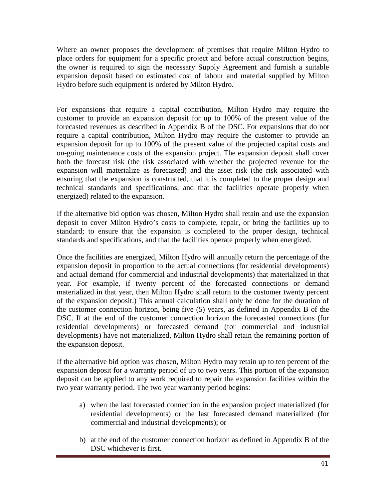Where an owner proposes the development of premises that require Milton Hydro to place orders for equipment for a specific project and before actual construction begins, the owner is required to sign the necessary Supply Agreement and furnish a suitable expansion deposit based on estimated cost of labour and material supplied by Milton Hydro before such equipment is ordered by Milton Hydro.

For expansions that require a capital contribution, Milton Hydro may require the customer to provide an expansion deposit for up to 100% of the present value of the forecasted revenues as described in Appendix B of the DSC. For expansions that do not require a capital contribution, Milton Hydro may require the customer to provide an expansion deposit for up to 100% of the present value of the projected capital costs and on-going maintenance costs of the expansion project. The expansion deposit shall cover both the forecast risk (the risk associated with whether the projected revenue for the expansion will materialize as forecasted) and the asset risk (the risk associated with ensuring that the expansion is constructed, that it is completed to the proper design and technical standards and specifications, and that the facilities operate properly when energized) related to the expansion.

If the alternative bid option was chosen, Milton Hydro shall retain and use the expansion deposit to cover Milton Hydro's costs to complete, repair, or bring the facilities up to standard; to ensure that the expansion is completed to the proper design, technical standards and specifications, and that the facilities operate properly when energized.

Once the facilities are energized, Milton Hydro will annually return the percentage of the expansion deposit in proportion to the actual connections (for residential developments) and actual demand (for commercial and industrial developments) that materialized in that year. For example, if twenty percent of the forecasted connections or demand materialized in that year, then Milton Hydro shall return to the customer twenty percent of the expansion deposit.) This annual calculation shall only be done for the duration of the customer connection horizon, being five (5) years, as defined in Appendix B of the DSC. If at the end of the customer connection horizon the forecasted connections (for residential developments) or forecasted demand (for commercial and industrial developments) have not materialized, Milton Hydro shall retain the remaining portion of the expansion deposit.

If the alternative bid option was chosen, Milton Hydro may retain up to ten percent of the expansion deposit for a warranty period of up to two years. This portion of the expansion deposit can be applied to any work required to repair the expansion facilities within the two year warranty period. The two year warranty period begins:

- a) when the last forecasted connection in the expansion project materialized (for residential developments) or the last forecasted demand materialized (for commercial and industrial developments); or
- b) at the end of the customer connection horizon as defined in Appendix B of the DSC whichever is first.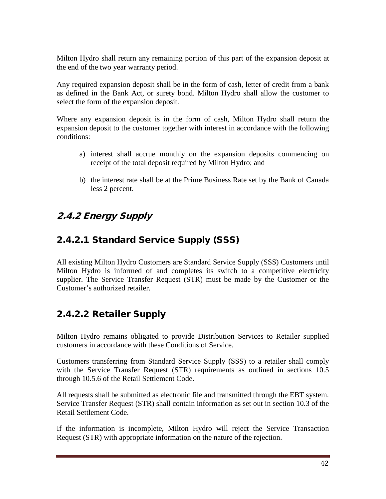Milton Hydro shall return any remaining portion of this part of the expansion deposit at the end of the two year warranty period.

Any required expansion deposit shall be in the form of cash, letter of credit from a bank as defined in the Bank Act, or surety bond. Milton Hydro shall allow the customer to select the form of the expansion deposit.

Where any expansion deposit is in the form of cash, Milton Hydro shall return the expansion deposit to the customer together with interest in accordance with the following conditions:

- a) interest shall accrue monthly on the expansion deposits commencing on receipt of the total deposit required by Milton Hydro; and
- b) the interest rate shall be at the Prime Business Rate set by the Bank of Canada less 2 percent.

# 2.4.2 Energy Supply

# 2.4.2.1 Standard Service Supply (SSS)

All existing Milton Hydro Customers are Standard Service Supply (SSS) Customers until Milton Hydro is informed of and completes its switch to a competitive electricity supplier. The Service Transfer Request (STR) must be made by the Customer or the Customer's authorized retailer.

# 2.4.2.2 Retailer Supply

Milton Hydro remains obligated to provide Distribution Services to Retailer supplied customers in accordance with these Conditions of Service.

Customers transferring from Standard Service Supply (SSS) to a retailer shall comply with the Service Transfer Request (STR) requirements as outlined in sections 10.5 through 10.5.6 of the Retail Settlement Code.

All requests shall be submitted as electronic file and transmitted through the EBT system. Service Transfer Request (STR) shall contain information as set out in section 10.3 of the Retail Settlement Code.

If the information is incomplete, Milton Hydro will reject the Service Transaction Request (STR) with appropriate information on the nature of the rejection.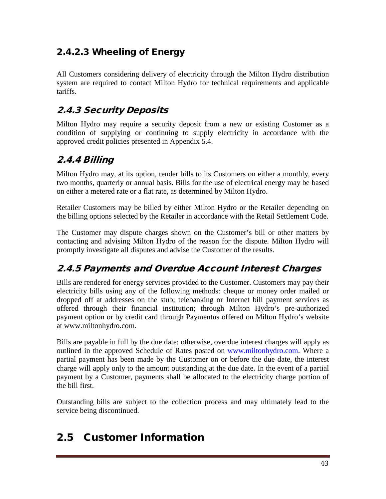# 2.4.2.3 Wheeling of Energy

All Customers considering delivery of electricity through the Milton Hydro distribution system are required to contact Milton Hydro for technical requirements and applicable tariffs.

# 2.4.3 Security Deposits

Milton Hydro may require a security deposit from a new or existing Customer as a condition of supplying or continuing to supply electricity in accordance with the approved credit policies presented in Appendix 5.4.

# 2.4.4 Billing

Milton Hydro may, at its option, render bills to its Customers on either a monthly, every two months, quarterly or annual basis. Bills for the use of electrical energy may be based on either a metered rate or a flat rate, as determined by Milton Hydro.

Retailer Customers may be billed by either Milton Hydro or the Retailer depending on the billing options selected by the Retailer in accordance with the Retail Settlement Code.

The Customer may dispute charges shown on the Customer's bill or other matters by contacting and advising Milton Hydro of the reason for the dispute. Milton Hydro will promptly investigate all disputes and advise the Customer of the results.

# 2.4.5 Payments and Overdue Account Interest Charges

Bills are rendered for energy services provided to the Customer. Customers may pay their electricity bills using any of the following methods: cheque or money order mailed or dropped off at addresses on the stub; telebanking or Internet bill payment services as offered through their financial institution; through Milton Hydro's pre-authorized payment option or by credit card through Paymentus offered on Milton Hydro's website at www.miltonhydro.com.

Bills are payable in full by the due date; otherwise, overdue interest charges will apply as outlined in the approved Schedule of Rates posted on [www.miltonhydro.com.](http://www.miltonhydro.com/) Where a partial payment has been made by the Customer on or before the due date, the interest charge will apply only to the amount outstanding at the due date. In the event of a partial payment by a Customer, payments shall be allocated to the electricity charge portion of the bill first.

Outstanding bills are subject to the collection process and may ultimately lead to the service being discontinued.

# 2.5 Customer Information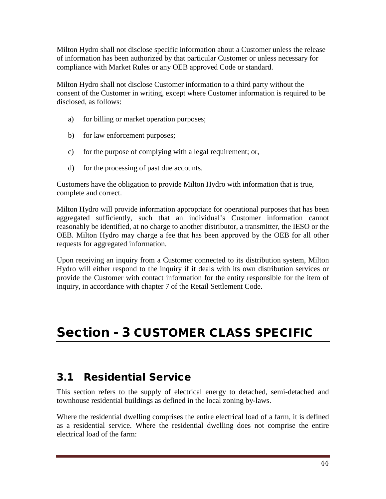Milton Hydro shall not disclose specific information about a Customer unless the release of information has been authorized by that particular Customer or unless necessary for compliance with Market Rules or any OEB approved Code or standard.

Milton Hydro shall not disclose Customer information to a third party without the consent of the Customer in writing, except where Customer information is required to be disclosed, as follows:

- a) for billing or market operation purposes;
- b) for law enforcement purposes;
- c) for the purpose of complying with a legal requirement; or,
- d) for the processing of past due accounts.

Customers have the obligation to provide Milton Hydro with information that is true, complete and correct.

Milton Hydro will provide information appropriate for operational purposes that has been aggregated sufficiently, such that an individual's Customer information cannot reasonably be identified, at no charge to another distributor, a transmitter, the IESO or the OEB. Milton Hydro may charge a fee that has been approved by the OEB for all other requests for aggregated information.

Upon receiving an inquiry from a Customer connected to its distribution system, Milton Hydro will either respond to the inquiry if it deals with its own distribution services or provide the Customer with contact information for the entity responsible for the item of inquiry, in accordance with chapter 7 of the Retail Settlement Code.

# Section - 3 CUSTOMER CLASS SPECIFIC

# 3.1 Residential Service

This section refers to the supply of electrical energy to detached, semi-detached and townhouse residential buildings as defined in the local zoning by-laws.

Where the residential dwelling comprises the entire electrical load of a farm, it is defined as a residential service. Where the residential dwelling does not comprise the entire electrical load of the farm: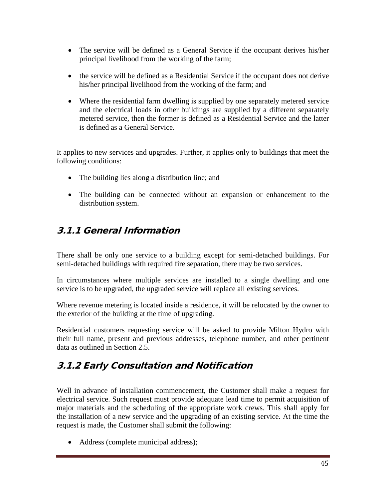- The service will be defined as a General Service if the occupant derives his/her principal livelihood from the working of the farm;
- the service will be defined as a Residential Service if the occupant does not derive his/her principal livelihood from the working of the farm; and
- Where the residential farm dwelling is supplied by one separately metered service and the electrical loads in other buildings are supplied by a different separately metered service, then the former is defined as a Residential Service and the latter is defined as a General Service.

It applies to new services and upgrades. Further, it applies only to buildings that meet the following conditions:

- The building lies along a distribution line; and
- The building can be connected without an expansion or enhancement to the distribution system.

#### 3.1.1 General Information

There shall be only one service to a building except for semi-detached buildings. For semi-detached buildings with required fire separation, there may be two services.

In circumstances where multiple services are installed to a single dwelling and one service is to be upgraded, the upgraded service will replace all existing services.

Where revenue metering is located inside a residence, it will be relocated by the owner to the exterior of the building at the time of upgrading.

Residential customers requesting service will be asked to provide Milton Hydro with their full name, present and previous addresses, telephone number, and other pertinent data as outlined in Section 2.5.

# 3.1.2 Early Consultation and Notification

Well in advance of installation commencement, the Customer shall make a request for electrical service. Such request must provide adequate lead time to permit acquisition of major materials and the scheduling of the appropriate work crews. This shall apply for the installation of a new service and the upgrading of an existing service. At the time the request is made, the Customer shall submit the following:

• Address (complete municipal address);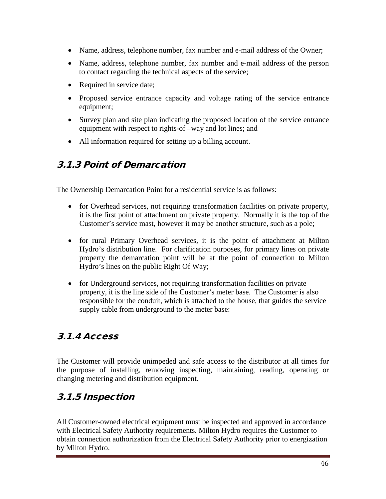- Name, address, telephone number, fax number and e-mail address of the Owner;
- Name, address, telephone number, fax number and e-mail address of the person to contact regarding the technical aspects of the service;
- Required in service date;
- Proposed service entrance capacity and voltage rating of the service entrance equipment;
- Survey plan and site plan indicating the proposed location of the service entrance equipment with respect to rights-of –way and lot lines; and
- All information required for setting up a billing account.

#### 3.1.3 Point of Demarcation

The Ownership Demarcation Point for a residential service is as follows:

- for Overhead services, not requiring transformation facilities on private property, it is the first point of attachment on private property. Normally it is the top of the Customer's service mast, however it may be another structure, such as a pole;
- for rural Primary Overhead services, it is the point of attachment at Milton Hydro's distribution line. For clarification purposes, for primary lines on private property the demarcation point will be at the point of connection to Milton Hydro's lines on the public Right Of Way;
- for Underground services, not requiring transformation facilities on private property, it is the line side of the Customer's meter base. The Customer is also responsible for the conduit, which is attached to the house, that guides the service supply cable from underground to the meter base:

# 3.1.4 Access

The Customer will provide unimpeded and safe access to the distributor at all times for the purpose of installing, removing inspecting, maintaining, reading, operating or changing metering and distribution equipment.

# 3.1.5 Inspection

All Customer-owned electrical equipment must be inspected and approved in accordance with Electrical Safety Authority requirements. Milton Hydro requires the Customer to obtain connection authorization from the Electrical Safety Authority prior to energization by Milton Hydro.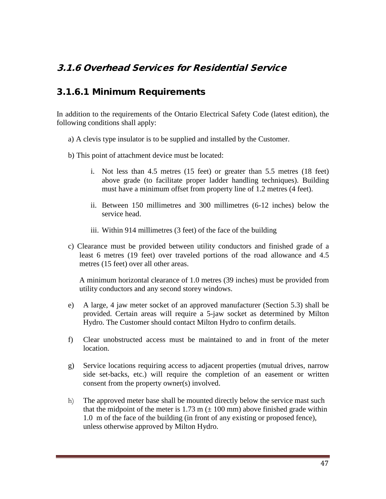#### 3.1.6 Overhead Services for Residential Service

#### 3.1.6.1 Minimum Requirements

In addition to the requirements of the Ontario Electrical Safety Code (latest edition), the following conditions shall apply:

- a) A clevis type insulator is to be supplied and installed by the Customer.
- b) This point of attachment device must be located:
	- i. Not less than 4.5 metres (15 feet) or greater than 5.5 metres (18 feet) above grade (to facilitate proper ladder handling techniques). Building must have a minimum offset from property line of 1.2 metres (4 feet).
	- ii. Between 150 millimetres and 300 millimetres (6-12 inches) below the service head.
	- iii. Within 914 millimetres (3 feet) of the face of the building
- c) Clearance must be provided between utility conductors and finished grade of a least 6 metres (19 feet) over traveled portions of the road allowance and 4.5 metres (15 feet) over all other areas.

A minimum horizontal clearance of 1.0 metres (39 inches) must be provided from utility conductors and any second storey windows.

- e) A large, 4 jaw meter socket of an approved manufacturer (Section 5.3) shall be provided. Certain areas will require a 5-jaw socket as determined by Milton Hydro. The Customer should contact Milton Hydro to confirm details.
- f) Clear unobstructed access must be maintained to and in front of the meter location.
- g) Service locations requiring access to adjacent properties (mutual drives, narrow side set-backs, etc.) will require the completion of an easement or written consent from the property owner(s) involved.
- h) The approved meter base shall be mounted directly below the service mast such that the midpoint of the meter is 1.73 m  $(\pm 100 \text{ mm})$  above finished grade within 1.0 m of the face of the building (in front of any existing or proposed fence), unless otherwise approved by Milton Hydro.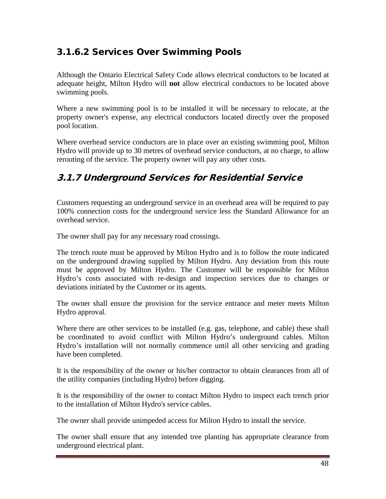# 3.1.6.2 Services Over Swimming Pools

Although the Ontario Electrical Safety Code allows electrical conductors to be located at adequate height, Milton Hydro will **not** allow electrical conductors to be located above swimming pools.

Where a new swimming pool is to be installed it will be necessary to relocate, at the property owner's expense, any electrical conductors located directly over the proposed pool location.

Where overhead service conductors are in place over an existing swimming pool, Milton Hydro will provide up to 30 metres of overhead service conductors, at no charge, to allow rerouting of the service. The property owner will pay any other costs.

# 3.1.7 Underground Services for Residential Service

Customers requesting an underground service in an overhead area will be required to pay 100% connection costs for the underground service less the Standard Allowance for an overhead service.

The owner shall pay for any necessary road crossings.

The trench route must be approved by Milton Hydro and is to follow the route indicated on the underground drawing supplied by Milton Hydro. Any deviation from this route must be approved by Milton Hydro. The Customer will be responsible for Milton Hydro's costs associated with re-design and inspection services due to changes or deviations initiated by the Customer or its agents.

The owner shall ensure the provision for the service entrance and meter meets Milton Hydro approval.

Where there are other services to be installed (e.g. gas, telephone, and cable) these shall be coordinated to avoid conflict with Milton Hydro's underground cables. Milton Hydro's installation will not normally commence until all other servicing and grading have been completed.

It is the responsibility of the owner or his/her contractor to obtain clearances from all of the utility companies (including Hydro) before digging.

It is the responsibility of the owner to contact Milton Hydro to inspect each trench prior to the installation of Milton Hydro's service cables.

The owner shall provide unimpeded access for Milton Hydro to install the service.

The owner shall ensure that any intended tree planting has appropriate clearance from underground electrical plant.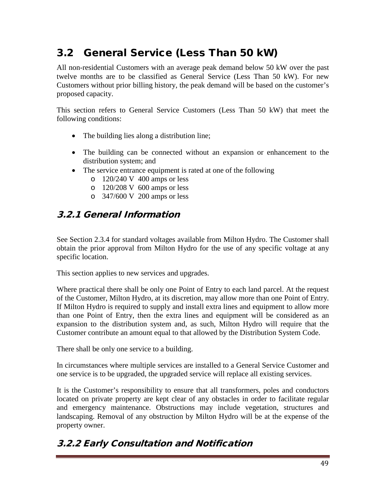# 3.2 General Service (Less Than 50 kW)

All non-residential Customers with an average peak demand below 50 kW over the past twelve months are to be classified as General Service (Less Than 50 kW). For new Customers without prior billing history, the peak demand will be based on the customer's proposed capacity.

This section refers to General Service Customers (Less Than 50 kW) that meet the following conditions:

- The building lies along a distribution line;
- The building can be connected without an expansion or enhancement to the distribution system; and
- The service entrance equipment is rated at one of the following
	- o 120/240 V 400 amps or less
	- o 120/208 V 600 amps or less
	- o 347/600 V 200 amps or less

#### 3.2.1 General Information

See Section 2.3.4 for standard voltages available from Milton Hydro. The Customer shall obtain the prior approval from Milton Hydro for the use of any specific voltage at any specific location.

This section applies to new services and upgrades.

Where practical there shall be only one Point of Entry to each land parcel. At the request of the Customer, Milton Hydro, at its discretion, may allow more than one Point of Entry. If Milton Hydro is required to supply and install extra lines and equipment to allow more than one Point of Entry, then the extra lines and equipment will be considered as an expansion to the distribution system and, as such, Milton Hydro will require that the Customer contribute an amount equal to that allowed by the Distribution System Code.

There shall be only one service to a building.

In circumstances where multiple services are installed to a General Service Customer and one service is to be upgraded, the upgraded service will replace all existing services.

It is the Customer's responsibility to ensure that all transformers, poles and conductors located on private property are kept clear of any obstacles in order to facilitate regular and emergency maintenance. Obstructions may include vegetation, structures and landscaping. Removal of any obstruction by Milton Hydro will be at the expense of the property owner.

# 3.2.2 Early Consultation and Notification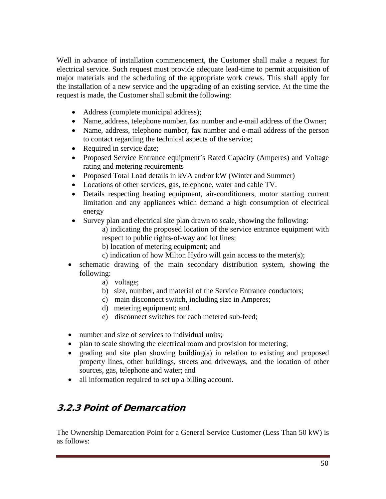Well in advance of installation commencement, the Customer shall make a request for electrical service. Such request must provide adequate lead-time to permit acquisition of major materials and the scheduling of the appropriate work crews. This shall apply for the installation of a new service and the upgrading of an existing service. At the time the request is made, the Customer shall submit the following:

- Address (complete municipal address);
- Name, address, telephone number, fax number and e-mail address of the Owner;
- Name, address, telephone number, fax number and e-mail address of the person to contact regarding the technical aspects of the service;
- Required in service date;
- Proposed Service Entrance equipment's Rated Capacity (Amperes) and Voltage rating and metering requirements
- Proposed Total Load details in kVA and/or kW (Winter and Summer)
- Locations of other services, gas, telephone, water and cable TV.
- Details respecting heating equipment, air-conditioners, motor starting current limitation and any appliances which demand a high consumption of electrical energy
- Survey plan and electrical site plan drawn to scale, showing the following:

a) indicating the proposed location of the service entrance equipment with respect to public rights-of-way and lot lines;

- b) location of metering equipment; and
- c) indication of how Milton Hydro will gain access to the meter(s);
- schematic drawing of the main secondary distribution system, showing the following:
	- a) voltage;
	- b) size, number, and material of the Service Entrance conductors;
	- c) main disconnect switch, including size in Amperes;
	- d) metering equipment; and
	- e) disconnect switches for each metered sub-feed;
- number and size of services to individual units:
- plan to scale showing the electrical room and provision for metering;
- grading and site plan showing building(s) in relation to existing and proposed property lines, other buildings, streets and driveways, and the location of other sources, gas, telephone and water; and
- all information required to set up a billing account.

# 3.2.3 Point of Demarcation

The Ownership Demarcation Point for a General Service Customer (Less Than 50 kW) is as follows: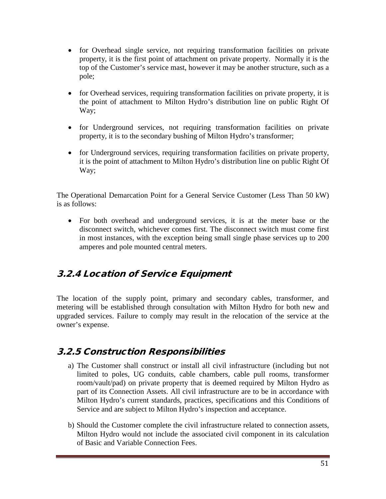- for Overhead single service, not requiring transformation facilities on private property, it is the first point of attachment on private property. Normally it is the top of the Customer's service mast, however it may be another structure, such as a pole;
- for Overhead services, requiring transformation facilities on private property, it is the point of attachment to Milton Hydro's distribution line on public Right Of Way;
- for Underground services, not requiring transformation facilities on private property, it is to the secondary bushing of Milton Hydro's transformer;
- for Underground services, requiring transformation facilities on private property, it is the point of attachment to Milton Hydro's distribution line on public Right Of Way;

The Operational Demarcation Point for a General Service Customer (Less Than 50 kW) is as follows:

• For both overhead and underground services, it is at the meter base or the disconnect switch, whichever comes first. The disconnect switch must come first in most instances, with the exception being small single phase services up to 200 amperes and pole mounted central meters.

#### 3.2.4 Location of Service Equipment

The location of the supply point, primary and secondary cables, transformer, and metering will be established through consultation with Milton Hydro for both new and upgraded services. Failure to comply may result in the relocation of the service at the owner's expense.

#### 3.2.5 Construction Responsibilities

- a) The Customer shall construct or install all civil infrastructure (including but not limited to poles, UG conduits, cable chambers, cable pull rooms, transformer room/vault/pad) on private property that is deemed required by Milton Hydro as part of its Connection Assets. All civil infrastructure are to be in accordance with Milton Hydro's current standards, practices, specifications and this Conditions of Service and are subject to Milton Hydro's inspection and acceptance.
- b) Should the Customer complete the civil infrastructure related to connection assets, Milton Hydro would not include the associated civil component in its calculation of Basic and Variable Connection Fees.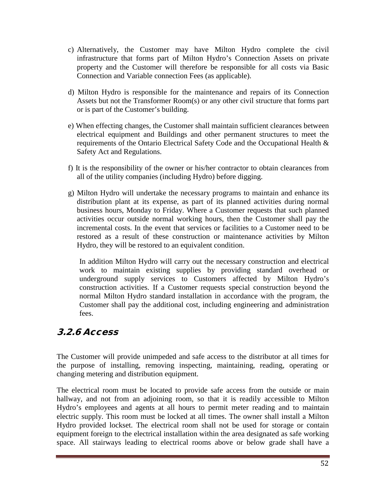- c) Alternatively, the Customer may have Milton Hydro complete the civil infrastructure that forms part of Milton Hydro's Connection Assets on private property and the Customer will therefore be responsible for all costs via Basic Connection and Variable connection Fees (as applicable).
- d) Milton Hydro is responsible for the maintenance and repairs of its Connection Assets but not the Transformer Room(s) or any other civil structure that forms part or is part of the Customer's building.
- e) When effecting changes, the Customer shall maintain sufficient clearances between electrical equipment and Buildings and other permanent structures to meet the requirements of the Ontario Electrical Safety Code and the Occupational Health & Safety Act and Regulations.
- f) It is the responsibility of the owner or his/her contractor to obtain clearances from all of the utility companies (including Hydro) before digging.
- g) Milton Hydro will undertake the necessary programs to maintain and enhance its distribution plant at its expense, as part of its planned activities during normal business hours, Monday to Friday. Where a Customer requests that such planned activities occur outside normal working hours, then the Customer shall pay the incremental costs. In the event that services or facilities to a Customer need to be restored as a result of these construction or maintenance activities by Milton Hydro, they will be restored to an equivalent condition.

In addition Milton Hydro will carry out the necessary construction and electrical work to maintain existing supplies by providing standard overhead or underground supply services to Customers affected by Milton Hydro's construction activities. If a Customer requests special construction beyond the normal Milton Hydro standard installation in accordance with the program, the Customer shall pay the additional cost, including engineering and administration fees.

#### 3.2.6 Access

The Customer will provide unimpeded and safe access to the distributor at all times for the purpose of installing, removing inspecting, maintaining, reading, operating or changing metering and distribution equipment.

The electrical room must be located to provide safe access from the outside or main hallway, and not from an adjoining room, so that it is readily accessible to Milton Hydro's employees and agents at all hours to permit meter reading and to maintain electric supply. This room must be locked at all times. The owner shall install a Milton Hydro provided lockset. The electrical room shall not be used for storage or contain equipment foreign to the electrical installation within the area designated as safe working space. All stairways leading to electrical rooms above or below grade shall have a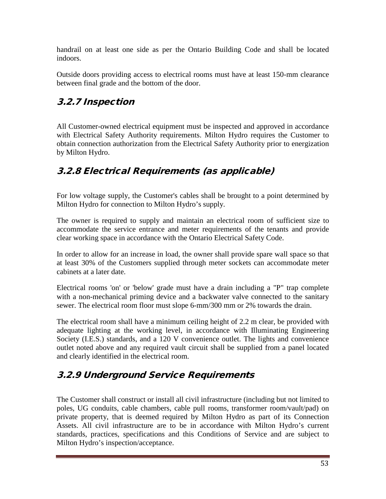handrail on at least one side as per the Ontario Building Code and shall be located indoors.

Outside doors providing access to electrical rooms must have at least 150-mm clearance between final grade and the bottom of the door.

# 3.2.7 Inspection

All Customer-owned electrical equipment must be inspected and approved in accordance with Electrical Safety Authority requirements. Milton Hydro requires the Customer to obtain connection authorization from the Electrical Safety Authority prior to energization by Milton Hydro.

# 3.2.8 Electrical Requirements (as applicable)

For low voltage supply, the Customer's cables shall be brought to a point determined by Milton Hydro for connection to Milton Hydro's supply.

The owner is required to supply and maintain an electrical room of sufficient size to accommodate the service entrance and meter requirements of the tenants and provide clear working space in accordance with the Ontario Electrical Safety Code.

In order to allow for an increase in load, the owner shall provide spare wall space so that at least 30% of the Customers supplied through meter sockets can accommodate meter cabinets at a later date.

Electrical rooms 'on' or 'below' grade must have a drain including a "P" trap complete with a non-mechanical priming device and a backwater valve connected to the sanitary sewer. The electrical room floor must slope 6-mm/300 mm or 2% towards the drain.

The electrical room shall have a minimum ceiling height of 2.2 m clear, be provided with adequate lighting at the working level, in accordance with Illuminating Engineering Society (I.E.S.) standards, and a 120 V convenience outlet. The lights and convenience outlet noted above and any required vault circuit shall be supplied from a panel located and clearly identified in the electrical room.

# 3.2.9 Underground Service Requirements

The Customer shall construct or install all civil infrastructure (including but not limited to poles, UG conduits, cable chambers, cable pull rooms, transformer room/vault/pad) on private property, that is deemed required by Milton Hydro as part of its Connection Assets. All civil infrastructure are to be in accordance with Milton Hydro's current standards, practices, specifications and this Conditions of Service and are subject to Milton Hydro's inspection/acceptance.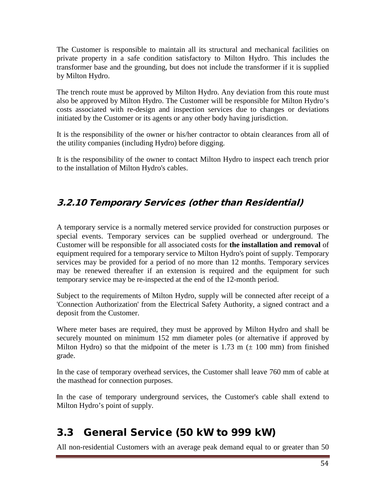The Customer is responsible to maintain all its structural and mechanical facilities on private property in a safe condition satisfactory to Milton Hydro. This includes the transformer base and the grounding, but does not include the transformer if it is supplied by Milton Hydro.

The trench route must be approved by Milton Hydro. Any deviation from this route must also be approved by Milton Hydro. The Customer will be responsible for Milton Hydro's costs associated with re-design and inspection services due to changes or deviations initiated by the Customer or its agents or any other body having jurisdiction.

It is the responsibility of the owner or his/her contractor to obtain clearances from all of the utility companies (including Hydro) before digging.

It is the responsibility of the owner to contact Milton Hydro to inspect each trench prior to the installation of Milton Hydro's cables.

# 3.2.10 Temporary Services (other than Residential)

A temporary service is a normally metered service provided for construction purposes or special events. Temporary services can be supplied overhead or underground. The Customer will be responsible for all associated costs for **the installation and removal** of equipment required for a temporary service to Milton Hydro's point of supply. Temporary services may be provided for a period of no more than 12 months. Temporary services may be renewed thereafter if an extension is required and the equipment for such temporary service may be re-inspected at the end of the 12-month period.

Subject to the requirements of Milton Hydro, supply will be connected after receipt of a 'Connection Authorization' from the Electrical Safety Authority, a signed contract and a deposit from the Customer.

Where meter bases are required, they must be approved by Milton Hydro and shall be securely mounted on minimum 152 mm diameter poles (or alternative if approved by Milton Hydro) so that the midpoint of the meter is 1.73 m  $(\pm 100 \text{ mm})$  from finished grade.

In the case of temporary overhead services, the Customer shall leave 760 mm of cable at the masthead for connection purposes.

In the case of temporary underground services, the Customer's cable shall extend to Milton Hydro's point of supply.

# 3.3 General Service (50 kW to 999 kW)

All non-residential Customers with an average peak demand equal to or greater than 50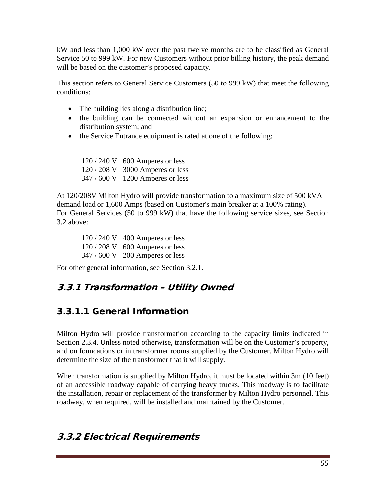kW and less than 1,000 kW over the past twelve months are to be classified as General Service 50 to 999 kW. For new Customers without prior billing history, the peak demand will be based on the customer's proposed capacity.

This section refers to General Service Customers (50 to 999 kW) that meet the following conditions:

- The building lies along a distribution line;
- the building can be connected without an expansion or enhancement to the distribution system; and
- the Service Entrance equipment is rated at one of the following:

120 / 240 V 600 Amperes or less 120 / 208 V 3000 Amperes or less 347 / 600 V 1200 Amperes or less

At 120/208V Milton Hydro will provide transformation to a maximum size of 500 kVA demand load or 1,600 Amps (based on Customer's main breaker at a 100% rating). For General Services (50 to 999 kW) that have the following service sizes, see Section 3.2 above:

120 / 240 V 400 Amperes or less 120 / 208 V 600 Amperes or less 347 / 600 V 200 Amperes or less

For other general information, see Section 3.2.1.

# 3.3.1 Transformation – Utility Owned

# 3.3.1.1 General Information

Milton Hydro will provide transformation according to the capacity limits indicated in Section 2.3.4. Unless noted otherwise, transformation will be on the Customer's property, and on foundations or in transformer rooms supplied by the Customer. Milton Hydro will determine the size of the transformer that it will supply.

When transformation is supplied by Milton Hydro, it must be located within 3m (10 feet) of an accessible roadway capable of carrying heavy trucks. This roadway is to facilitate the installation, repair or replacement of the transformer by Milton Hydro personnel. This roadway, when required, will be installed and maintained by the Customer.

#### 3.3.2 Electrical Requirements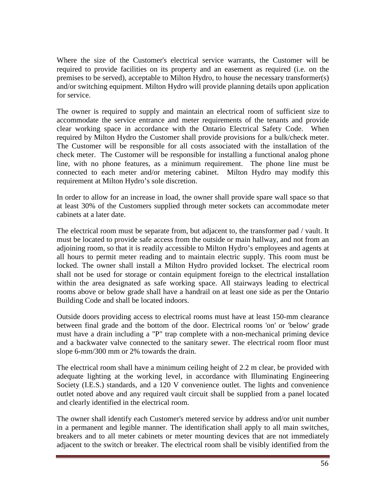Where the size of the Customer's electrical service warrants, the Customer will be required to provide facilities on its property and an easement as required (i.e. on the premises to be served), acceptable to Milton Hydro, to house the necessary transformer(s) and/or switching equipment. Milton Hydro will provide planning details upon application for service.

The owner is required to supply and maintain an electrical room of sufficient size to accommodate the service entrance and meter requirements of the tenants and provide clear working space in accordance with the Ontario Electrical Safety Code. When required by Milton Hydro the Customer shall provide provisions for a bulk/check meter. The Customer will be responsible for all costs associated with the installation of the check meter. The Customer will be responsible for installing a functional analog phone line, with no phone features, as a minimum requirement. The phone line must be connected to each meter and/or metering cabinet. Milton Hydro may modify this requirement at Milton Hydro's sole discretion.

In order to allow for an increase in load, the owner shall provide spare wall space so that at least 30% of the Customers supplied through meter sockets can accommodate meter cabinets at a later date.

The electrical room must be separate from, but adjacent to, the transformer pad / vault. It must be located to provide safe access from the outside or main hallway, and not from an adjoining room, so that it is readily accessible to Milton Hydro's employees and agents at all hours to permit meter reading and to maintain electric supply. This room must be locked. The owner shall install a Milton Hydro provided lockset. The electrical room shall not be used for storage or contain equipment foreign to the electrical installation within the area designated as safe working space. All stairways leading to electrical rooms above or below grade shall have a handrail on at least one side as per the Ontario Building Code and shall be located indoors.

Outside doors providing access to electrical rooms must have at least 150-mm clearance between final grade and the bottom of the door. Electrical rooms 'on' or 'below' grade must have a drain including a "P" trap complete with a non-mechanical priming device and a backwater valve connected to the sanitary sewer. The electrical room floor must slope 6-mm/300 mm or 2% towards the drain.

The electrical room shall have a minimum ceiling height of 2.2 m clear, be provided with adequate lighting at the working level, in accordance with Illuminating Engineering Society (I.E.S.) standards, and a 120 V convenience outlet. The lights and convenience outlet noted above and any required vault circuit shall be supplied from a panel located and clearly identified in the electrical room.

The owner shall identify each Customer's metered service by address and/or unit number in a permanent and legible manner. The identification shall apply to all main switches, breakers and to all meter cabinets or meter mounting devices that are not immediately adjacent to the switch or breaker. The electrical room shall be visibly identified from the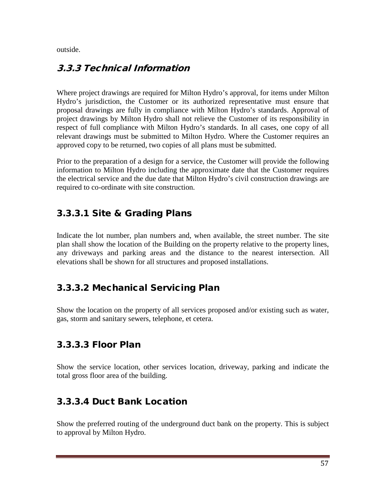outside.

#### 3.3.3 Technical Information

Where project drawings are required for Milton Hydro's approval, for items under Milton Hydro's jurisdiction, the Customer or its authorized representative must ensure that proposal drawings are fully in compliance with Milton Hydro's standards. Approval of project drawings by Milton Hydro shall not relieve the Customer of its responsibility in respect of full compliance with Milton Hydro's standards. In all cases, one copy of all relevant drawings must be submitted to Milton Hydro. Where the Customer requires an approved copy to be returned, two copies of all plans must be submitted.

Prior to the preparation of a design for a service, the Customer will provide the following information to Milton Hydro including the approximate date that the Customer requires the electrical service and the due date that Milton Hydro's civil construction drawings are required to co-ordinate with site construction.

# 3.3.3.1 Site & Grading Plans

Indicate the lot number, plan numbers and, when available, the street number. The site plan shall show the location of the Building on the property relative to the property lines, any driveways and parking areas and the distance to the nearest intersection. All elevations shall be shown for all structures and proposed installations.

# 3.3.3.2 Mechanical Servicing Plan

Show the location on the property of all services proposed and/or existing such as water, gas, storm and sanitary sewers, telephone, et cetera.

#### 3.3.3.3 Floor Plan

Show the service location, other services location, driveway, parking and indicate the total gross floor area of the building.

#### 3.3.3.4 Duct Bank Location

Show the preferred routing of the underground duct bank on the property. This is subject to approval by Milton Hydro.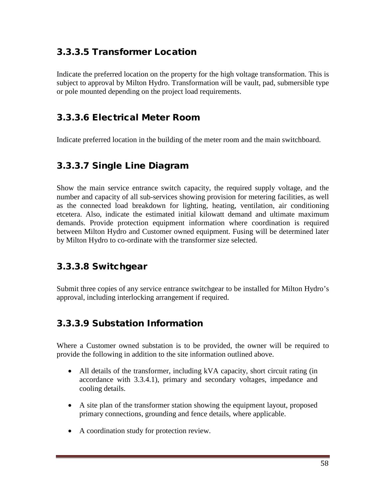### 3.3.3.5 Transformer Location

Indicate the preferred location on the property for the high voltage transformation. This is subject to approval by Milton Hydro. Transformation will be vault, pad, submersible type or pole mounted depending on the project load requirements.

#### 3.3.3.6 Electrical Meter Room

Indicate preferred location in the building of the meter room and the main switchboard.

#### 3.3.3.7 Single Line Diagram

Show the main service entrance switch capacity, the required supply voltage, and the number and capacity of all sub-services showing provision for metering facilities, as well as the connected load breakdown for lighting, heating, ventilation, air conditioning etcetera. Also, indicate the estimated initial kilowatt demand and ultimate maximum demands. Provide protection equipment information where coordination is required between Milton Hydro and Customer owned equipment. Fusing will be determined later by Milton Hydro to co-ordinate with the transformer size selected.

#### 3.3.3.8 Switchgear

Submit three copies of any service entrance switchgear to be installed for Milton Hydro's approval, including interlocking arrangement if required.

#### 3.3.3.9 Substation Information

Where a Customer owned substation is to be provided, the owner will be required to provide the following in addition to the site information outlined above.

- All details of the transformer, including kVA capacity, short circuit rating (in accordance with 3.3.4.1), primary and secondary voltages, impedance and cooling details.
- A site plan of the transformer station showing the equipment layout, proposed primary connections, grounding and fence details, where applicable.
- A coordination study for protection review.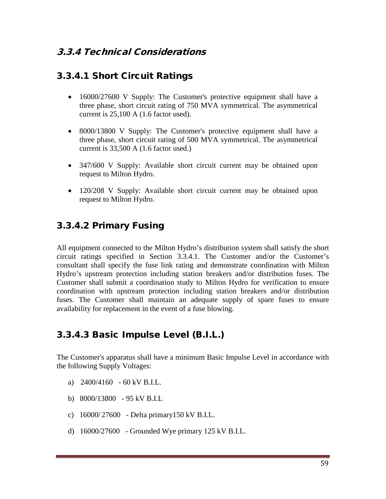#### 3.3.4 Technical Considerations

#### 3.3.4.1 Short Circuit Ratings

- 16000/27600 V Supply: The Customer's protective equipment shall have a three phase, short circuit rating of 750 MVA symmetrical. The asymmetrical current is 25,100 A (1.6 factor used).
- 8000/13800 V Supply: The Customer's protective equipment shall have a three phase, short circuit rating of 500 MVA symmetrical. The asymmetrical current is 33,500 A (1.6 factor used.)
- 347/600 V Supply: Available short circuit current may be obtained upon request to Milton Hydro.
- 120/208 V Supply: Available short circuit current may be obtained upon request to Milton Hydro.

#### 3.3.4.2 Primary Fusing

All equipment connected to the Milton Hydro's distribution system shall satisfy the short circuit ratings specified in Section 3.3.4.1. The Customer and/or the Customer's consultant shall specify the fuse link rating and demonstrate coordination with Milton Hydro's upstream protection including station breakers and/or distribution fuses. The Customer shall submit a coordination study to Milton Hydro for verification to ensure coordination with upstream protection including station breakers and/or distribution fuses. The Customer shall maintain an adequate supply of spare fuses to ensure availability for replacement in the event of a fuse blowing.

#### 3.3.4.3 Basic Impulse Level (B.I.L.)

The Customer's apparatus shall have a minimum Basic Impulse Level in accordance with the following Supply Voltages:

- a) 2400/4160 60 kV B.I.L.
- b) 8000/13800 95 kV B.I.L
- c) 16000/ 27600 Delta primary150 kV B.I.L.
- d) 16000/27600 Grounded Wye primary 125 kV B.I.L.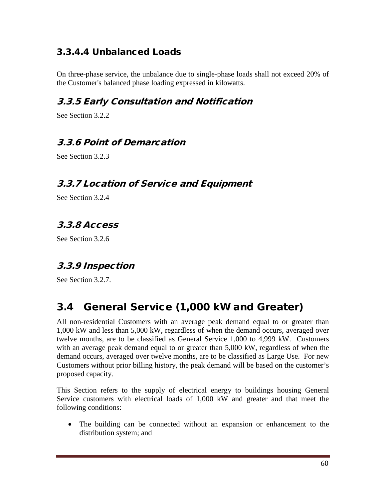# 3.3.4.4 Unbalanced Loads

On three-phase service, the unbalance due to single-phase loads shall not exceed 20% of the Customer's balanced phase loading expressed in kilowatts.

# 3.3.5 Early Consultation and Notification

See Section 3.2.2

#### 3.3.6 Point of Demarcation

See Section 3.2.3

#### 3.3.7 Location of Service and Equipment

See Section 3.2.4

# 3.3.8 Access

See Section 3.2.6

#### 3.3.9 Inspection

See Section 3.2.7.

# 3.4 General Service (1,000 kW and Greater)

All non-residential Customers with an average peak demand equal to or greater than 1,000 kW and less than 5,000 kW, regardless of when the demand occurs, averaged over twelve months, are to be classified as General Service 1,000 to 4,999 kW. Customers with an average peak demand equal to or greater than 5,000 kW, regardless of when the demand occurs, averaged over twelve months, are to be classified as Large Use. For new Customers without prior billing history, the peak demand will be based on the customer's proposed capacity.

This Section refers to the supply of electrical energy to buildings housing General Service customers with electrical loads of 1,000 kW and greater and that meet the following conditions:

• The building can be connected without an expansion or enhancement to the distribution system; and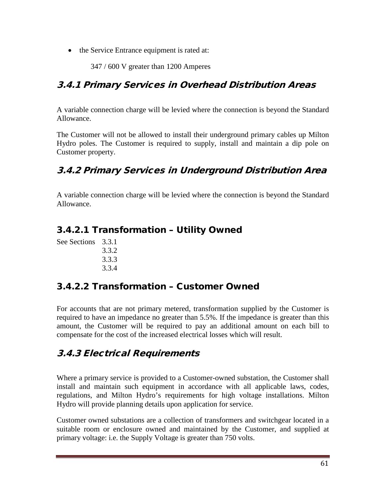• the Service Entrance equipment is rated at:

347 / 600 V greater than 1200 Amperes

#### 3.4.1 Primary Services in Overhead Distribution Areas

A variable connection charge will be levied where the connection is beyond the Standard Allowance.

The Customer will not be allowed to install their underground primary cables up Milton Hydro poles. The Customer is required to supply, install and maintain a dip pole on Customer property.

#### 3.4.2 Primary Services in Underground Distribution Area

A variable connection charge will be levied where the connection is beyond the Standard Allowance.

#### 3.4.2.1 Transformation – Utility Owned

See Sections 3.3.1 3.3.2 3.3.3 3.3.4

#### 3.4.2.2 Transformation – Customer Owned

For accounts that are not primary metered, transformation supplied by the Customer is required to have an impedance no greater than 5.5%. If the impedance is greater than this amount, the Customer will be required to pay an additional amount on each bill to compensate for the cost of the increased electrical losses which will result.

#### 3.4.3 Electrical Requirements

Where a primary service is provided to a Customer-owned substation, the Customer shall install and maintain such equipment in accordance with all applicable laws, codes, regulations, and Milton Hydro's requirements for high voltage installations. Milton Hydro will provide planning details upon application for service.

Customer owned substations are a collection of transformers and switchgear located in a suitable room or enclosure owned and maintained by the Customer, and supplied at primary voltage: i.e. the Supply Voltage is greater than 750 volts.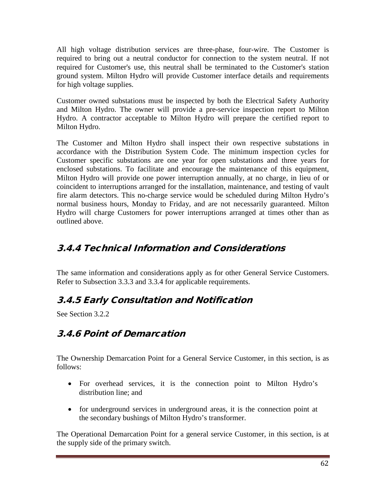All high voltage distribution services are three-phase, four-wire. The Customer is required to bring out a neutral conductor for connection to the system neutral. If not required for Customer's use, this neutral shall be terminated to the Customer's station ground system. Milton Hydro will provide Customer interface details and requirements for high voltage supplies.

Customer owned substations must be inspected by both the Electrical Safety Authority and Milton Hydro. The owner will provide a pre-service inspection report to Milton Hydro. A contractor acceptable to Milton Hydro will prepare the certified report to Milton Hydro.

The Customer and Milton Hydro shall inspect their own respective substations in accordance with the Distribution System Code. The minimum inspection cycles for Customer specific substations are one year for open substations and three years for enclosed substations. To facilitate and encourage the maintenance of this equipment, Milton Hydro will provide one power interruption annually, at no charge, in lieu of or coincident to interruptions arranged for the installation, maintenance, and testing of vault fire alarm detectors. This no-charge service would be scheduled during Milton Hydro's normal business hours, Monday to Friday, and are not necessarily guaranteed. Milton Hydro will charge Customers for power interruptions arranged at times other than as outlined above.

#### 3.4.4 Technical Information and Considerations

The same information and considerations apply as for other General Service Customers. Refer to Subsection 3.3.3 and 3.3.4 for applicable requirements.

# 3.4.5 Early Consultation and Notification

See Section 3.2.2

# 3.4.6 Point of Demarcation

The Ownership Demarcation Point for a General Service Customer, in this section, is as follows:

- For overhead services, it is the connection point to Milton Hydro's distribution line; and
- for underground services in underground areas, it is the connection point at the secondary bushings of Milton Hydro's transformer.

The Operational Demarcation Point for a general service Customer, in this section, is at the supply side of the primary switch.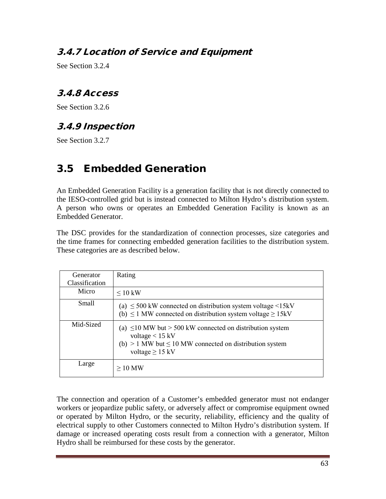#### 3.4.7 Location of Service and Equipment

See Section 3.2.4

#### 3.4.8 Access

See Section 3.2.6

#### 3.4.9 Inspection

See Section 3.2.7

# 3.5 Embedded Generation

An Embedded Generation Facility is a generation facility that is not directly connected to the IESO-controlled grid but is instead connected to Milton Hydro's distribution system. A person who owns or operates an Embedded Generation Facility is known as an Embedded Generator.

The DSC provides for the standardization of connection processes, size categories and the time frames for connecting embedded generation facilities to the distribution system. These categories are as described below.

| Generator<br>Classification | Rating                                                                                                                                                                        |
|-----------------------------|-------------------------------------------------------------------------------------------------------------------------------------------------------------------------------|
| Micro                       | $\leq 10$ kW                                                                                                                                                                  |
| Small                       | (a) $\leq$ 500 kW connected on distribution system voltage $\leq$ 15kV<br>(b) $\leq$ 1 MW connected on distribution system voltage $\geq$ 15kV                                |
| Mid-Sized                   | (a) $\leq$ 10 MW but > 500 kW connected on distribution system<br>voltage $< 15$ kV<br>(b) $> 1$ MW but $\leq 10$ MW connected on distribution system<br>voltage $\geq$ 15 kV |
| Large                       | $>10$ MW                                                                                                                                                                      |

The connection and operation of a Customer's embedded generator must not endanger workers or jeopardize public safety, or adversely affect or compromise equipment owned or operated by Milton Hydro, or the security, reliability, efficiency and the quality of electrical supply to other Customers connected to Milton Hydro's distribution system. If damage or increased operating costs result from a connection with a generator, Milton Hydro shall be reimbursed for these costs by the generator.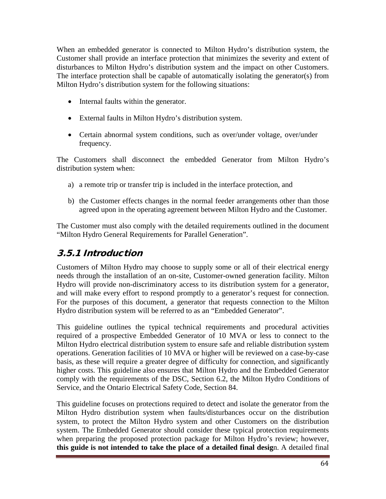When an embedded generator is connected to Milton Hydro's distribution system, the Customer shall provide an interface protection that minimizes the severity and extent of disturbances to Milton Hydro's distribution system and the impact on other Customers. The interface protection shall be capable of automatically isolating the generator(s) from Milton Hydro's distribution system for the following situations:

- Internal faults within the generator.
- External faults in Milton Hydro's distribution system.
- Certain abnormal system conditions, such as over/under voltage, over/under frequency.

The Customers shall disconnect the embedded Generator from Milton Hydro's distribution system when:

- a) a remote trip or transfer trip is included in the interface protection, and
- b) the Customer effects changes in the normal feeder arrangements other than those agreed upon in the operating agreement between Milton Hydro and the Customer.

The Customer must also comply with the detailed requirements outlined in the document "Milton Hydro General Requirements for Parallel Generation".

#### 3.5.1 Introduction

Customers of Milton Hydro may choose to supply some or all of their electrical energy needs through the installation of an on-site, Customer-owned generation facility. Milton Hydro will provide non-discriminatory access to its distribution system for a generator, and will make every effort to respond promptly to a generator's request for connection. For the purposes of this document, a generator that requests connection to the Milton Hydro distribution system will be referred to as an "Embedded Generator".

This guideline outlines the typical technical requirements and procedural activities required of a prospective Embedded Generator of 10 MVA or less to connect to the Milton Hydro electrical distribution system to ensure safe and reliable distribution system operations. Generation facilities of 10 MVA or higher will be reviewed on a case-by-case basis, as these will require a greater degree of difficulty for connection, and significantly higher costs. This guideline also ensures that Milton Hydro and the Embedded Generator comply with the requirements of the DSC, Section 6.2, the Milton Hydro Conditions of Service, and the Ontario Electrical Safety Code, Section 84.

This guideline focuses on protections required to detect and isolate the generator from the Milton Hydro distribution system when faults/disturbances occur on the distribution system, to protect the Milton Hydro system and other Customers on the distribution system. The Embedded Generator should consider these typical protection requirements when preparing the proposed protection package for Milton Hydro's review; however, **this guide is not intended to take the place of a detailed final desig**n. A detailed final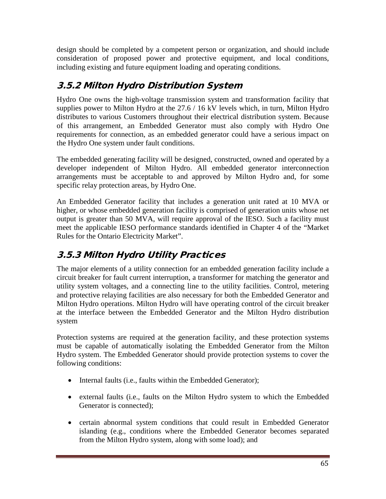design should be completed by a competent person or organization, and should include consideration of proposed power and protective equipment, and local conditions, including existing and future equipment loading and operating conditions.

# 3.5.2 Milton Hydro Distribution System

Hydro One owns the high-voltage transmission system and transformation facility that supplies power to Milton Hydro at the 27.6 / 16 kV levels which, in turn, Milton Hydro distributes to various Customers throughout their electrical distribution system. Because of this arrangement, an Embedded Generator must also comply with Hydro One requirements for connection, as an embedded generator could have a serious impact on the Hydro One system under fault conditions.

The embedded generating facility will be designed, constructed, owned and operated by a developer independent of Milton Hydro. All embedded generator interconnection arrangements must be acceptable to and approved by Milton Hydro and, for some specific relay protection areas, by Hydro One.

An Embedded Generator facility that includes a generation unit rated at 10 MVA or higher, or whose embedded generation facility is comprised of generation units whose net output is greater than 50 MVA, will require approval of the IESO. Such a facility must meet the applicable IESO performance standards identified in Chapter 4 of the "Market Rules for the Ontario Electricity Market".

# 3.5.3 Milton Hydro Utility Practices

The major elements of a utility connection for an embedded generation facility include a circuit breaker for fault current interruption, a transformer for matching the generator and utility system voltages, and a connecting line to the utility facilities. Control, metering and protective relaying facilities are also necessary for both the Embedded Generator and Milton Hydro operations. Milton Hydro will have operating control of the circuit breaker at the interface between the Embedded Generator and the Milton Hydro distribution system

Protection systems are required at the generation facility, and these protection systems must be capable of automatically isolating the Embedded Generator from the Milton Hydro system. The Embedded Generator should provide protection systems to cover the following conditions:

- Internal faults (i.e., faults within the Embedded Generator);
- external faults (i.e., faults on the Milton Hydro system to which the Embedded Generator is connected);
- certain abnormal system conditions that could result in Embedded Generator islanding (e.g., conditions where the Embedded Generator becomes separated from the Milton Hydro system, along with some load); and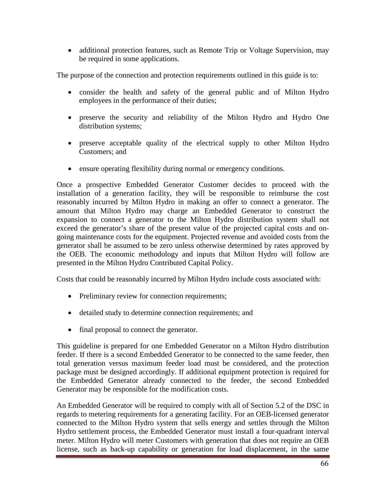• additional protection features, such as Remote Trip or Voltage Supervision, may be required in some applications.

The purpose of the connection and protection requirements outlined in this guide is to:

- consider the health and safety of the general public and of Milton Hydro employees in the performance of their duties;
- preserve the security and reliability of the Milton Hydro and Hydro One distribution systems;
- preserve acceptable quality of the electrical supply to other Milton Hydro Customers; and
- ensure operating flexibility during normal or emergency conditions.

Once a prospective Embedded Generator Customer decides to proceed with the installation of a generation facility, they will be responsible to reimburse the cost reasonably incurred by Milton Hydro in making an offer to connect a generator. The amount that Milton Hydro may charge an Embedded Generator to construct the expansion to connect a generator to the Milton Hydro distribution system shall not exceed the generator's share of the present value of the projected capital costs and ongoing maintenance costs for the equipment. Projected revenue and avoided costs from the generator shall be assumed to be zero unless otherwise determined by rates approved by the OEB. The economic methodology and inputs that Milton Hydro will follow are presented in the Milton Hydro Contributed Capital Policy.

Costs that could be reasonably incurred by Milton Hydro include costs associated with:

- Preliminary review for connection requirements;
- detailed study to determine connection requirements; and
- final proposal to connect the generator.

This guideline is prepared for one Embedded Generator on a Milton Hydro distribution feeder. If there is a second Embedded Generator to be connected to the same feeder, then total generation versus maximum feeder load must be considered, and the protection package must be designed accordingly. If additional equipment protection is required for the Embedded Generator already connected to the feeder, the second Embedded Generator may be responsible for the modification costs.

An Embedded Generator will be required to comply with all of Section 5.2 of the DSC in regards to metering requirements for a generating facility. For an OEB-licensed generator connected to the Milton Hydro system that sells energy and settles through the Milton Hydro settlement process, the Embedded Generator must install a four-quadrant interval meter. Milton Hydro will meter Customers with generation that does not require an OEB license, such as back-up capability or generation for load displacement, in the same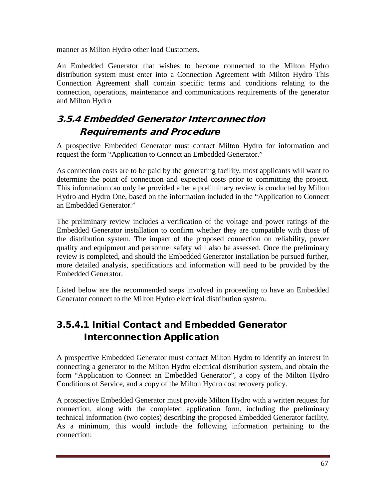manner as Milton Hydro other load Customers.

An Embedded Generator that wishes to become connected to the Milton Hydro distribution system must enter into a Connection Agreement with Milton Hydro This Connection Agreement shall contain specific terms and conditions relating to the connection, operations, maintenance and communications requirements of the generator and Milton Hydro

# 3.5.4 Embedded Generator Interconnection Requirements and Procedure

A prospective Embedded Generator must contact Milton Hydro for information and request the form "Application to Connect an Embedded Generator."

As connection costs are to be paid by the generating facility, most applicants will want to determine the point of connection and expected costs prior to committing the project. This information can only be provided after a preliminary review is conducted by Milton Hydro and Hydro One, based on the information included in the "Application to Connect an Embedded Generator."

The preliminary review includes a verification of the voltage and power ratings of the Embedded Generator installation to confirm whether they are compatible with those of the distribution system. The impact of the proposed connection on reliability, power quality and equipment and personnel safety will also be assessed. Once the preliminary review is completed, and should the Embedded Generator installation be pursued further, more detailed analysis, specifications and information will need to be provided by the Embedded Generator.

Listed below are the recommended steps involved in proceeding to have an Embedded Generator connect to the Milton Hydro electrical distribution system.

# 3.5.4.1 Initial Contact and Embedded Generator Interconnection Application

A prospective Embedded Generator must contact Milton Hydro to identify an interest in connecting a generator to the Milton Hydro electrical distribution system, and obtain the form "Application to Connect an Embedded Generator", a copy of the Milton Hydro Conditions of Service, and a copy of the Milton Hydro cost recovery policy.

A prospective Embedded Generator must provide Milton Hydro with a written request for connection, along with the completed application form, including the preliminary technical information (two copies) describing the proposed Embedded Generator facility. As a minimum, this would include the following information pertaining to the connection: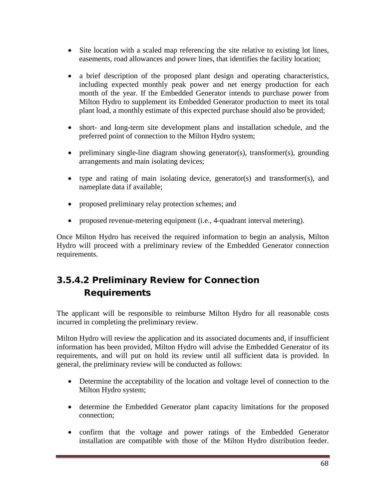- Site location with a scaled map referencing the site relative to existing lot lines, easements, road allowances and power lines, that identifies the facility location;
- a brief description of the proposed plant design and operating characteristics, including expected monthly peak power and net energy production for each month of the year. If the Embedded Generator intends to purchase power from Milton Hydro to supplement its Embedded Generator production to meet its total plant load, a monthly estimate of this expected purchase should also be provided;
- short- and long-term site development plans and installation schedule, and the preferred point of connection to the Milton Hydro system;
- preliminary single-line diagram showing generator(s), transformer(s), grounding arrangements and main isolating devices;
- type and rating of main isolating device, generator(s) and transformer(s), and nameplate data if available;
- proposed preliminary relay protection schemes; and
- proposed revenue-metering equipment (i.e., 4-quadrant interval metering).

Once Milton Hydro has received the required information to begin an analysis, Milton Hydro will proceed with a preliminary review of the Embedded Generator connection requirements.

# 3.5.4.2 Preliminary Review for Connection Requirements

The applicant will be responsible to reimburse Milton Hydro for all reasonable costs incurred in completing the preliminary review.

Milton Hydro will review the application and its associated documents and, if insufficient information has been provided, Milton Hydro will advise the Embedded Generator of its requirements, and will put on hold its review until all sufficient data is provided. In general, the preliminary review will be conducted as follows:

- Determine the acceptability of the location and voltage level of connection to the Milton Hydro system;
- determine the Embedded Generator plant capacity limitations for the proposed connection;
- confirm that the voltage and power ratings of the Embedded Generator installation are compatible with those of the Milton Hydro distribution feeder.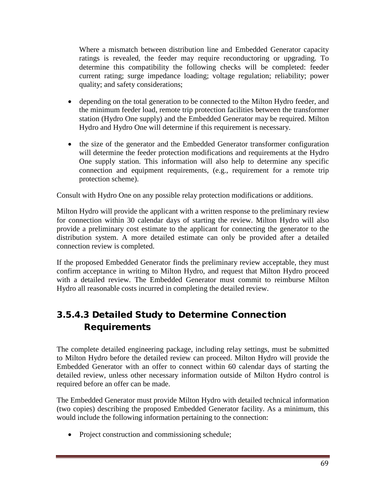Where a mismatch between distribution line and Embedded Generator capacity ratings is revealed, the feeder may require reconductoring or upgrading. To determine this compatibility the following checks will be completed: feeder current rating; surge impedance loading; voltage regulation; reliability; power quality; and safety considerations;

- depending on the total generation to be connected to the Milton Hydro feeder, and the minimum feeder load, remote trip protection facilities between the transformer station (Hydro One supply) and the Embedded Generator may be required. Milton Hydro and Hydro One will determine if this requirement is necessary.
- the size of the generator and the Embedded Generator transformer configuration will determine the feeder protection modifications and requirements at the Hydro One supply station. This information will also help to determine any specific connection and equipment requirements, (e.g., requirement for a remote trip protection scheme).

Consult with Hydro One on any possible relay protection modifications or additions.

Milton Hydro will provide the applicant with a written response to the preliminary review for connection within 30 calendar days of starting the review. Milton Hydro will also provide a preliminary cost estimate to the applicant for connecting the generator to the distribution system. A more detailed estimate can only be provided after a detailed connection review is completed.

If the proposed Embedded Generator finds the preliminary review acceptable, they must confirm acceptance in writing to Milton Hydro, and request that Milton Hydro proceed with a detailed review. The Embedded Generator must commit to reimburse Milton Hydro all reasonable costs incurred in completing the detailed review.

# 3.5.4.3 Detailed Study to Determine Connection Requirements

The complete detailed engineering package, including relay settings, must be submitted to Milton Hydro before the detailed review can proceed. Milton Hydro will provide the Embedded Generator with an offer to connect within 60 calendar days of starting the detailed review, unless other necessary information outside of Milton Hydro control is required before an offer can be made.

The Embedded Generator must provide Milton Hydro with detailed technical information (two copies) describing the proposed Embedded Generator facility. As a minimum, this would include the following information pertaining to the connection:

• Project construction and commissioning schedule;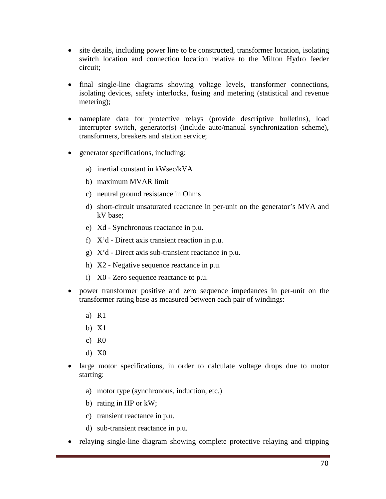- site details, including power line to be constructed, transformer location, isolating switch location and connection location relative to the Milton Hydro feeder circuit;
- final single-line diagrams showing voltage levels, transformer connections, isolating devices, safety interlocks, fusing and metering (statistical and revenue metering);
- nameplate data for protective relays (provide descriptive bulletins), load interrupter switch, generator(s) (include auto/manual synchronization scheme), transformers, breakers and station service;
- generator specifications, including:
	- a) inertial constant in kWsec/kVA
	- b) maximum MVAR limit
	- c) neutral ground resistance in Ohms
	- d) short-circuit unsaturated reactance in per-unit on the generator's MVA and kV base;
	- e) Xd Synchronous reactance in p.u.
	- f) X'd Direct axis transient reaction in p.u.
	- g) X'd Direct axis sub-transient reactance in p.u.
	- h) X2 Negative sequence reactance in p.u.
	- i) X0 Zero sequence reactance to p.u.
- power transformer positive and zero sequence impedances in per-unit on the transformer rating base as measured between each pair of windings:
	- a) R1
	- b) X1
	- c)  $R0$
	- d) X0
- large motor specifications, in order to calculate voltage drops due to motor starting:
	- a) motor type (synchronous, induction, etc.)
	- b) rating in HP or kW;
	- c) transient reactance in p.u.
	- d) sub-transient reactance in p.u.
- relaying single-line diagram showing complete protective relaying and tripping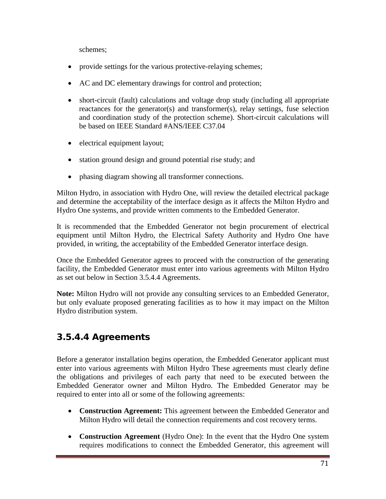schemes;

- provide settings for the various protective-relaying schemes;
- AC and DC elementary drawings for control and protection;
- short-circuit (fault) calculations and voltage drop study (including all appropriate reactances for the generator(s) and transformer(s), relay settings, fuse selection and coordination study of the protection scheme). Short-circuit calculations will be based on IEEE Standard #ANS/IEEE C37.04
- electrical equipment layout;
- station ground design and ground potential rise study; and
- phasing diagram showing all transformer connections.

Milton Hydro, in association with Hydro One, will review the detailed electrical package and determine the acceptability of the interface design as it affects the Milton Hydro and Hydro One systems, and provide written comments to the Embedded Generator.

It is recommended that the Embedded Generator not begin procurement of electrical equipment until Milton Hydro, the Electrical Safety Authority and Hydro One have provided, in writing, the acceptability of the Embedded Generator interface design.

Once the Embedded Generator agrees to proceed with the construction of the generating facility, the Embedded Generator must enter into various agreements with Milton Hydro as set out below in Section 3.5.4.4 Agreements.

**Note:** Milton Hydro will not provide any consulting services to an Embedded Generator, but only evaluate proposed generating facilities as to how it may impact on the Milton Hydro distribution system.

# 3.5.4.4 Agreements

Before a generator installation begins operation, the Embedded Generator applicant must enter into various agreements with Milton Hydro These agreements must clearly define the obligations and privileges of each party that need to be executed between the Embedded Generator owner and Milton Hydro. The Embedded Generator may be required to enter into all or some of the following agreements:

- **Construction Agreement:** This agreement between the Embedded Generator and Milton Hydro will detail the connection requirements and cost recovery terms.
- **Construction Agreement** (Hydro One): In the event that the Hydro One system requires modifications to connect the Embedded Generator, this agreement will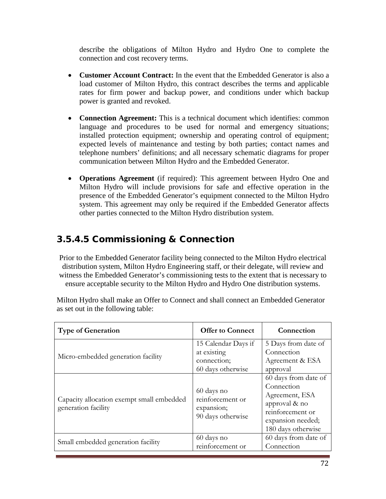describe the obligations of Milton Hydro and Hydro One to complete the connection and cost recovery terms.

- **Customer Account Contract:** In the event that the Embedded Generator is also a load customer of Milton Hydro, this contract describes the terms and applicable rates for firm power and backup power, and conditions under which backup power is granted and revoked.
- **Connection Agreement:** This is a technical document which identifies: common language and procedures to be used for normal and emergency situations; installed protection equipment; ownership and operating control of equipment; expected levels of maintenance and testing by both parties; contact names and telephone numbers' definitions; and all necessary schematic diagrams for proper communication between Milton Hydro and the Embedded Generator.
- **Operations Agreement** (if required): This agreement between Hydro One and Milton Hydro will include provisions for safe and effective operation in the presence of the Embedded Generator's equipment connected to the Milton Hydro system. This agreement may only be required if the Embedded Generator affects other parties connected to the Milton Hydro distribution system.

# 3.5.4.5 Commissioning & Connection

Prior to the Embedded Generator facility being connected to the Milton Hydro electrical distribution system, Milton Hydro Engineering staff, or their delegate, will review and witness the Embedded Generator's commissioning tests to the extent that is necessary to ensure acceptable security to the Milton Hydro and Hydro One distribution systems.

Milton Hydro shall make an Offer to Connect and shall connect an Embedded Generator as set out in the following table:

| <b>Type of Generation</b>                                        | <b>Offer to Connect</b>                                                | Connection                                                                                                                           |
|------------------------------------------------------------------|------------------------------------------------------------------------|--------------------------------------------------------------------------------------------------------------------------------------|
| Micro-embedded generation facility                               | 15 Calendar Days if<br>at existing<br>connection;<br>60 days otherwise | 5 Days from date of<br>Connection<br>Agreement & ESA<br>approval                                                                     |
| Capacity allocation exempt small embedded<br>generation facility | 60 days no<br>reinforcement or<br>expansion;<br>90 days otherwise      | 60 days from date of<br>Connection<br>Agreement, ESA<br>approval & no<br>reinforcement or<br>expansion needed;<br>180 days otherwise |
| Small embedded generation facility                               | 60 days no<br>reinforcement or                                         | 60 days from date of<br>Connection                                                                                                   |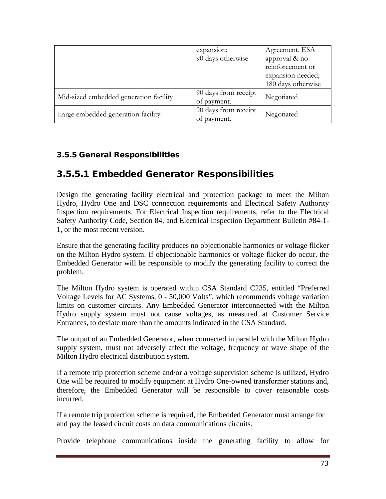|                                        | expansion;           | Agreement, ESA     |  |
|----------------------------------------|----------------------|--------------------|--|
|                                        | 90 days otherwise    | approval & no      |  |
|                                        |                      | reinforcement or   |  |
|                                        |                      | expansion needed;  |  |
|                                        |                      | 180 days otherwise |  |
| Mid-sized embedded generation facility | 90 days from receipt | Negotiated         |  |
|                                        | of payment.          |                    |  |
|                                        | 90 days from receipt | Negotiated         |  |
| Large embedded generation facility     | of payment.          |                    |  |

#### 3.5.5 General Responsibilities

## 3.5.5.1 Embedded Generator Responsibilities

Design the generating facility electrical and protection package to meet the Milton Hydro, Hydro One and DSC connection requirements and Electrical Safety Authority Inspection requirements. For Electrical Inspection requirements, refer to the Electrical Safety Authority Code, Section 84, and Electrical Inspection Department Bulletin #84-1- 1, or the most recent version.

Ensure that the generating facility produces no objectionable harmonics or voltage flicker on the Milton Hydro system. If objectionable harmonics or voltage flicker do occur, the Embedded Generator will be responsible to modify the generating facility to correct the problem.

The Milton Hydro system is operated within CSA Standard C235, entitled "Preferred Voltage Levels for AC Systems, 0 - 50,000 Volts", which recommends voltage variation limits on customer circuits. Any Embedded Generator interconnected with the Milton Hydro supply system must not cause voltages, as measured at Customer Service Entrances, to deviate more than the amounts indicated in the CSA Standard.

The output of an Embedded Generator, when connected in parallel with the Milton Hydro supply system, must not adversely affect the voltage, frequency or wave shape of the Milton Hydro electrical distribution system.

If a remote trip protection scheme and/or a voltage supervision scheme is utilized, Hydro One will be required to modify equipment at Hydro One-owned transformer stations and, therefore, the Embedded Generator will be responsible to cover reasonable costs incurred.

If a remote trip protection scheme is required, the Embedded Generator must arrange for and pay the leased circuit costs on data communications circuits.

Provide telephone communications inside the generating facility to allow for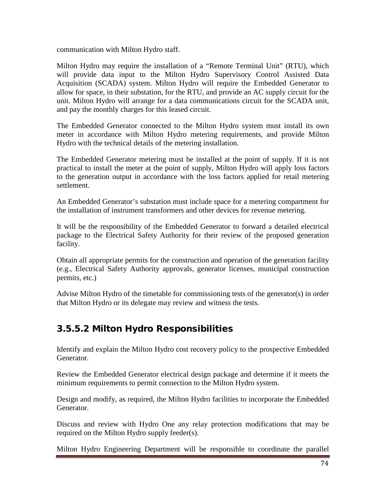communication with Milton Hydro staff.

Milton Hydro may require the installation of a "Remote Terminal Unit" (RTU), which will provide data input to the Milton Hydro Supervisory Control Assisted Data Acquisition (SCADA) system. Milton Hydro will require the Embedded Generator to allow for space, in their substation, for the RTU, and provide an AC supply circuit for the unit. Milton Hydro will arrange for a data communications circuit for the SCADA unit, and pay the monthly charges for this leased circuit.

The Embedded Generator connected to the Milton Hydro system must install its own meter in accordance with Milton Hydro metering requirements, and provide Milton Hydro with the technical details of the metering installation.

The Embedded Generator metering must be installed at the point of supply. If it is not practical to install the meter at the point of supply, Milton Hydro will apply loss factors to the generation output in accordance with the loss factors applied for retail metering settlement.

An Embedded Generator's substation must include space for a metering compartment for the installation of instrument transformers and other devices for revenue metering.

It will be the responsibility of the Embedded Generator to forward a detailed electrical package to the Electrical Safety Authority for their review of the proposed generation facility.

Obtain all appropriate permits for the construction and operation of the generation facility (e.g., Electrical Safety Authority approvals, generator licenses, municipal construction permits, etc.)

Advise Milton Hydro of the timetable for commissioning tests of the generator(s) in order that Milton Hydro or its delegate may review and witness the tests.

## 3.5.5.2 Milton Hydro Responsibilities

Identify and explain the Milton Hydro cost recovery policy to the prospective Embedded Generator.

Review the Embedded Generator electrical design package and determine if it meets the minimum requirements to permit connection to the Milton Hydro system.

Design and modify, as required, the Milton Hydro facilities to incorporate the Embedded Generator.

Discuss and review with Hydro One any relay protection modifications that may be required on the Milton Hydro supply feeder(s).

Milton Hydro Engineering Department will be responsible to coordinate the parallel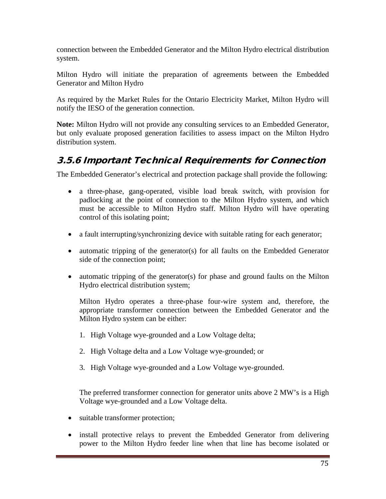connection between the Embedded Generator and the Milton Hydro electrical distribution system.

Milton Hydro will initiate the preparation of agreements between the Embedded Generator and Milton Hydro

As required by the Market Rules for the Ontario Electricity Market, Milton Hydro will notify the IESO of the generation connection.

**Note:** Milton Hydro will not provide any consulting services to an Embedded Generator, but only evaluate proposed generation facilities to assess impact on the Milton Hydro distribution system.

## 3.5.6 Important Technical Requirements for Connection

The Embedded Generator's electrical and protection package shall provide the following:

- a three-phase, gang-operated, visible load break switch, with provision for padlocking at the point of connection to the Milton Hydro system, and which must be accessible to Milton Hydro staff. Milton Hydro will have operating control of this isolating point;
- a fault interrupting/synchronizing device with suitable rating for each generator;
- automatic tripping of the generator(s) for all faults on the Embedded Generator side of the connection point;
- automatic tripping of the generator(s) for phase and ground faults on the Milton Hydro electrical distribution system;

Milton Hydro operates a three-phase four-wire system and, therefore, the appropriate transformer connection between the Embedded Generator and the Milton Hydro system can be either:

- 1. High Voltage wye-grounded and a Low Voltage delta;
- 2. High Voltage delta and a Low Voltage wye-grounded; or
- 3. High Voltage wye-grounded and a Low Voltage wye-grounded.

The preferred transformer connection for generator units above 2 MW's is a High Voltage wye-grounded and a Low Voltage delta.

- suitable transformer protection;
- install protective relays to prevent the Embedded Generator from delivering power to the Milton Hydro feeder line when that line has become isolated or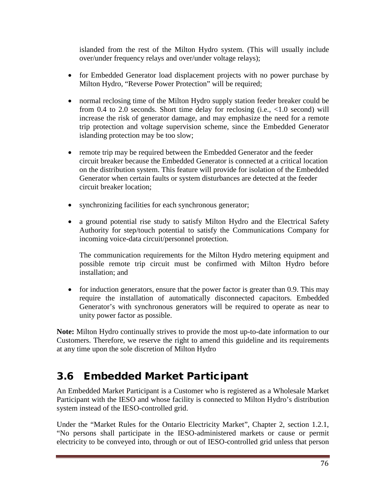islanded from the rest of the Milton Hydro system. (This will usually include over/under frequency relays and over/under voltage relays);

- for Embedded Generator load displacement projects with no power purchase by Milton Hydro, "Reverse Power Protection" will be required;
- normal reclosing time of the Milton Hydro supply station feeder breaker could be from 0.4 to 2.0 seconds. Short time delay for reclosing (i.e., <1.0 second) will increase the risk of generator damage, and may emphasize the need for a remote trip protection and voltage supervision scheme, since the Embedded Generator islanding protection may be too slow;
- remote trip may be required between the Embedded Generator and the feeder circuit breaker because the Embedded Generator is connected at a critical location on the distribution system. This feature will provide for isolation of the Embedded Generator when certain faults or system disturbances are detected at the feeder circuit breaker location;
- synchronizing facilities for each synchronous generator;
- a ground potential rise study to satisfy Milton Hydro and the Electrical Safety Authority for step/touch potential to satisfy the Communications Company for incoming voice-data circuit/personnel protection.

The communication requirements for the Milton Hydro metering equipment and possible remote trip circuit must be confirmed with Milton Hydro before installation; and

• for induction generators, ensure that the power factor is greater than 0.9. This may require the installation of automatically disconnected capacitors. Embedded Generator's with synchronous generators will be required to operate as near to unity power factor as possible.

**Note:** Milton Hydro continually strives to provide the most up-to-date information to our Customers. Therefore, we reserve the right to amend this guideline and its requirements at any time upon the sole discretion of Milton Hydro

# 3.6 Embedded Market Participant

An Embedded Market Participant is a Customer who is registered as a Wholesale Market Participant with the IESO and whose facility is connected to Milton Hydro's distribution system instead of the IESO-controlled grid.

Under the "Market Rules for the Ontario Electricity Market", Chapter 2, section 1.2.1, "No persons shall participate in the IESO-administered markets or cause or permit electricity to be conveyed into, through or out of IESO-controlled grid unless that person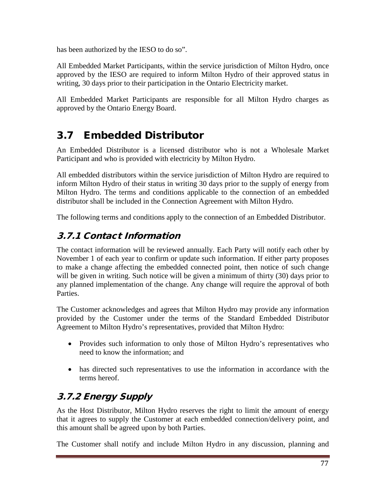has been authorized by the IESO to do so".

All Embedded Market Participants, within the service jurisdiction of Milton Hydro, once approved by the IESO are required to inform Milton Hydro of their approved status in writing, 30 days prior to their participation in the Ontario Electricity market.

All Embedded Market Participants are responsible for all Milton Hydro charges as approved by the Ontario Energy Board.

# 3.7 Embedded Distributor

An Embedded Distributor is a licensed distributor who is not a Wholesale Market Participant and who is provided with electricity by Milton Hydro.

All embedded distributors within the service jurisdiction of Milton Hydro are required to inform Milton Hydro of their status in writing 30 days prior to the supply of energy from Milton Hydro. The terms and conditions applicable to the connection of an embedded distributor shall be included in the Connection Agreement with Milton Hydro.

The following terms and conditions apply to the connection of an Embedded Distributor.

## 3.7.1 Contact Information

The contact information will be reviewed annually. Each Party will notify each other by November 1 of each year to confirm or update such information. If either party proposes to make a change affecting the embedded connected point, then notice of such change will be given in writing. Such notice will be given a minimum of thirty (30) days prior to any planned implementation of the change. Any change will require the approval of both Parties.

The Customer acknowledges and agrees that Milton Hydro may provide any information provided by the Customer under the terms of the Standard Embedded Distributor Agreement to Milton Hydro's representatives, provided that Milton Hydro:

- Provides such information to only those of Milton Hydro's representatives who need to know the information; and
- has directed such representatives to use the information in accordance with the terms hereof.

# 3.7.2 Energy Supply

As the Host Distributor, Milton Hydro reserves the right to limit the amount of energy that it agrees to supply the Customer at each embedded connection/delivery point, and this amount shall be agreed upon by both Parties.

The Customer shall notify and include Milton Hydro in any discussion, planning and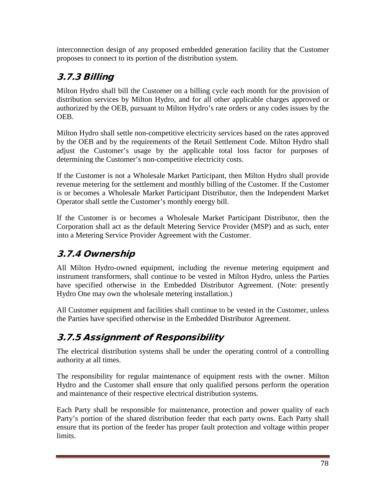interconnection design of any proposed embedded generation facility that the Customer proposes to connect to its portion of the distribution system.

# 3.7.3 Billing

Milton Hydro shall bill the Customer on a billing cycle each month for the provision of distribution services by Milton Hydro, and for all other applicable charges approved or authorized by the OEB, pursuant to Milton Hydro's rate orders or any codes issues by the OEB.

Milton Hydro shall settle non-competitive electricity services based on the rates approved by the OEB and by the requirements of the Retail Settlement Code. Milton Hydro shall adjust the Customer's usage by the applicable total loss factor for purposes of determining the Customer's non-competitive electricity costs.

If the Customer is not a Wholesale Market Participant, then Milton Hydro shall provide revenue metering for the settlement and monthly billing of the Customer. If the Customer is or becomes a Wholesale Market Participant Distributor, then the Independent Market Operator shall settle the Customer's monthly energy bill.

If the Customer is or becomes a Wholesale Market Participant Distributor, then the Corporation shall act as the default Metering Service Provider (MSP) and as such, enter into a Metering Service Provider Agreement with the Customer.

# 3.7.4 Ownership

All Milton Hydro-owned equipment, including the revenue metering equipment and instrument transformers, shall continue to be vested in Milton Hydro, unless the Parties have specified otherwise in the Embedded Distributor Agreement. (Note: presently Hydro One may own the wholesale metering installation.)

All Customer equipment and facilities shall continue to be vested in the Customer, unless the Parties have specified otherwise in the Embedded Distributor Agreement.

# 3.7.5 Assignment of Responsibility

The electrical distribution systems shall be under the operating control of a controlling authority at all times.

The responsibility for regular maintenance of equipment rests with the owner. Milton Hydro and the Customer shall ensure that only qualified persons perform the operation and maintenance of their respective electrical distribution systems.

Each Party shall be responsible for maintenance, protection and power quality of each Party's portion of the shared distribution feeder that each party owns. Each Party shall ensure that its portion of the feeder has proper fault protection and voltage within proper limits.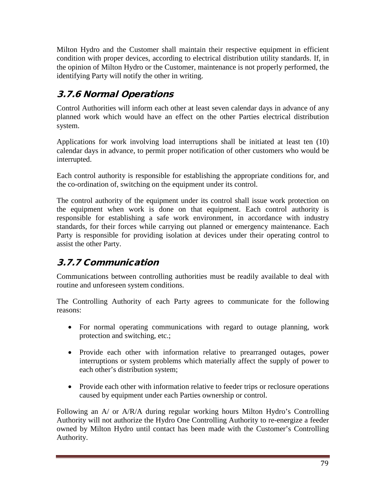Milton Hydro and the Customer shall maintain their respective equipment in efficient condition with proper devices, according to electrical distribution utility standards. If, in the opinion of Milton Hydro or the Customer, maintenance is not properly performed, the identifying Party will notify the other in writing.

# 3.7.6 Normal Operations

Control Authorities will inform each other at least seven calendar days in advance of any planned work which would have an effect on the other Parties electrical distribution system.

Applications for work involving load interruptions shall be initiated at least ten (10) calendar days in advance, to permit proper notification of other customers who would be interrupted.

Each control authority is responsible for establishing the appropriate conditions for, and the co-ordination of, switching on the equipment under its control.

The control authority of the equipment under its control shall issue work protection on the equipment when work is done on that equipment. Each control authority is responsible for establishing a safe work environment, in accordance with industry standards, for their forces while carrying out planned or emergency maintenance. Each Party is responsible for providing isolation at devices under their operating control to assist the other Party.

# 3.7.7 Communication

Communications between controlling authorities must be readily available to deal with routine and unforeseen system conditions.

The Controlling Authority of each Party agrees to communicate for the following reasons:

- For normal operating communications with regard to outage planning, work protection and switching, etc.;
- Provide each other with information relative to prearranged outages, power interruptions or system problems which materially affect the supply of power to each other's distribution system;
- Provide each other with information relative to feeder trips or reclosure operations caused by equipment under each Parties ownership or control.

Following an A/ or A/R/A during regular working hours Milton Hydro's Controlling Authority will not authorize the Hydro One Controlling Authority to re-energize a feeder owned by Milton Hydro until contact has been made with the Customer's Controlling Authority.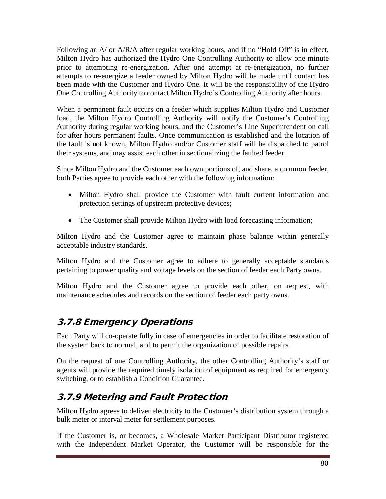Following an A/ or A/R/A after regular working hours, and if no "Hold Off" is in effect, Milton Hydro has authorized the Hydro One Controlling Authority to allow one minute prior to attempting re-energization. After one attempt at re-energization, no further attempts to re-energize a feeder owned by Milton Hydro will be made until contact has been made with the Customer and Hydro One. It will be the responsibility of the Hydro One Controlling Authority to contact Milton Hydro's Controlling Authority after hours.

When a permanent fault occurs on a feeder which supplies Milton Hydro and Customer load, the Milton Hydro Controlling Authority will notify the Customer's Controlling Authority during regular working hours, and the Customer's Line Superintendent on call for after hours permanent faults. Once communication is established and the location of the fault is not known, Milton Hydro and/or Customer staff will be dispatched to patrol their systems, and may assist each other in sectionalizing the faulted feeder.

Since Milton Hydro and the Customer each own portions of, and share, a common feeder, both Parties agree to provide each other with the following information:

- Milton Hydro shall provide the Customer with fault current information and protection settings of upstream protective devices;
- The Customer shall provide Milton Hydro with load forecasting information;

Milton Hydro and the Customer agree to maintain phase balance within generally acceptable industry standards.

Milton Hydro and the Customer agree to adhere to generally acceptable standards pertaining to power quality and voltage levels on the section of feeder each Party owns.

Milton Hydro and the Customer agree to provide each other, on request, with maintenance schedules and records on the section of feeder each party owns.

## 3.7.8 Emergency Operations

Each Party will co-operate fully in case of emergencies in order to facilitate restoration of the system back to normal, and to permit the organization of possible repairs.

On the request of one Controlling Authority, the other Controlling Authority's staff or agents will provide the required timely isolation of equipment as required for emergency switching, or to establish a Condition Guarantee.

## 3.7.9 Metering and Fault Protection

Milton Hydro agrees to deliver electricity to the Customer's distribution system through a bulk meter or interval meter for settlement purposes.

If the Customer is, or becomes, a Wholesale Market Participant Distributor registered with the Independent Market Operator, the Customer will be responsible for the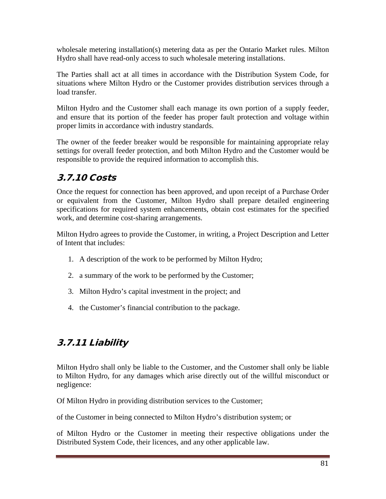wholesale metering installation(s) metering data as per the Ontario Market rules. Milton Hydro shall have read-only access to such wholesale metering installations.

The Parties shall act at all times in accordance with the Distribution System Code, for situations where Milton Hydro or the Customer provides distribution services through a load transfer.

Milton Hydro and the Customer shall each manage its own portion of a supply feeder, and ensure that its portion of the feeder has proper fault protection and voltage within proper limits in accordance with industry standards.

The owner of the feeder breaker would be responsible for maintaining appropriate relay settings for overall feeder protection, and both Milton Hydro and the Customer would be responsible to provide the required information to accomplish this.

## 3.7.10 Costs

Once the request for connection has been approved, and upon receipt of a Purchase Order or equivalent from the Customer, Milton Hydro shall prepare detailed engineering specifications for required system enhancements, obtain cost estimates for the specified work, and determine cost-sharing arrangements.

Milton Hydro agrees to provide the Customer, in writing, a Project Description and Letter of Intent that includes:

- 1. A description of the work to be performed by Milton Hydro;
- 2. a summary of the work to be performed by the Customer;
- 3. Milton Hydro's capital investment in the project; and
- 4. the Customer's financial contribution to the package.

## 3.7.11 Liability

Milton Hydro shall only be liable to the Customer, and the Customer shall only be liable to Milton Hydro, for any damages which arise directly out of the willful misconduct or negligence:

Of Milton Hydro in providing distribution services to the Customer;

of the Customer in being connected to Milton Hydro's distribution system; or

of Milton Hydro or the Customer in meeting their respective obligations under the Distributed System Code, their licences, and any other applicable law.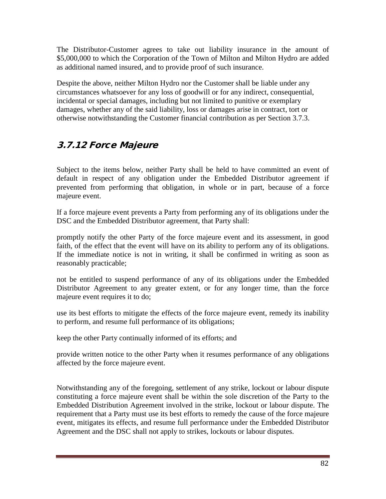The Distributor-Customer agrees to take out liability insurance in the amount of \$5,000,000 to which the Corporation of the Town of Milton and Milton Hydro are added as additional named insured, and to provide proof of such insurance.

Despite the above, neither Milton Hydro nor the Customer shall be liable under any circumstances whatsoever for any loss of goodwill or for any indirect, consequential, incidental or special damages, including but not limited to punitive or exemplary damages, whether any of the said liability, loss or damages arise in contract, tort or otherwise notwithstanding the Customer financial contribution as per Section 3.7.3.

## 3.7.12 Force Majeure

Subject to the items below, neither Party shall be held to have committed an event of default in respect of any obligation under the Embedded Distributor agreement if prevented from performing that obligation, in whole or in part, because of a force majeure event.

If a force majeure event prevents a Party from performing any of its obligations under the DSC and the Embedded Distributor agreement, that Party shall:

promptly notify the other Party of the force majeure event and its assessment, in good faith, of the effect that the event will have on its ability to perform any of its obligations. If the immediate notice is not in writing, it shall be confirmed in writing as soon as reasonably practicable;

not be entitled to suspend performance of any of its obligations under the Embedded Distributor Agreement to any greater extent, or for any longer time, than the force majeure event requires it to do;

use its best efforts to mitigate the effects of the force majeure event, remedy its inability to perform, and resume full performance of its obligations;

keep the other Party continually informed of its efforts; and

provide written notice to the other Party when it resumes performance of any obligations affected by the force majeure event.

Notwithstanding any of the foregoing, settlement of any strike, lockout or labour dispute constituting a force majeure event shall be within the sole discretion of the Party to the Embedded Distribution Agreement involved in the strike, lockout or labour dispute. The requirement that a Party must use its best efforts to remedy the cause of the force majeure event, mitigates its effects, and resume full performance under the Embedded Distributor Agreement and the DSC shall not apply to strikes, lockouts or labour disputes.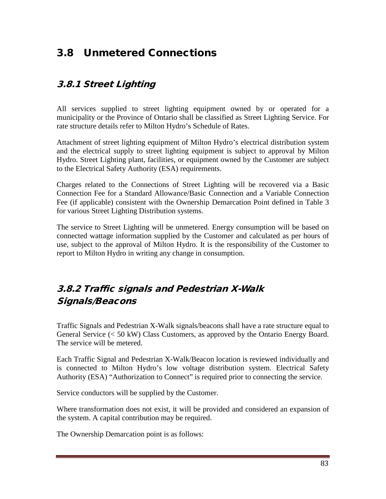# 3.8 Unmetered Connections

## 3.8.1 Street Lighting

All services supplied to street lighting equipment owned by or operated for a municipality or the Province of Ontario shall be classified as Street Lighting Service. For rate structure details refer to Milton Hydro's Schedule of Rates.

Attachment of street lighting equipment of Milton Hydro's electrical distribution system and the electrical supply to street lighting equipment is subject to approval by Milton Hydro. Street Lighting plant, facilities, or equipment owned by the Customer are subject to the Electrical Safety Authority (ESA) requirements.

Charges related to the Connections of Street Lighting will be recovered via a Basic Connection Fee for a Standard Allowance/Basic Connection and a Variable Connection Fee (if applicable) consistent with the Ownership Demarcation Point defined in Table 3 for various Street Lighting Distribution systems.

The service to Street Lighting will be unmetered. Energy consumption will be based on connected wattage information supplied by the Customer and calculated as per hours of use, subject to the approval of Milton Hydro. It is the responsibility of the Customer to report to Milton Hydro in writing any change in consumption.

## 3.8.2 Traffic signals and Pedestrian X-Walk Signals/Beacons

Traffic Signals and Pedestrian X-Walk signals/beacons shall have a rate structure equal to General Service (< 50 kW) Class Customers, as approved by the Ontario Energy Board. The service will be metered.

Each Traffic Signal and Pedestrian X-Walk/Beacon location is reviewed individually and is connected to Milton Hydro's low voltage distribution system. Electrical Safety Authority (ESA) "Authorization to Connect" is required prior to connecting the service.

Service conductors will be supplied by the Customer.

Where transformation does not exist, it will be provided and considered an expansion of the system. A capital contribution may be required.

The Ownership Demarcation point is as follows: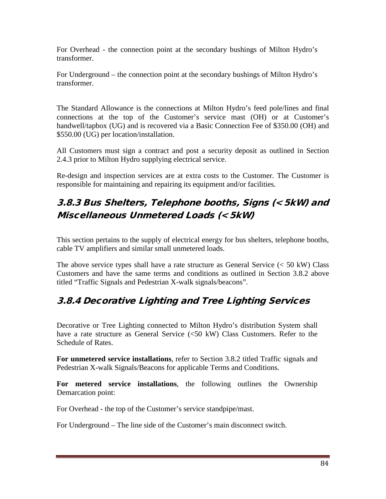For Overhead - the connection point at the secondary bushings of Milton Hydro's transformer.

For Underground – the connection point at the secondary bushings of Milton Hydro's transformer.

The Standard Allowance is the connections at Milton Hydro's feed pole/lines and final connections at the top of the Customer's service mast (OH) or at Customer's handwell/tapbox (UG) and is recovered via a Basic Connection Fee of \$350.00 (OH) and \$550.00 (UG) per location/installation.

All Customers must sign a contract and post a security deposit as outlined in Section 2.4.3 prior to Milton Hydro supplying electrical service.

Re-design and inspection services are at extra costs to the Customer. The Customer is responsible for maintaining and repairing its equipment and/or facilities.

## 3.8.3 Bus Shelters, Telephone booths, Signs (< 5kW) and Miscellaneous Unmetered Loads (< 5kW)

This section pertains to the supply of electrical energy for bus shelters, telephone booths, cable TV amplifiers and similar small unmetered loads.

The above service types shall have a rate structure as General Service (< 50 kW) Class Customers and have the same terms and conditions as outlined in Section 3.8.2 above titled "Traffic Signals and Pedestrian X-walk signals/beacons".

## 3.8.4 Decorative Lighting and Tree Lighting Services

Decorative or Tree Lighting connected to Milton Hydro's distribution System shall have a rate structure as General Service (<50 kW) Class Customers. Refer to the Schedule of Rates.

**For unmetered service installations**, refer to Section 3.8.2 titled Traffic signals and Pedestrian X-walk Signals/Beacons for applicable Terms and Conditions.

**For metered service installations**, the following outlines the Ownership Demarcation point:

For Overhead - the top of the Customer's service standpipe/mast.

For Underground – The line side of the Customer's main disconnect switch.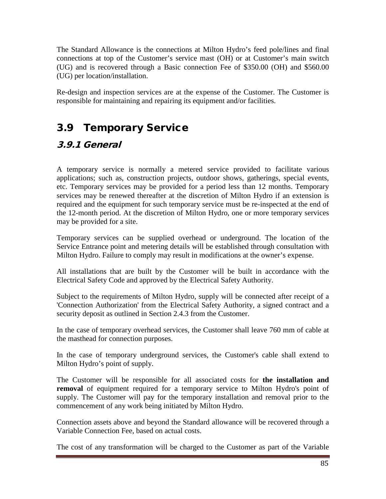The Standard Allowance is the connections at Milton Hydro's feed pole/lines and final connections at top of the Customer's service mast (OH) or at Customer's main switch (UG) and is recovered through a Basic connection Fee of \$350.00 (OH) and \$560.00 (UG) per location/installation.

Re-design and inspection services are at the expense of the Customer. The Customer is responsible for maintaining and repairing its equipment and/or facilities.

# 3.9 Temporary Service

## 3.9.1 General

A temporary service is normally a metered service provided to facilitate various applications; such as, construction projects, outdoor shows, gatherings, special events, etc. Temporary services may be provided for a period less than 12 months. Temporary services may be renewed thereafter at the discretion of Milton Hydro if an extension is required and the equipment for such temporary service must be re-inspected at the end of the 12-month period. At the discretion of Milton Hydro, one or more temporary services may be provided for a site.

Temporary services can be supplied overhead or underground. The location of the Service Entrance point and metering details will be established through consultation with Milton Hydro. Failure to comply may result in modifications at the owner's expense.

All installations that are built by the Customer will be built in accordance with the Electrical Safety Code and approved by the Electrical Safety Authority.

Subject to the requirements of Milton Hydro, supply will be connected after receipt of a 'Connection Authorization' from the Electrical Safety Authority, a signed contract and a security deposit as outlined in Section 2.4.3 from the Customer.

In the case of temporary overhead services, the Customer shall leave 760 mm of cable at the masthead for connection purposes.

In the case of temporary underground services, the Customer's cable shall extend to Milton Hydro's point of supply.

The Customer will be responsible for all associated costs for **the installation and removal** of equipment required for a temporary service to Milton Hydro's point of supply. The Customer will pay for the temporary installation and removal prior to the commencement of any work being initiated by Milton Hydro.

Connection assets above and beyond the Standard allowance will be recovered through a Variable Connection Fee, based on actual costs.

The cost of any transformation will be charged to the Customer as part of the Variable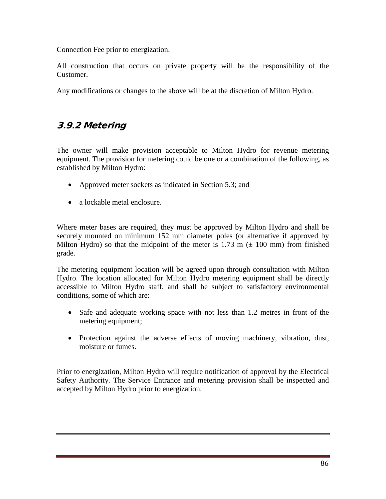Connection Fee prior to energization.

All construction that occurs on private property will be the responsibility of the Customer.

Any modifications or changes to the above will be at the discretion of Milton Hydro.

### 3.9.2 Metering

The owner will make provision acceptable to Milton Hydro for revenue metering equipment. The provision for metering could be one or a combination of the following, as established by Milton Hydro:

- Approved meter sockets as indicated in Section 5.3; and
- a lockable metal enclosure.

Where meter bases are required, they must be approved by Milton Hydro and shall be securely mounted on minimum 152 mm diameter poles (or alternative if approved by Milton Hydro) so that the midpoint of the meter is 1.73 m  $(\pm 100 \text{ mm})$  from finished grade.

The metering equipment location will be agreed upon through consultation with Milton Hydro. The location allocated for Milton Hydro metering equipment shall be directly accessible to Milton Hydro staff, and shall be subject to satisfactory environmental conditions, some of which are:

- Safe and adequate working space with not less than 1.2 metres in front of the metering equipment;
- Protection against the adverse effects of moving machinery, vibration, dust, moisture or fumes.

Prior to energization, Milton Hydro will require notification of approval by the Electrical Safety Authority. The Service Entrance and metering provision shall be inspected and accepted by Milton Hydro prior to energization.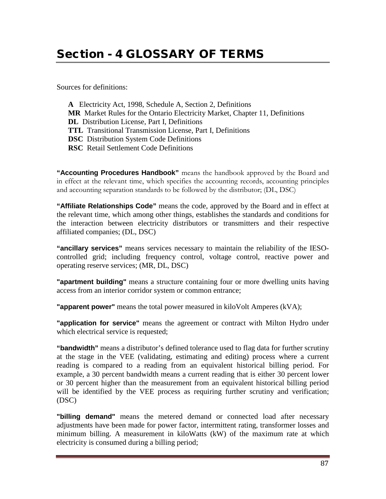# Section - 4 GLOSSARY OF TERMS

Sources for definitions:

**A** Electricity Act, 1998, Schedule A, Section 2, Definitions **MR** Market Rules for the Ontario Electricity Market, Chapter 11, Definitions **DL** Distribution License, Part I, Definitions **TTL** Transitional Transmission License, Part I, Definitions **DSC** Distribution System Code Definitions **RSC** Retail Settlement Code Definitions

**"Accounting Procedures Handbook"** means the handbook approved by the Board and in effect at the relevant time, which specifies the accounting records, accounting principles and accounting separation standards to be followed by the distributor; (DL, DSC)

**"Affiliate Relationships Code"** means the code, approved by the Board and in effect at the relevant time, which among other things, establishes the standards and conditions for the interaction between electricity distributors or transmitters and their respective affiliated companies; (DL, DSC)

**"ancillary services"** means services necessary to maintain the reliability of the IESOcontrolled grid; including frequency control, voltage control, reactive power and operating reserve services; (MR, DL, DSC)

**"apartment building"** means a structure containing four or more dwelling units having access from an interior corridor system or common entrance;

**"apparent power"** means the total power measured in kiloVolt Amperes (kVA);

**"application for service"** means the agreement or contract with Milton Hydro under which electrical service is requested;

**"bandwidth"** means a distributor's defined tolerance used to flag data for further scrutiny at the stage in the VEE (validating, estimating and editing) process where a current reading is compared to a reading from an equivalent historical billing period. For example, a 30 percent bandwidth means a current reading that is either 30 percent lower or 30 percent higher than the measurement from an equivalent historical billing period will be identified by the VEE process as requiring further scrutiny and verification; (DSC)

**"billing demand"** means the metered demand or connected load after necessary adjustments have been made for power factor, intermittent rating, transformer losses and minimum billing. A measurement in kiloWatts (kW) of the maximum rate at which electricity is consumed during a billing period;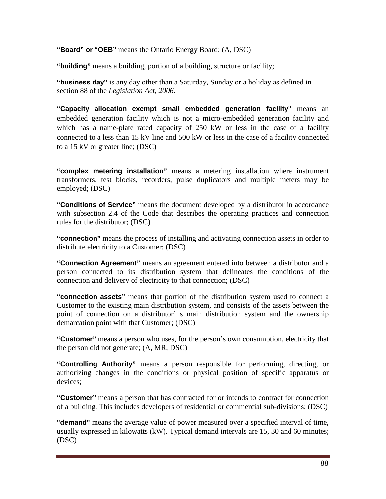**"Board" or "OEB"** means the Ontario Energy Board; (A, DSC)

**"building"** means a building, portion of a building, structure or facility;

**"business day"** is any day other than a Saturday, Sunday or a holiday as defined in section 88 of the *Legislation Act, 2006*.

**"Capacity allocation exempt small embedded generation facility"** means an embedded generation facility which is not a micro-embedded generation facility and which has a name-plate rated capacity of 250 kW or less in the case of a facility connected to a less than 15 kV line and 500 kW or less in the case of a facility connected to a 15 kV or greater line; (DSC)

**"complex metering installation"** means a metering installation where instrument transformers, test blocks, recorders, pulse duplicators and multiple meters may be employed; (DSC)

**"Conditions of Service"** means the document developed by a distributor in accordance with subsection 2.4 of the Code that describes the operating practices and connection rules for the distributor; (DSC)

**"connection"** means the process of installing and activating connection assets in order to distribute electricity to a Customer; (DSC)

**"Connection Agreement"** means an agreement entered into between a distributor and a person connected to its distribution system that delineates the conditions of the connection and delivery of electricity to that connection; (DSC)

**"connection assets"** means that portion of the distribution system used to connect a Customer to the existing main distribution system, and consists of the assets between the point of connection on a distributor' s main distribution system and the ownership demarcation point with that Customer; (DSC)

**"Customer"** means a person who uses, for the person's own consumption, electricity that the person did not generate; (A, MR, DSC)

**"Controlling Authority"** means a person responsible for performing, directing, or authorizing changes in the conditions or physical position of specific apparatus or devices;

**"Customer"** means a person that has contracted for or intends to contract for connection of a building. This includes developers of residential or commercial sub-divisions; (DSC)

**"demand"** means the average value of power measured over a specified interval of time, usually expressed in kilowatts (kW). Typical demand intervals are 15, 30 and 60 minutes; (DSC)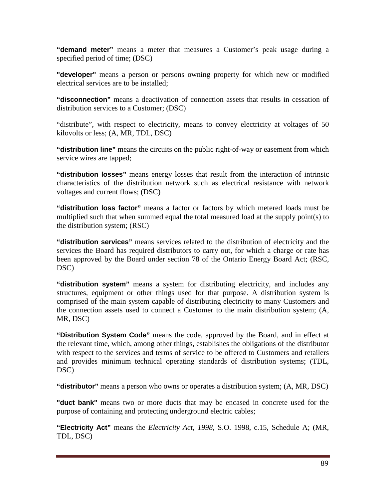**"demand meter"** means a meter that measures a Customer's peak usage during a specified period of time; (DSC)

**"developer"** means a person or persons owning property for which new or modified electrical services are to be installed;

**"disconnection"** means a deactivation of connection assets that results in cessation of distribution services to a Customer; (DSC)

"distribute", with respect to electricity, means to convey electricity at voltages of 50 kilovolts or less; (A, MR, TDL, DSC)

**"distribution line"** means the circuits on the public right-of-way or easement from which service wires are tapped;

**"distribution losses"** means energy losses that result from the interaction of intrinsic characteristics of the distribution network such as electrical resistance with network voltages and current flows; (DSC)

**"distribution loss factor"** means a factor or factors by which metered loads must be multiplied such that when summed equal the total measured load at the supply point(s) to the distribution system; (RSC)

**"distribution services"** means services related to the distribution of electricity and the services the Board has required distributors to carry out, for which a charge or rate has been approved by the Board under section 78 of the Ontario Energy Board Act; (RSC, DSC)

**"distribution system"** means a system for distributing electricity, and includes any structures, equipment or other things used for that purpose. A distribution system is comprised of the main system capable of distributing electricity to many Customers and the connection assets used to connect a Customer to the main distribution system; (A, MR, DSC)

**"Distribution System Code"** means the code, approved by the Board, and in effect at the relevant time, which, among other things, establishes the obligations of the distributor with respect to the services and terms of service to be offered to Customers and retailers and provides minimum technical operating standards of distribution systems; (TDL, DSC)

**"distributor"** means a person who owns or operates a distribution system; (A, MR, DSC)

**"duct bank"** means two or more ducts that may be encased in concrete used for the purpose of containing and protecting underground electric cables;

**"Electricity Act"** means the *Electricity Act, 1998*, S.O. 1998, c.15, Schedule A; (MR, TDL, DSC)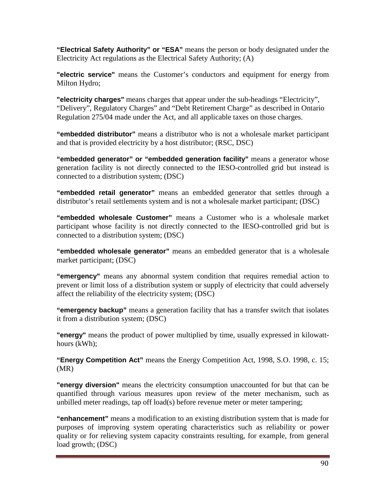**"Electrical Safety Authority" or "ESA"** means the person or body designated under the Electricity Act regulations as the Electrical Safety Authority; (A)

**"electric service"** means the Customer's conductors and equipment for energy from Milton Hydro;

**"electricity charges"** means charges that appear under the sub-headings "Electricity", "Delivery", Regulatory Charges" and "Debt Retirement Charge" as described in Ontario Regulation 275/04 made under the Act, and all applicable taxes on those charges.

**"embedded distributor"** means a distributor who is not a wholesale market participant and that is provided electricity by a host distributor; (RSC, DSC)

**"embedded generator" or "embedded generation facility"** means a generator whose generation facility is not directly connected to the IESO-controlled grid but instead is connected to a distribution system; (DSC)

**"embedded retail generator"** means an embedded generator that settles through a distributor's retail settlements system and is not a wholesale market participant; (DSC)

**"embedded wholesale Customer"** means a Customer who is a wholesale market participant whose facility is not directly connected to the IESO-controlled grid but is connected to a distribution system; (DSC)

**"embedded wholesale generator"** means an embedded generator that is a wholesale market participant; (DSC)

**"emergency"** means any abnormal system condition that requires remedial action to prevent or limit loss of a distribution system or supply of electricity that could adversely affect the reliability of the electricity system; (DSC)

**"emergency backup"** means a generation facility that has a transfer switch that isolates it from a distribution system; (DSC)

**"energy"** means the product of power multiplied by time, usually expressed in kilowatthours (kWh);

**"Energy Competition Act"** means the Energy Competition Act, 1998, S.O. 1998, c. 15; (MR)

**"energy diversion"** means the electricity consumption unaccounted for but that can be quantified through various measures upon review of the meter mechanism, such as unbilled meter readings, tap off load(s) before revenue meter or meter tampering;

**"enhancement"** means a modification to an existing distribution system that is made for purposes of improving system operating characteristics such as reliability or power quality or for relieving system capacity constraints resulting, for example, from general load growth; (DSC)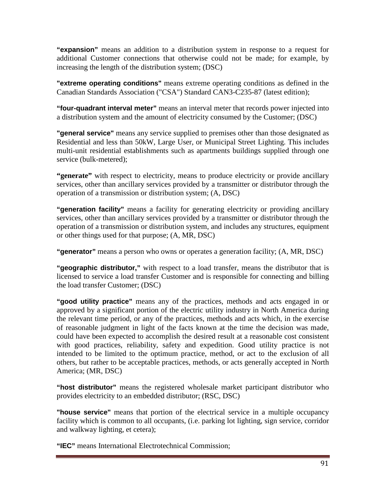**"expansion"** means an addition to a distribution system in response to a request for additional Customer connections that otherwise could not be made; for example, by increasing the length of the distribution system; (DSC)

**"extreme operating conditions"** means extreme operating conditions as defined in the Canadian Standards Association ("CSA") Standard CAN3-C235-87 (latest edition);

**"four-quadrant interval meter"** means an interval meter that records power injected into a distribution system and the amount of electricity consumed by the Customer; (DSC)

**"general service"** means any service supplied to premises other than those designated as Residential and less than 50kW, Large User, or Municipal Street Lighting. This includes multi-unit residential establishments such as apartments buildings supplied through one service (bulk-metered);

**"generate"** with respect to electricity, means to produce electricity or provide ancillary services, other than ancillary services provided by a transmitter or distributor through the operation of a transmission or distribution system; (A, DSC)

**"generation facility"** means a facility for generating electricity or providing ancillary services, other than ancillary services provided by a transmitter or distributor through the operation of a transmission or distribution system, and includes any structures, equipment or other things used for that purpose; (A, MR, DSC)

**"generator"** means a person who owns or operates a generation facility; (A, MR, DSC)

**"geographic distributor,"** with respect to a load transfer, means the distributor that is licensed to service a load transfer Customer and is responsible for connecting and billing the load transfer Customer; (DSC)

**"good utility practice"** means any of the practices, methods and acts engaged in or approved by a significant portion of the electric utility industry in North America during the relevant time period, or any of the practices, methods and acts which, in the exercise of reasonable judgment in light of the facts known at the time the decision was made, could have been expected to accomplish the desired result at a reasonable cost consistent with good practices, reliability, safety and expedition. Good utility practice is not intended to be limited to the optimum practice, method, or act to the exclusion of all others, but rather to be acceptable practices, methods, or acts generally accepted in North America; (MR, DSC)

**"host distributor"** means the registered wholesale market participant distributor who provides electricity to an embedded distributor; (RSC, DSC)

**"house service"** means that portion of the electrical service in a multiple occupancy facility which is common to all occupants, (i.e. parking lot lighting, sign service, corridor and walkway lighting, et cetera);

**"IEC"** means International Electrotechnical Commission;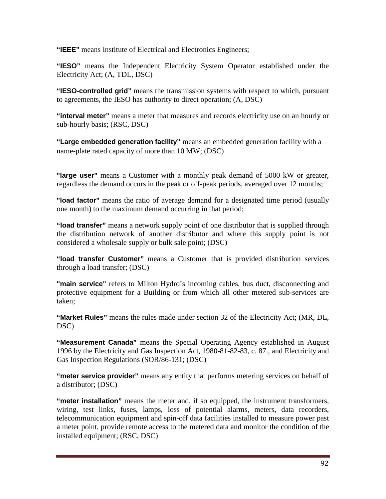**"IEEE"** means Institute of Electrical and Electronics Engineers;

**"IESO"** means the Independent Electricity System Operator established under the Electricity Act; (A, TDL, DSC)

**"IESO-controlled grid"** means the transmission systems with respect to which, pursuant to agreements, the IESO has authority to direct operation; (A, DSC)

**"interval meter"** means a meter that measures and records electricity use on an hourly or sub-hourly basis; (RSC, DSC)

**"Large embedded generation facility"** means an embedded generation facility with a name-plate rated capacity of more than 10 MW; (DSC)

**"large user"** means a Customer with a monthly peak demand of 5000 kW or greater, regardless the demand occurs in the peak or off-peak periods, averaged over 12 months;

**"load factor"** means the ratio of average demand for a designated time period (usually one month) to the maximum demand occurring in that period;

**"load transfer"** means a network supply point of one distributor that is supplied through the distribution network of another distributor and where this supply point is not considered a wholesale supply or bulk sale point; (DSC)

**"load transfer Customer"** means a Customer that is provided distribution services through a load transfer; (DSC)

**"main service"** refers to Milton Hydro's incoming cables, bus duct, disconnecting and protective equipment for a Building or from which all other metered sub-services are taken;

**"Market Rules"** means the rules made under section 32 of the Electricity Act; (MR, DL, DSC)

**"Measurement Canada"** means the Special Operating Agency established in August 1996 by the Electricity and Gas Inspection Act, 1980-81-82-83, c. 87., and Electricity and Gas Inspection Regulations (SOR/86-131; (DSC)

**"meter service provider"** means any entity that performs metering services on behalf of a distributor; (DSC)

**"meter installation"** means the meter and, if so equipped, the instrument transformers, wiring, test links, fuses, lamps, loss of potential alarms, meters, data recorders, telecommunication equipment and spin-off data facilities installed to measure power past a meter point, provide remote access to the metered data and monitor the condition of the installed equipment; (RSC, DSC)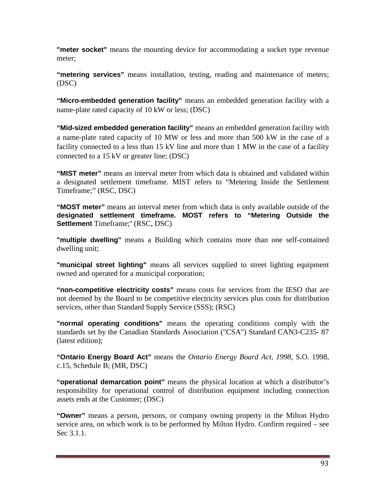**"meter socket"** means the mounting device for accommodating a socket type revenue meter;

**"metering services"** means installation, testing, reading and maintenance of meters; (DSC)

**"Micro-embedded generation facility"** means an embedded generation facility with a name-plate rated capacity of 10 kW or less; (DSC)

**"Mid-sized embedded generation facility"** means an embedded generation facility with a name-plate rated capacity of 10 MW or less and more than 500 kW in the case of a facility connected to a less than 15 kV line and more than 1 MW in the case of a facility connected to a 15 kV or greater line; (DSC)

**"MIST meter"** means an interval meter from which data is obtained and validated within a designated settlement timeframe. MIST refers to "Metering Inside the Settlement Timeframe;" (RSC, DSC)

**"MOST meter"** means an interval meter from which data is only available outside of the **designated settlement timeframe. MOST refers to "Metering Outside the Settlement** Timeframe;" (RSC, DSC)

**"multiple dwelling"** means a Building which contains more than one self-contained dwelling unit;

**"municipal street lighting"** means all services supplied to street lighting equipment owned and operated for a municipal corporation;

**"non-competitive electricity costs"** means costs for services from the IESO that are not deemed by the Board to be competitive electricity services plus costs for distribution services, other than Standard Supply Service (SSS); (RSC)

**"normal operating conditions"** means the operating conditions comply with the standards set by the Canadian Standards Association ("CSA") Standard CAN3-C235- 87 (latest edition);

**"Ontario Energy Board Act"** means the *Ontario Energy Board Act, 1998*, S.O. 1998, c.15, Schedule B; (MR, DSC)

**"operational demarcation point"** means the physical location at which a distributor's responsibility for operational control of distribution equipment including connection assets ends at the Customer; (DSC)

**"Owner"** means a person, persons, or company owning property in the Milton Hydro service area, on which work is to be performed by Milton Hydro. Confirm required – see Sec 3.1.1.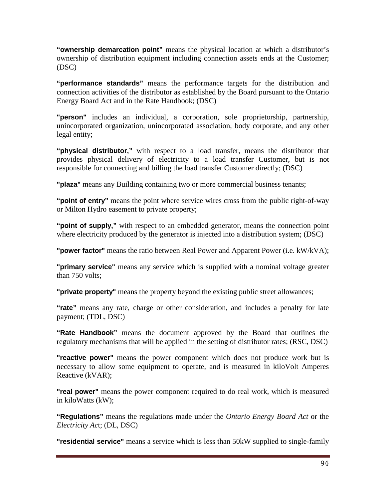**"ownership demarcation point"** means the physical location at which a distributor's ownership of distribution equipment including connection assets ends at the Customer; (DSC)

**"performance standards"** means the performance targets for the distribution and connection activities of the distributor as established by the Board pursuant to the Ontario Energy Board Act and in the Rate Handbook; (DSC)

**"person"** includes an individual, a corporation, sole proprietorship, partnership, unincorporated organization, unincorporated association, body corporate, and any other legal entity;

**"physical distributor,"** with respect to a load transfer, means the distributor that provides physical delivery of electricity to a load transfer Customer, but is not responsible for connecting and billing the load transfer Customer directly; (DSC)

**"plaza"** means any Building containing two or more commercial business tenants;

**"point of entry"** means the point where service wires cross from the public right-of-way or Milton Hydro easement to private property;

**"point of supply,"** with respect to an embedded generator, means the connection point where electricity produced by the generator is injected into a distribution system; (DSC)

**"power factor"** means the ratio between Real Power and Apparent Power (i.e. kW/kVA);

**"primary service"** means any service which is supplied with a nominal voltage greater than 750 volts;

**"private property"** means the property beyond the existing public street allowances;

**"rate"** means any rate, charge or other consideration, and includes a penalty for late payment; (TDL, DSC)

**"Rate Handbook"** means the document approved by the Board that outlines the regulatory mechanisms that will be applied in the setting of distributor rates; (RSC, DSC)

**"reactive power"** means the power component which does not produce work but is necessary to allow some equipment to operate, and is measured in kiloVolt Amperes Reactive (kVAR);

**"real power"** means the power component required to do real work, which is measured in kiloWatts (kW);

**"Regulations"** means the regulations made under the *Ontario Energy Board Act* or the *Electricity Ac*t; (DL, DSC)

**"residential service"** means a service which is less than 50kW supplied to single-family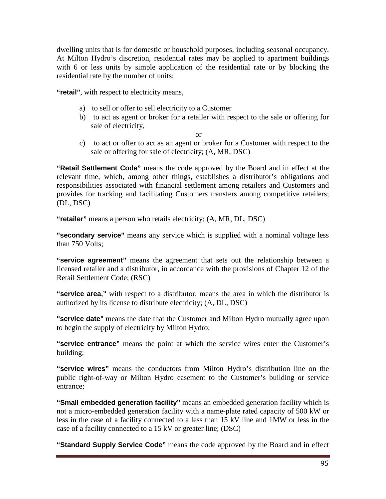dwelling units that is for domestic or household purposes, including seasonal occupancy. At Milton Hydro's discretion, residential rates may be applied to apartment buildings with 6 or less units by simple application of the residential rate or by blocking the residential rate by the number of units;

**"retail"**, with respect to electricity means,

- a) to sell or offer to sell electricity to a Customer
- b) to act as agent or broker for a retailer with respect to the sale or offering for sale of electricity,

or

c) to act or offer to act as an agent or broker for a Customer with respect to the sale or offering for sale of electricity; (A, MR, DSC)

**"Retail Settlement Code"** means the code approved by the Board and in effect at the relevant time, which, among other things, establishes a distributor's obligations and responsibilities associated with financial settlement among retailers and Customers and provides for tracking and facilitating Customers transfers among competitive retailers; (DL, DSC)

**"retailer"** means a person who retails electricity; (A, MR, DL, DSC)

**"secondary service"** means any service which is supplied with a nominal voltage less than 750 Volts;

**"service agreement"** means the agreement that sets out the relationship between a licensed retailer and a distributor, in accordance with the provisions of Chapter 12 of the Retail Settlement Code; (RSC)

**"service area,"** with respect to a distributor, means the area in which the distributor is authorized by its license to distribute electricity; (A, DL, DSC)

**"service date"** means the date that the Customer and Milton Hydro mutually agree upon to begin the supply of electricity by Milton Hydro;

**"service entrance"** means the point at which the service wires enter the Customer's building;

**"service wires"** means the conductors from Milton Hydro's distribution line on the public right-of-way or Milton Hydro easement to the Customer's building or service entrance;

**"Small embedded generation facility"** means an embedded generation facility which is not a micro-embedded generation facility with a name-plate rated capacity of 500 kW or less in the case of a facility connected to a less than 15 kV line and 1MW or less in the case of a facility connected to a 15 kV or greater line; (DSC)

**"Standard Supply Service Code"** means the code approved by the Board and in effect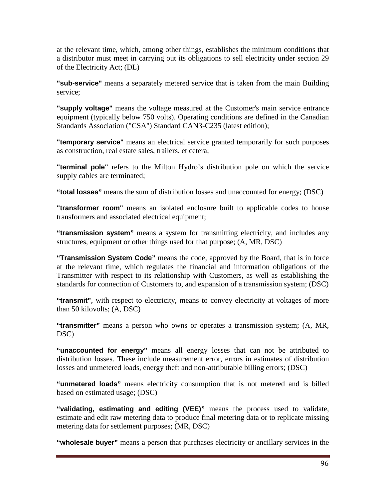at the relevant time, which, among other things, establishes the minimum conditions that a distributor must meet in carrying out its obligations to sell electricity under section 29 of the Electricity Act; (DL)

**"sub-service"** means a separately metered service that is taken from the main Building service;

**"supply voltage"** means the voltage measured at the Customer's main service entrance equipment (typically below 750 volts). Operating conditions are defined in the Canadian Standards Association ("CSA") Standard CAN3-C235 (latest edition);

**"temporary service"** means an electrical service granted temporarily for such purposes as construction, real estate sales, trailers, et cetera;

**"terminal pole"** refers to the Milton Hydro's distribution pole on which the service supply cables are terminated;

**"total losses"** means the sum of distribution losses and unaccounted for energy; (DSC)

**"transformer room"** means an isolated enclosure built to applicable codes to house transformers and associated electrical equipment;

**"transmission system"** means a system for transmitting electricity, and includes any structures, equipment or other things used for that purpose; (A, MR, DSC)

**"Transmission System Code"** means the code, approved by the Board, that is in force at the relevant time, which regulates the financial and information obligations of the Transmitter with respect to its relationship with Customers, as well as establishing the standards for connection of Customers to, and expansion of a transmission system; (DSC)

**"transmit"**, with respect to electricity, means to convey electricity at voltages of more than 50 kilovolts; (A, DSC)

**"transmitter"** means a person who owns or operates a transmission system; (A, MR, DSC)

**"unaccounted for energy"** means all energy losses that can not be attributed to distribution losses. These include measurement error, errors in estimates of distribution losses and unmetered loads, energy theft and non-attributable billing errors; (DSC)

**"unmetered loads"** means electricity consumption that is not metered and is billed based on estimated usage; (DSC)

**"validating, estimating and editing (VEE)"** means the process used to validate, estimate and edit raw metering data to produce final metering data or to replicate missing metering data for settlement purposes; (MR, DSC)

**"wholesale buyer"** means a person that purchases electricity or ancillary services in the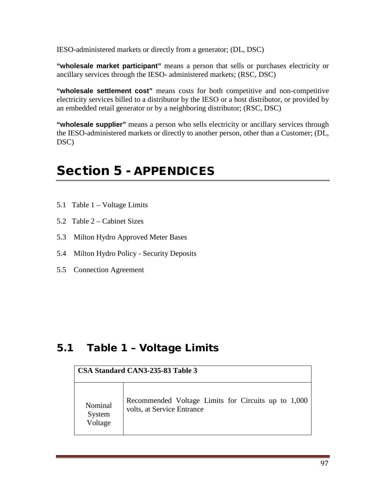IESO-administered markets or directly from a generator; (DL, DSC)

**"wholesale market participant"** means a person that sells or purchases electricity or ancillary services through the IESO- administered markets; (RSC, DSC)

**"wholesale settlement cost"** means costs for both competitive and non-competitive electricity services billed to a distributor by the IESO or a host distributor, or provided by an embedded retail generator or by a neighboring distributor; (RSC, DSC)

**"wholesale supplier"** means a person who sells electricity or ancillary services through the IESO-administered markets or directly to another person, other than a Customer; (DL, DSC)

# Section 5 - APPENDICES

- 5.1 Table 1 Voltage Limits
- 5.2 Table 2 Cabinet Sizes
- 5.3 Milton Hydro Approved Meter Bases
- 5.4 Milton Hydro Policy Security Deposits
- 5.5 Connection Agreement

## 5.1 Table 1 – Voltage Limits

|                              | CSA Standard CAN3-235-83 Table 3                                                  |
|------------------------------|-----------------------------------------------------------------------------------|
| Nominal<br>System<br>Voltage | Recommended Voltage Limits for Circuits up to 1,000<br>volts, at Service Entrance |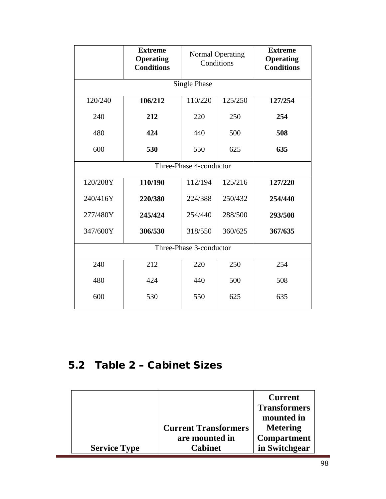|                         | <b>Extreme</b><br><b>Operating</b><br><b>Conditions</b> | <b>Normal Operating</b><br>Conditions |         | <b>Extreme</b><br><b>Operating</b><br><b>Conditions</b> |
|-------------------------|---------------------------------------------------------|---------------------------------------|---------|---------------------------------------------------------|
| <b>Single Phase</b>     |                                                         |                                       |         |                                                         |
| 120/240                 | 106/212                                                 | 110/220                               | 125/250 | 127/254                                                 |
| 240                     | 212                                                     | 220                                   | 250     | 254                                                     |
| 480                     | 424                                                     | 440                                   | 500     | 508                                                     |
| 600                     | 530                                                     | 550                                   | 625     | 635                                                     |
| Three-Phase 4-conductor |                                                         |                                       |         |                                                         |
| 120/208Y                | 110/190                                                 | 112/194                               | 125/216 | 127/220                                                 |
| 240/416Y                | 220/380                                                 | 224/388                               | 250/432 | 254/440                                                 |
| 277/480Y                | 245/424                                                 | 254/440                               | 288/500 | 293/508                                                 |
| 347/600Y                | 306/530                                                 | 318/550                               | 360/625 | 367/635                                                 |
| Three-Phase 3-conductor |                                                         |                                       |         |                                                         |
| 240                     | 212                                                     | 220                                   | 250     | 254                                                     |
| 480                     | 424                                                     | 440                                   | 500     | 508                                                     |
| 600                     | 530                                                     | 550                                   | 625     | 635                                                     |

# 5.2 Table 2 – Cabinet Sizes

|                     |                             | <b>Current</b>      |
|---------------------|-----------------------------|---------------------|
|                     |                             | <b>Transformers</b> |
|                     |                             | mounted in          |
|                     | <b>Current Transformers</b> | <b>Metering</b>     |
|                     | are mounted in              | <b>Compartment</b>  |
| <b>Service Type</b> | Cabinet                     | in Switchgear       |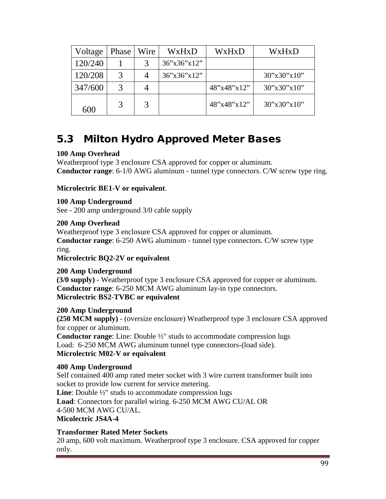| Voltage | Phase | Wire | WxHxD       | WxHxD       | WxHxD                              |
|---------|-------|------|-------------|-------------|------------------------------------|
| 120/240 |       |      | 36'x36'x12" |             |                                    |
| 120/208 | 3     |      | 36'x36'x12" |             | $30^{\circ}x30^{\circ}x10^{\circ}$ |
| 347/600 |       |      |             | 48"x48"x12" | $30^{\circ}x30^{\circ}x10^{\circ}$ |
| 600     |       |      |             | 48"x48"x12" | 30"x30"x10"                        |

# 5.3 Milton Hydro Approved Meter Bases

#### **100 Amp Overhead**

Weatherproof type 3 enclosure CSA approved for copper or aluminum. **Conductor range**: 6-1/0 AWG aluminum - tunnel type connectors. C/W screw type ring.

#### **Microlectric BE1-V or equivalent**.

#### **100 Amp Underground**

See - 200 amp underground 3/0 cable supply

#### **200 Amp Overhead**

Weatherproof type 3 enclosure CSA approved for copper or aluminum. **Conductor range**: 6-250 AWG aluminum - tunnel type connectors. C/W screw type ring.

**Microlectric BQ2-2V or equivalent**

## **200 Amp Underground**

**(3/0 supply) -** Weatherproof type 3 enclosure CSA approved for copper or aluminum. **Conductor range**: 6-250 MCM AWG aluminum lay-in type connectors. **Microlectric BS2-TVBC or equivalent**

#### **200 Amp Underground**

**(250 MCM supply)** - (oversize enclosure) Weatherproof type 3 enclosure CSA approved for copper or aluminum.

**Conductor range**: Line: Double ½" studs to accommodate compression lugs Load: 6-250 MCM AWG aluminum tunnel type connectors-(load side). **Microlectric M02-V or equivalent**

#### **400 Amp Underground**

Self contained 400 amp rated meter socket with 3 wire current transformer built into socket to provide low current for service metering. **Line**: Double ½" studs to accommodate compression lugs **Load**: Connectors for parallel wiring. 6-250 MCM AWG CU/AL OR 4-500 MCM AWG CU/AL. **Micolectric JS4A-4**

#### **Transformer Rated Meter Sockets**

20 amp, 600 volt maximum. Weatherproof type 3 enclosure. CSA approved for copper only.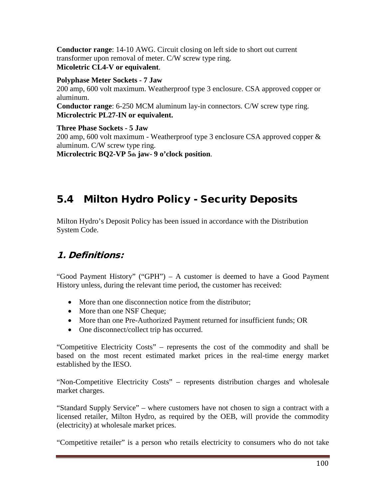**Conductor range**: 14-10 AWG. Circuit closing on left side to short out current transformer upon removal of meter. C/W screw type ring. **Micoletric CL4-V or equivalent**.

## **Polyphase Meter Sockets - 7 Jaw**

200 amp, 600 volt maximum. Weatherproof type 3 enclosure. CSA approved copper or aluminum. **Conductor range**: 6-250 MCM aluminum lay-in connectors. C/W screw type ring. **Microlectric PL27-IN or equivalent.**

**Three Phase Sockets - 5 Jaw**  200 amp, 600 volt maximum - Weatherproof type 3 enclosure CSA approved copper & aluminum. C/W screw type ring. **Microlectric BQ2-VP 5th jaw- 9 o'clock position**.

# 5.4 Milton Hydro Policy - Security Deposits

Milton Hydro's Deposit Policy has been issued in accordance with the Distribution System Code.

### 1. Definitions:

"Good Payment History" ("GPH") – A customer is deemed to have a Good Payment History unless, during the relevant time period, the customer has received:

- More than one disconnection notice from the distributor;
- More than one NSF Cheque;
- More than one Pre-Authorized Payment returned for insufficient funds; OR
- One disconnect/collect trip has occurred.

"Competitive Electricity Costs" – represents the cost of the commodity and shall be based on the most recent estimated market prices in the real-time energy market established by the IESO.

"Non-Competitive Electricity Costs" – represents distribution charges and wholesale market charges.

"Standard Supply Service" – where customers have not chosen to sign a contract with a licensed retailer, Milton Hydro, as required by the OEB, will provide the commodity (electricity) at wholesale market prices.

"Competitive retailer" is a person who retails electricity to consumers who do not take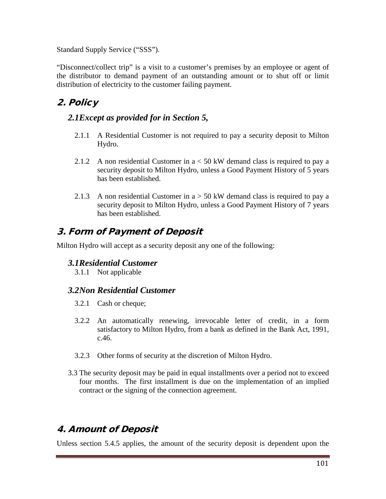Standard Supply Service ("SSS").

"Disconnect/collect trip" is a visit to a customer's premises by an employee or agent of the distributor to demand payment of an outstanding amount or to shut off or limit distribution of electricity to the customer failing payment.

## 2. Policy

### *2.1Except as provided for in Section 5,*

- 2.1.1 A Residential Customer is not required to pay a security deposit to Milton Hydro.
- 2.1.2 A non residential Customer in a < 50 kW demand class is required to pay a security deposit to Milton Hydro, unless a Good Payment History of 5 years has been established.
- 2.1.3 A non residential Customer in  $a > 50$  kW demand class is required to pay a security deposit to Milton Hydro, unless a Good Payment History of 7 years has been established.

### 3. Form of Payment of Deposit

Milton Hydro will accept as a security deposit any one of the following:

#### *3.1Residential Customer*

3.1.1 Not applicable

#### *3.2Non Residential Customer*

- 3.2.1 Cash or cheque;
- 3.2.2 An automatically renewing, irrevocable letter of credit, in a form satisfactory to Milton Hydro, from a bank as defined in the Bank Act, 1991, c.46.
- 3.2.3 Other forms of security at the discretion of Milton Hydro.
- 3.3 The security deposit may be paid in equal installments over a period not to exceed four months. The first installment is due on the implementation of an implied contract or the signing of the connection agreement.

## 4. Amount of Deposit

Unless section 5.4.5 applies, the amount of the security deposit is dependent upon the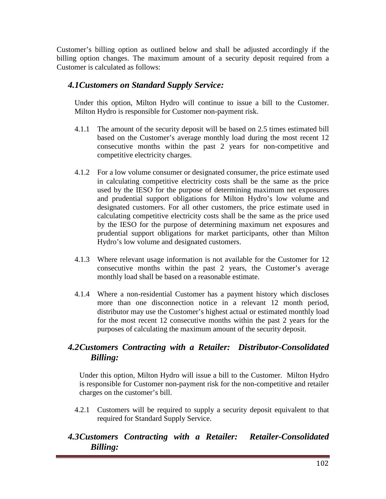Customer's billing option as outlined below and shall be adjusted accordingly if the billing option changes. The maximum amount of a security deposit required from a Customer is calculated as follows:

#### *4.1Customers on Standard Supply Service:*

Under this option, Milton Hydro will continue to issue a bill to the Customer. Milton Hydro is responsible for Customer non-payment risk.

- 4.1.1 The amount of the security deposit will be based on 2.5 times estimated bill based on the Customer's average monthly load during the most recent 12 consecutive months within the past 2 years for non-competitive and competitive electricity charges.
- 4.1.2 For a low volume consumer or designated consumer, the price estimate used in calculating competitive electricity costs shall be the same as the price used by the IESO for the purpose of determining maximum net exposures and prudential support obligations for Milton Hydro's low volume and designated customers. For all other customers, the price estimate used in calculating competitive electricity costs shall be the same as the price used by the IESO for the purpose of determining maximum net exposures and prudential support obligations for market participants, other than Milton Hydro's low volume and designated customers.
- 4.1.3 Where relevant usage information is not available for the Customer for 12 consecutive months within the past 2 years, the Customer's average monthly load shall be based on a reasonable estimate.
- 4.1.4 Where a non-residential Customer has a payment history which discloses more than one disconnection notice in a relevant 12 month period, distributor may use the Customer's highest actual or estimated monthly load for the most recent 12 consecutive months within the past 2 years for the purposes of calculating the maximum amount of the security deposit.

### *4.2Customers Contracting with a Retailer: Distributor-Consolidated Billing:*

Under this option, Milton Hydro will issue a bill to the Customer. Milton Hydro is responsible for Customer non-payment risk for the non-competitive and retailer charges on the customer's bill.

4.2.1 Customers will be required to supply a security deposit equivalent to that required for Standard Supply Service.

#### *4.3Customers Contracting with a Retailer: Retailer-Consolidated Billing:*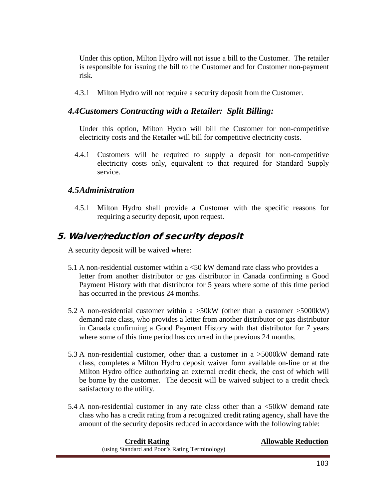Under this option, Milton Hydro will not issue a bill to the Customer. The retailer is responsible for issuing the bill to the Customer and for Customer non-payment risk.

4.3.1 Milton Hydro will not require a security deposit from the Customer.

#### *4.4Customers Contracting with a Retailer: Split Billing:*

Under this option, Milton Hydro will bill the Customer for non-competitive electricity costs and the Retailer will bill for competitive electricity costs.

4.4.1 Customers will be required to supply a deposit for non-competitive electricity costs only, equivalent to that required for Standard Supply service.

#### *4.5Administration*

4.5.1 Milton Hydro shall provide a Customer with the specific reasons for requiring a security deposit, upon request.

### 5. Waiver/reduction of security deposit

A security deposit will be waived where:

- 5.1 A non-residential customer within a <50 kW demand rate class who provides a letter from another distributor or gas distributor in Canada confirming a Good Payment History with that distributor for 5 years where some of this time period has occurred in the previous 24 months.
- 5.2 A non-residential customer within a >50kW (other than a customer >5000kW) demand rate class, who provides a letter from another distributor or gas distributor in Canada confirming a Good Payment History with that distributor for 7 years where some of this time period has occurred in the previous 24 months.
- 5.3 A non-residential customer, other than a customer in a >5000kW demand rate class, completes a Milton Hydro deposit waiver form available on-line or at the Milton Hydro office authorizing an external credit check, the cost of which will be borne by the customer. The deposit will be waived subject to a credit check satisfactory to the utility.
- 5.4 A non-residential customer in any rate class other than a <50kW demand rate class who has a credit rating from a recognized credit rating agency, shall have the amount of the security deposits reduced in accordance with the following table:

| <b>Credit Rating</b>                           | <b>Allowable Reduction</b> |
|------------------------------------------------|----------------------------|
| (using Standard and Poor's Rating Terminology) |                            |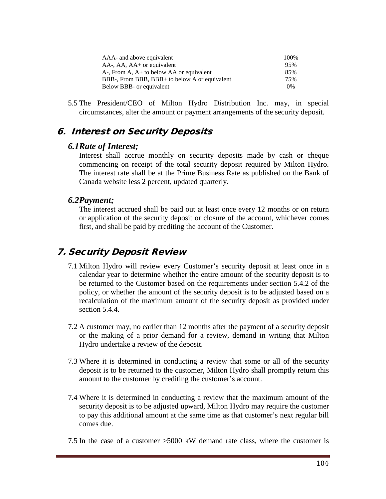| AAA- and above equivalent                     | 100%  |
|-----------------------------------------------|-------|
| AA-, AA, AA+ or equivalent                    | 95%   |
| A-, From A, A+ to below AA or equivalent      | 85%   |
| BBB-, From BBB, BBB+ to below A or equivalent | 75%   |
| Below BBB- or equivalent                      | $0\%$ |
|                                               |       |

5.5 The President/CEO of Milton Hydro Distribution Inc. may, in special circumstances, alter the amount or payment arrangements of the security deposit.

### 6. Interest on Security Deposits

#### *6.1Rate of Interest;*

Interest shall accrue monthly on security deposits made by cash or cheque commencing on receipt of the total security deposit required by Milton Hydro. The interest rate shall be at the Prime Business Rate as published on the Bank of Canada website less 2 percent, updated quarterly.

#### *6.2Payment;*

The interest accrued shall be paid out at least once every 12 months or on return or application of the security deposit or closure of the account, whichever comes first, and shall be paid by crediting the account of the Customer.

### 7. Security Deposit Review

- 7.1 Milton Hydro will review every Customer's security deposit at least once in a calendar year to determine whether the entire amount of the security deposit is to be returned to the Customer based on the requirements under section 5.4.2 of the policy, or whether the amount of the security deposit is to be adjusted based on a recalculation of the maximum amount of the security deposit as provided under section 5.4.4.
- 7.2 A customer may, no earlier than 12 months after the payment of a security deposit or the making of a prior demand for a review, demand in writing that Milton Hydro undertake a review of the deposit.
- 7.3 Where it is determined in conducting a review that some or all of the security deposit is to be returned to the customer, Milton Hydro shall promptly return this amount to the customer by crediting the customer's account.
- 7.4 Where it is determined in conducting a review that the maximum amount of the security deposit is to be adjusted upward, Milton Hydro may require the customer to pay this additional amount at the same time as that customer's next regular bill comes due.
- 7.5 In the case of a customer >5000 kW demand rate class, where the customer is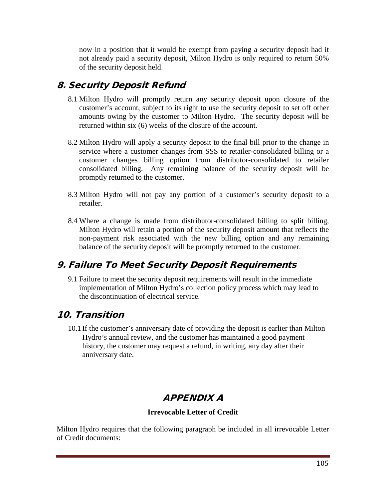now in a position that it would be exempt from paying a security deposit had it not already paid a security deposit, Milton Hydro is only required to return 50% of the security deposit held.

## 8. Security Deposit Refund

- 8.1 Milton Hydro will promptly return any security deposit upon closure of the customer's account, subject to its right to use the security deposit to set off other amounts owing by the customer to Milton Hydro. The security deposit will be returned within six (6) weeks of the closure of the account.
- 8.2 Milton Hydro will apply a security deposit to the final bill prior to the change in service where a customer changes from SSS to retailer-consolidated billing or a customer changes billing option from distributor-consolidated to retailer consolidated billing. Any remaining balance of the security deposit will be promptly returned to the customer.
- 8.3 Milton Hydro will not pay any portion of a customer's security deposit to a retailer.
- 8.4 Where a change is made from distributor-consolidated billing to split billing, Milton Hydro will retain a portion of the security deposit amount that reflects the non-payment risk associated with the new billing option and any remaining balance of the security deposit will be promptly returned to the customer.

### 9. Failure To Meet Security Deposit Requirements

9.1 Failure to meet the security deposit requirements will result in the immediate implementation of Milton Hydro's collection policy process which may lead to the discontinuation of electrical service.

### 10. Transition

10.1 If the customer's anniversary date of providing the deposit is earlier than Milton Hydro's annual review, and the customer has maintained a good payment history, the customer may request a refund, in writing, any day after their anniversary date.

## APPENDIX A

#### **Irrevocable Letter of Credit**

Milton Hydro requires that the following paragraph be included in all irrevocable Letter of Credit documents: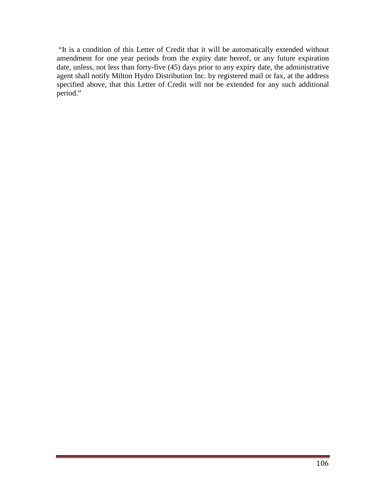"It is a condition of this Letter of Credit that it will be automatically extended without amendment for one year periods from the expiry date hereof, or any future expiration date, unless, not less than forty-five (45) days prior to any expiry date, the administrative agent shall notify Milton Hydro Distribution Inc. by registered mail or fax, at the address specified above, that this Letter of Credit will not be extended for any such additional period."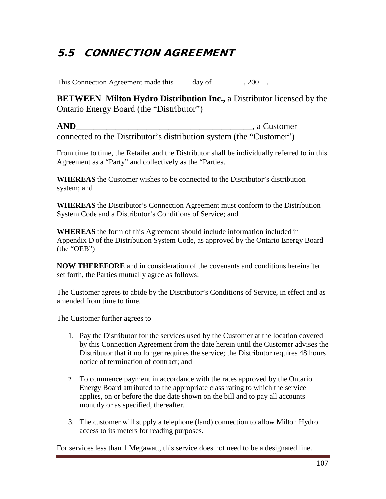# 5.5 CONNECTION AGREEMENT

This Connection Agreement made this \_\_\_\_ day of \_\_\_\_\_\_\_, 200\_.

**BETWEEN Milton Hydro Distribution Inc.,** a Distributor licensed by the Ontario Energy Board (the "Distributor")

**AND\_\_\_\_\_\_\_\_\_\_\_\_\_\_\_\_\_\_\_\_\_\_\_\_\_\_\_\_\_\_\_\_\_\_\_\_\_\_\_\_**, a Customer connected to the Distributor's distribution system (the "Customer")

From time to time, the Retailer and the Distributor shall be individually referred to in this Agreement as a "Party" and collectively as the "Parties.

**WHEREAS** the Customer wishes to be connected to the Distributor's distribution system; and

**WHEREAS** the Distributor's Connection Agreement must conform to the Distribution System Code and a Distributor's Conditions of Service; and

**WHEREAS** the form of this Agreement should include information included in Appendix D of the Distribution System Code, as approved by the Ontario Energy Board (the "OEB")

**NOW THEREFORE** and in consideration of the covenants and conditions hereinafter set forth, the Parties mutually agree as follows:

The Customer agrees to abide by the Distributor's Conditions of Service, in effect and as amended from time to time.

The Customer further agrees to

- 1. Pay the Distributor for the services used by the Customer at the location covered by this Connection Agreement from the date herein until the Customer advises the Distributor that it no longer requires the service; the Distributor requires 48 hours notice of termination of contract; and
- 2. To commence payment in accordance with the rates approved by the Ontario Energy Board attributed to the appropriate class rating to which the service applies, on or before the due date shown on the bill and to pay all accounts monthly or as specified, thereafter.
- 3. The customer will supply a telephone (land) connection to allow Milton Hydro access to its meters for reading purposes.

For services less than 1 Megawatt, this service does not need to be a designated line.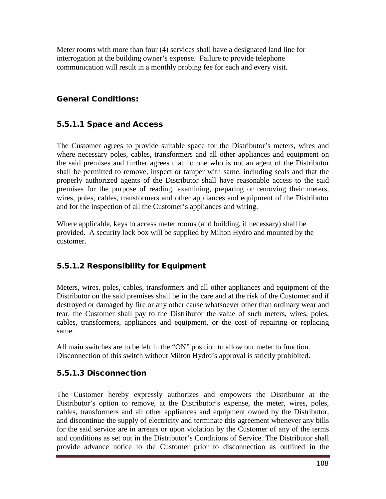Meter rooms with more than four (4) services shall have a designated land line for interrogation at the building owner's expense. Failure to provide telephone communication will result in a monthly probing fee for each and every visit.

#### General Conditions:

#### 5.5.1.1 Space and Access

The Customer agrees to provide suitable space for the Distributor's meters, wires and where necessary poles, cables, transformers and all other appliances and equipment on the said premises and further agrees that no one who is not an agent of the Distributor shall be permitted to remove, inspect or tamper with same, including seals and that the properly authorized agents of the Distributor shall have reasonable access to the said premises for the purpose of reading, examining, preparing or removing their meters, wires, poles, cables, transformers and other appliances and equipment of the Distributor and for the inspection of all the Customer's appliances and wiring.

Where applicable, keys to access meter rooms (and building, if necessary) shall be provided. A security lock box will be supplied by Milton Hydro and mounted by the customer.

#### 5.5.1.2 Responsibility for Equipment

Meters, wires, poles, cables, transformers and all other appliances and equipment of the Distributor on the said premises shall be in the care and at the risk of the Customer and if destroyed or damaged by fire or any other cause whatsoever other than ordinary wear and tear, the Customer shall pay to the Distributor the value of such meters, wires, poles, cables, transformers, appliances and equipment, or the cost of repairing or replacing same.

All main switches are to be left in the "ON" position to allow our meter to function. Disconnection of this switch without Milton Hydro's approval is strictly prohibited.

#### 5.5.1.3 Disconnection

The Customer hereby expressly authorizes and empowers the Distributor at the Distributor's option to remove, at the Distributor's expense, the meter, wires, poles, cables, transformers and all other appliances and equipment owned by the Distributor, and discontinue the supply of electricity and terminate this agreement whenever any bills for the said service are in arrears or upon violation by the Customer of any of the terms and conditions as set out in the Distributor's Conditions of Service. The Distributor shall provide advance notice to the Customer prior to disconnection as outlined in the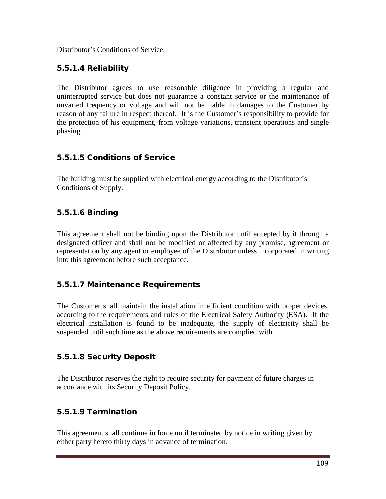Distributor's Conditions of Service.

### 5.5.1.4 Reliability

The Distributor agrees to use reasonable diligence in providing a regular and uninterrupted service but does not guarantee a constant service or the maintenance of unvaried frequency or voltage and will not be liable in damages to the Customer by reason of any failure in respect thereof. It is the Customer's responsibility to provide for the protection of his equipment, from voltage variations, transient operations and single phasing.

# 5.5.1.5 Conditions of Service

The building must be supplied with electrical energy according to the Distributor's Conditions of Supply.

# 5.5.1.6 Binding

This agreement shall not be binding upon the Distributor until accepted by it through a designated officer and shall not be modified or affected by any promise, agreement or representation by any agent or employee of the Distributor unless incorporated in writing into this agreement before such acceptance.

# 5.5.1.7 Maintenance Requirements

The Customer shall maintain the installation in efficient condition with proper devices, according to the requirements and rules of the Electrical Safety Authority (ESA). If the electrical installation is found to be inadequate, the supply of electricity shall be suspended until such time as the above requirements are complied with.

# 5.5.1.8 Security Deposit

The Distributor reserves the right to require security for payment of future charges in accordance with its Security Deposit Policy.

# 5.5.1.9 Termination

This agreement shall continue in force until terminated by notice in writing given by either party hereto thirty days in advance of termination.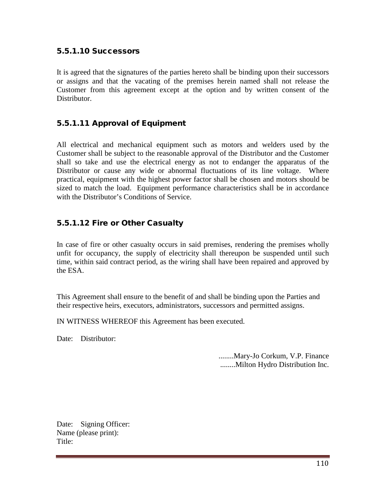#### 5.5.1.10 Successors

It is agreed that the signatures of the parties hereto shall be binding upon their successors or assigns and that the vacating of the premises herein named shall not release the Customer from this agreement except at the option and by written consent of the Distributor.

### 5.5.1.11 Approval of Equipment

All electrical and mechanical equipment such as motors and welders used by the Customer shall be subject to the reasonable approval of the Distributor and the Customer shall so take and use the electrical energy as not to endanger the apparatus of the Distributor or cause any wide or abnormal fluctuations of its line voltage. Where practical, equipment with the highest power factor shall be chosen and motors should be sized to match the load. Equipment performance characteristics shall be in accordance with the Distributor's Conditions of Service.

### 5.5.1.12 Fire or Other Casualty

In case of fire or other casualty occurs in said premises, rendering the premises wholly unfit for occupancy, the supply of electricity shall thereupon be suspended until such time, within said contract period, as the wiring shall have been repaired and approved by the ESA.

This Agreement shall ensure to the benefit of and shall be binding upon the Parties and their respective heirs, executors, administrators, successors and permitted assigns.

IN WITNESS WHEREOF this Agreement has been executed.

Date: Distributor:

........Mary-Jo Corkum, V.P. Finance ........Milton Hydro Distribution Inc.

Date: Signing Officer: Name (please print): Title: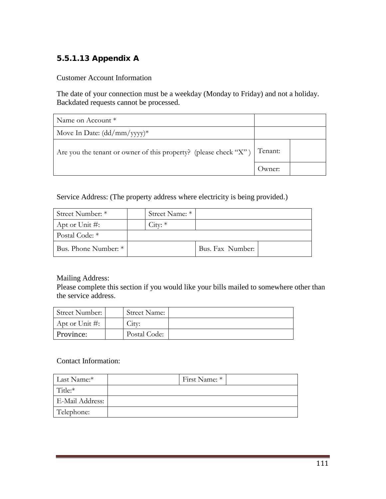# 5.5.1.13 Appendix A

Customer Account Information

The date of your connection must be a weekday (Monday to Friday) and not a holiday. Backdated requests cannot be processed.

| Name on Account *                                                        |        |  |
|--------------------------------------------------------------------------|--------|--|
| Move In Date: $(dd/mm/yyyy)^*$                                           |        |  |
| Are you the tenant or owner of this property? (please check "X") Tenant: |        |  |
|                                                                          | Jwner: |  |

Service Address: (The property address where electricity is being provided.)

| Street Number: *     | Street Name: * |                  |  |
|----------------------|----------------|------------------|--|
| Apt or Unit #:       | $City: *$      |                  |  |
| Postal Code: *       |                |                  |  |
| Bus. Phone Number: * |                | Bus. Fax Number: |  |

Mailing Address:

Please complete this section if you would like your bills mailed to somewhere other than the service address.

| Street Number:     | <b>Street Name:</b> |  |
|--------------------|---------------------|--|
| Apt or Unit $\#$ : | Citv:               |  |
| Province:          | Postal Code:        |  |

#### Contact Information:

| Last Name:*     | First Name: * |  |
|-----------------|---------------|--|
| Title:*         |               |  |
| E-Mail Address: |               |  |
| Telephone:      |               |  |